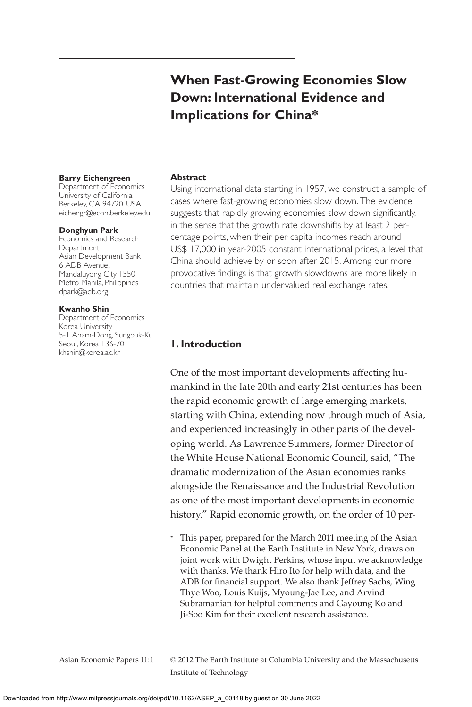# **When Fast-Growing Economies Slow Down: International Evidence and Implications for China\***

#### **Barry Eichengreen**

Department of Economics University of California Berkeley, CA 94720, USA eichengr@econ.berkeley.edu

#### **Donghyun Park**

Economics and Research Department Asian Development Bank 6 ADB Avenue, Mandaluyong City 1550 Metro Manila, Philippines dpark@adb.org

#### **Kwanho Shin**

Department of Economics Korea University 5-1 Anam-Dong, Sungbuk-Ku Seoul, Korea 136-701 khshin@korea.ac.kr

#### **Abstract**

Using international data starting in 1957, we construct a sample of cases where fast-growing economies slow down. The evidence suggests that rapidly growing economies slow down significantly, in the sense that the growth rate downshifts by at least 2 percentage points, when their per capita incomes reach around US\$ 17,000 in year-2005 constant international prices, a level that China should achieve by or soon after 2015. Among our more provocative findings is that growth slowdowns are more likely in countries that maintain undervalued real exchange rates.

### **1. Introduction**

One of the most important developments affecting humankind in the late 20th and early 21st centuries has been the rapid economic growth of large emerging markets, starting with China, extending now through much of Asia, and experienced increasingly in other parts of the developing world. As Lawrence Summers, former Director of the White House National Economic Council, said, "The dramatic modernization of the Asian economies ranks alongside the Renaissance and the Industrial Revolution as one of the most important developments in economic history." Rapid economic growth, on the order of 10 per-

<sup>\*</sup> This paper, prepared for the March 2011 meeting of the Asian Economic Panel at the Earth Institute in New York, draws on joint work with Dwight Perkins, whose input we acknowledge with thanks. We thank Hiro Ito for help with data, and the ADB for financial support. We also thank Jeffrey Sachs, Wing Thye Woo, Louis Kuijs, Myoung-Jae Lee, and Arvind Subramanian for helpful comments and Gayoung Ko and Ji-Soo Kim for their excellent research assistance.

Asian Economic Papers 11:1 © 2012 The Earth Institute at Columbia University and the Massachusetts Institute of Technology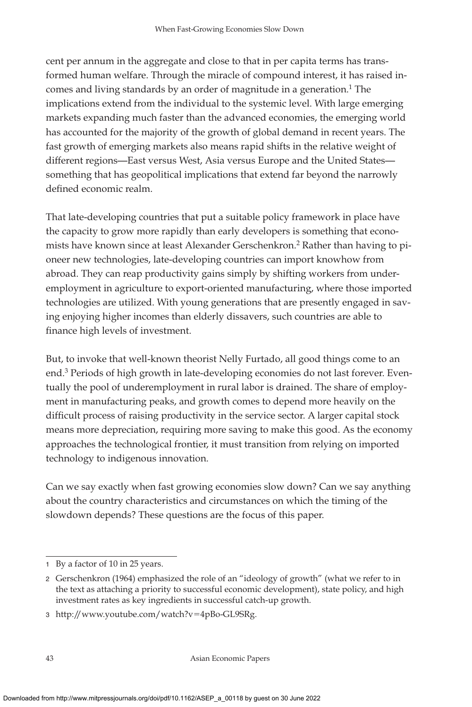cent per annum in the aggregate and close to that in per capita terms has transformed human welfare. Through the miracle of compound interest, it has raised incomes and living standards by an order of magnitude in a generation.<sup>1</sup> The implications extend from the individual to the systemic level. With large emerging markets expanding much faster than the advanced economies, the emerging world has accounted for the majority of the growth of global demand in recent years. The fast growth of emerging markets also means rapid shifts in the relative weight of different regions—East versus West, Asia versus Europe and the United States something that has geopolitical implications that extend far beyond the narrowly defined economic realm.

That late-developing countries that put a suitable policy framework in place have the capacity to grow more rapidly than early developers is something that economists have known since at least Alexander Gerschenkron.<sup>2</sup> Rather than having to pioneer new technologies, late-developing countries can import knowhow from abroad. They can reap productivity gains simply by shifting workers from underemployment in agriculture to export-oriented manufacturing, where those imported technologies are utilized. With young generations that are presently engaged in saving enjoying higher incomes than elderly dissavers, such countries are able to finance high levels of investment.

But, to invoke that well-known theorist Nelly Furtado, all good things come to an end.3 Periods of high growth in late-developing economies do not last forever. Eventually the pool of underemployment in rural labor is drained. The share of employment in manufacturing peaks, and growth comes to depend more heavily on the difficult process of raising productivity in the service sector. A larger capital stock means more depreciation, requiring more saving to make this good. As the economy approaches the technological frontier, it must transition from relying on imported technology to indigenous innovation.

Can we say exactly when fast growing economies slow down? Can we say anything about the country characteristics and circumstances on which the timing of the slowdown depends? These questions are the focus of this paper.

<sup>1</sup> By a factor of 10 in 25 years.

<sup>2</sup> Gerschenkron (1964) emphasized the role of an "ideology of growth" (what we refer to in the text as attaching a priority to successful economic development), state policy, and high investment rates as key ingredients in successful catch-up growth.

<sup>3</sup> http://www.youtube.com/watch?v-4pBo-GL9SRg.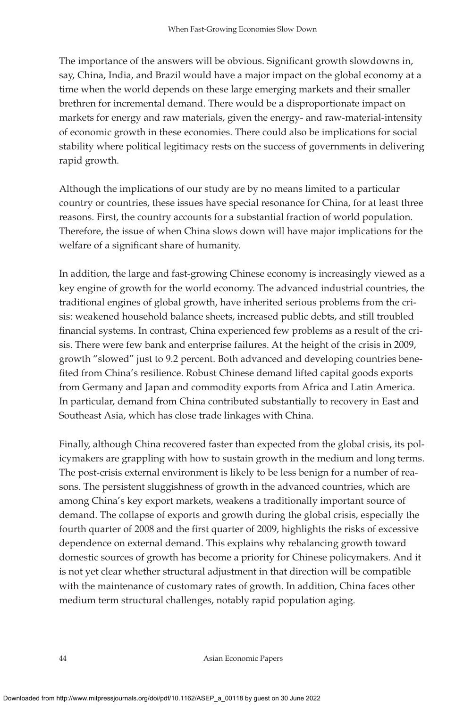The importance of the answers will be obvious. Significant growth slowdowns in, say, China, India, and Brazil would have a major impact on the global economy at a time when the world depends on these large emerging markets and their smaller brethren for incremental demand. There would be a disproportionate impact on markets for energy and raw materials, given the energy- and raw-material-intensity of economic growth in these economies. There could also be implications for social stability where political legitimacy rests on the success of governments in delivering rapid growth.

Although the implications of our study are by no means limited to a particular country or countries, these issues have special resonance for China, for at least three reasons. First, the country accounts for a substantial fraction of world population. Therefore, the issue of when China slows down will have major implications for the welfare of a significant share of humanity.

In addition, the large and fast-growing Chinese economy is increasingly viewed as a key engine of growth for the world economy. The advanced industrial countries, the traditional engines of global growth, have inherited serious problems from the crisis: weakened household balance sheets, increased public debts, and still troubled financial systems. In contrast, China experienced few problems as a result of the crisis. There were few bank and enterprise failures. At the height of the crisis in 2009, growth "slowed" just to 9.2 percent. Both advanced and developing countries benefited from China's resilience. Robust Chinese demand lifted capital goods exports from Germany and Japan and commodity exports from Africa and Latin America. In particular, demand from China contributed substantially to recovery in East and Southeast Asia, which has close trade linkages with China.

Finally, although China recovered faster than expected from the global crisis, its policymakers are grappling with how to sustain growth in the medium and long terms. The post-crisis external environment is likely to be less benign for a number of reasons. The persistent sluggishness of growth in the advanced countries, which are among China's key export markets, weakens a traditionally important source of demand. The collapse of exports and growth during the global crisis, especially the fourth quarter of 2008 and the first quarter of 2009, highlights the risks of excessive dependence on external demand. This explains why rebalancing growth toward domestic sources of growth has become a priority for Chinese policymakers. And it is not yet clear whether structural adjustment in that direction will be compatible with the maintenance of customary rates of growth. In addition, China faces other medium term structural challenges, notably rapid population aging.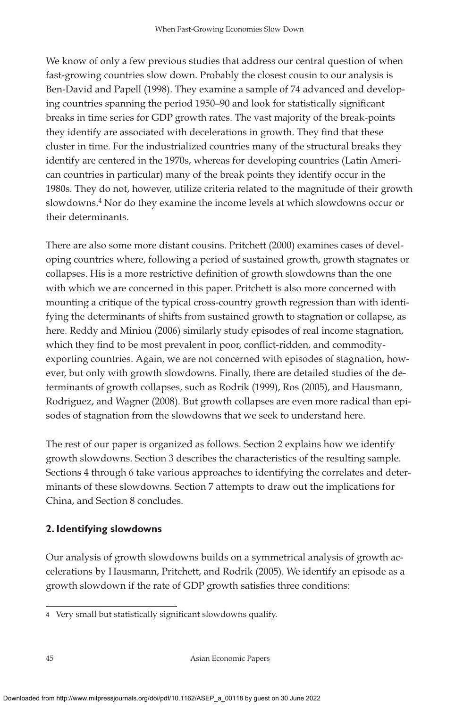We know of only a few previous studies that address our central question of when fast-growing countries slow down. Probably the closest cousin to our analysis is Ben-David and Papell (1998). They examine a sample of 74 advanced and developing countries spanning the period 1950–90 and look for statistically significant breaks in time series for GDP growth rates. The vast majority of the break-points they identify are associated with decelerations in growth. They find that these cluster in time. For the industrialized countries many of the structural breaks they identify are centered in the 1970s, whereas for developing countries (Latin American countries in particular) many of the break points they identify occur in the 1980s. They do not, however, utilize criteria related to the magnitude of their growth slowdowns.<sup>4</sup> Nor do they examine the income levels at which slowdowns occur or their determinants.

There are also some more distant cousins. Pritchett (2000) examines cases of developing countries where, following a period of sustained growth, growth stagnates or collapses. His is a more restrictive definition of growth slowdowns than the one with which we are concerned in this paper. Pritchett is also more concerned with mounting a critique of the typical cross-country growth regression than with identifying the determinants of shifts from sustained growth to stagnation or collapse, as here. Reddy and Miniou (2006) similarly study episodes of real income stagnation, which they find to be most prevalent in poor, conflict-ridden, and commodityexporting countries. Again, we are not concerned with episodes of stagnation, however, but only with growth slowdowns. Finally, there are detailed studies of the determinants of growth collapses, such as Rodrik (1999), Ros (2005), and Hausmann, Rodriguez, and Wagner (2008). But growth collapses are even more radical than episodes of stagnation from the slowdowns that we seek to understand here.

The rest of our paper is organized as follows. Section 2 explains how we identify growth slowdowns. Section 3 describes the characteristics of the resulting sample. Sections 4 through 6 take various approaches to identifying the correlates and determinants of these slowdowns. Section 7 attempts to draw out the implications for China, and Section 8 concludes.

# **2. Identifying slowdowns**

Our analysis of growth slowdowns builds on a symmetrical analysis of growth accelerations by Hausmann, Pritchett, and Rodrik (2005). We identify an episode as a growth slowdown if the rate of GDP growth satisfies three conditions:

<sup>4</sup> Very small but statistically significant slowdowns qualify.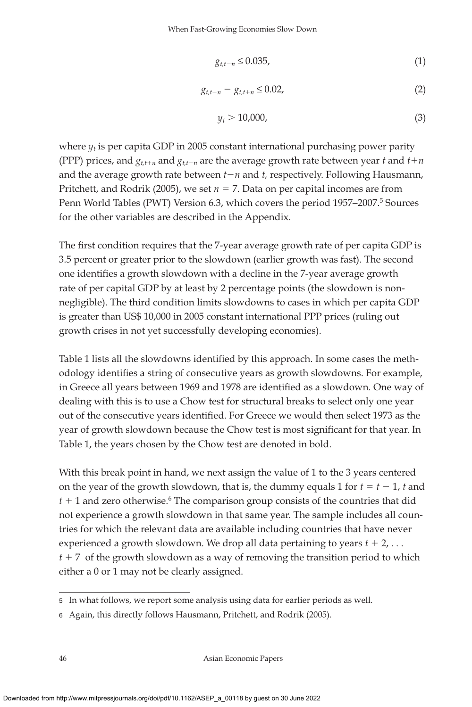$$
g_{t,t-n} \le 0.035,\tag{1}
$$

$$
g_{t,t-n} - g_{t,t+n} \le 0.02,
$$
\n(2)

$$
y_t > 10,000,\t(3)
$$

where  $y_t$  is per capita GDP in 2005 constant international purchasing power parity (PPP) prices, and  $g_{t,t+n}$  and  $g_{t,t-n}$  are the average growth rate between year *t* and  $t+n$ and the average growth rate between  $t - n$  and  $t$ , respectively. Following Hausmann, Pritchett, and Rodrik (2005), we set  $n = 7$ . Data on per capital incomes are from Penn World Tables (PWT) Version 6.3, which covers the period 1957–2007.<sup>5</sup> Sources for the other variables are described in the Appendix.

The first condition requires that the 7-year average growth rate of per capita GDP is 3.5 percent or greater prior to the slowdown (earlier growth was fast). The second one identifies a growth slowdown with a decline in the 7-year average growth rate of per capital GDP by at least by 2 percentage points (the slowdown is nonnegligible). The third condition limits slowdowns to cases in which per capita GDP is greater than US\$ 10,000 in 2005 constant international PPP prices (ruling out growth crises in not yet successfully developing economies).

Table 1 lists all the slowdowns identified by this approach. In some cases the methodology identifies a string of consecutive years as growth slowdowns. For example, in Greece all years between 1969 and 1978 are identified as a slowdown. One way of dealing with this is to use a Chow test for structural breaks to select only one year out of the consecutive years identified. For Greece we would then select 1973 as the year of growth slowdown because the Chow test is most significant for that year. In Table 1, the years chosen by the Chow test are denoted in bold.

With this break point in hand, we next assign the value of 1 to the 3 years centered on the year of the growth slowdown, that is, the dummy equals 1 for  $t = t - 1$ , *t* and  $t + 1$  and zero otherwise.<sup>6</sup> The comparison group consists of the countries that did not experience a growth slowdown in that same year. The sample includes all countries for which the relevant data are available including countries that have never experienced a growth slowdown. We drop all data pertaining to years  $t + 2$ , ...  $t + 7$  of the growth slowdown as a way of removing the transition period to which either a 0 or 1 may not be clearly assigned.

<sup>5</sup> In what follows, we report some analysis using data for earlier periods as well.

<sup>6</sup> Again, this directly follows Hausmann, Pritchett, and Rodrik (2005).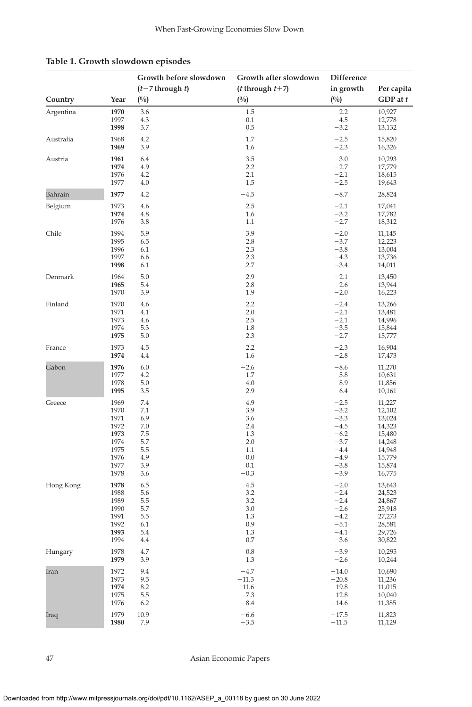|           |              | Growth before slowdown | Growth after slowdown      | <b>Difference</b> |                  |
|-----------|--------------|------------------------|----------------------------|-------------------|------------------|
|           |              | $(t-7)$ through t)     | ( <i>t</i> through $t+7$ ) | in growth         | Per capita       |
| Country   | Year         | (%)                    | (%)                        | (%)               | $GDP$ at $t$     |
| Argentina | 1970         | 3.6                    | 1.5                        | $-2.2$            | 10,927           |
|           | 1997         | 4.3                    | $-0.1$                     | $-4.5$            | 12,778           |
|           | 1998         | 3.7                    | 0.5                        | $-3.2$            | 13,132           |
| Australia | 1968         | 4.2                    | 1.7                        | $-2.5$            | 15,820           |
|           | 1969         | 3.9                    | 1.6                        | $-2.3$            | 16,326           |
| Austria   | 1961         | 6.4                    | 3.5                        | $-3.0$            | 10,293           |
|           | 1974         | 4.9                    | 2.2                        | $-2.7$            | 17,779           |
|           | 1976         | 4.2                    | 2.1                        | $-2.1$            | 18,615           |
|           | 1977         | 4.0                    | 1.5                        | $-2.5$            | 19,643           |
| Bahrain   | 1977         | 4.2                    | $-4.5$                     | $-8.7$            | 28,824           |
| Belgium   | 1973         | 4.6                    | 2.5                        | $-2.1$            | 17,041           |
|           | 1974         | 4.8                    | 1.6                        | $-3.2$            | 17,782           |
|           | 1976         | 3.8                    | 1.1                        | $-2.7$            | 18,312           |
| Chile     | 1994         | 5.9                    | 3.9                        | $-2.0$            | 11,145           |
|           | 1995         | 6.5                    | 2.8                        | $-3.7$            | 12,223           |
|           | 1996         | 6.1                    | 2.3                        | $-3.8$            | 13,004           |
|           | 1997         | 6.6                    | 2.3                        | $-4.3$            | 13,736           |
|           | 1998         | 6.1                    | 2.7                        | $-3.4$            | 14,011           |
| Denmark   | 1964         | 5.0                    | 2.9                        | $-2.1$            | 13,450           |
|           | 1965         | 5.4                    | 2.8                        | $-2.6$            | 13,944           |
|           | 1970         | 3.9                    | 1.9                        | $-2.0$            | 16,223           |
| Finland   | 1970         | 4.6                    | 2.2                        | $-2.4$            | 13,266           |
|           | 1971         | 4.1                    | 2.0                        | $-2.1$            | 13,481           |
|           | 1973         | 4.6                    | 2.5                        | $-2.1$            | 14,996           |
|           | 1974         | 5.3                    | 1.8                        | $-3.5$            | 15,844           |
|           | 1975         | 5.0                    | 2.3                        | $-2.7$            | 15,777           |
| France    | 1973<br>1974 | 4.5<br>4.4             | 2.2<br>1.6                 | $-2.3$<br>$-2.8$  | 16,904<br>17,473 |
| Gabon     | 1976         | 6.0                    | $-2.6$                     | $-8.6$            | 11,270           |
|           | 1977         | 4.2                    | $-1.7$                     | $-5.8$            | 10,631           |
|           | 1978         | 5.0                    | $-4.0$                     | $-8.9$            | 11,856           |
|           | 1995         | 3.5                    | $-2.9$                     | $-6.4$            | 10,161           |
| Greece    | 1969         | 7.4                    | 4.9                        | $-2.5$            | 11,227           |
|           | 1970         | 7.1                    | 3.9                        | $-3.2$            | 12,102           |
|           | 1971         | 6.9                    | 3.6                        | $-3.3$            | 13,024           |
|           | 1972         | $7.0\,$                | 2.4                        | $-4.5$            | 14,323           |
|           | 1973         | 7.5                    | 1.3                        | $-6.2$            | 15,480           |
|           | 1974         | 5.7                    | 2.0                        | $-3.7$            | 14,248           |
|           | 1975         | 5.5                    | 1.1                        | $-4.4$            | 14,948           |
|           | 1976         | 4.9                    | 0.0                        | $-4.9$            | 15,779           |
|           | 1977<br>1978 | 3.9<br>3.6             | 0.1<br>$-0.3$              | $-3.8$<br>$-3.9$  | 15,874<br>16,775 |
| Hong Kong | 1978         | 6.5                    | 4.5                        | $-2.0$            | 13,643           |
|           | 1988         | 5.6                    | 3.2                        | $-2.4$            | 24,523           |
|           | 1989         | 5.5                    | 3.2                        | $-2.4$            | 24,867           |
|           | 1990         | 5.7                    | 3.0                        | $-2.6$            | 25,918           |
|           | 1991         | 5.5                    | 1.3                        | $-4.2$            | 27,273           |
|           | 1992         | 6.1                    | 0.9                        | $-5.1$            | 28,581           |
|           | 1993         | 5.4                    | 1.3                        | $-4.1$            | 29,726           |
|           | 1994         | 4.4                    | 0.7                        | $-3.6$            | 30,822           |
| Hungary   | 1978<br>1979 | 4.7<br>3.9             | 0.8<br>1.3                 | $-3.9$<br>$-2.6$  | 10,295<br>10,244 |
| Iran      | 1972         | 9.4                    | $-4.7$                     | $-14.0$           | 10,690           |
|           | 1973         | 9.5                    | $-11.3$                    | $-20.8$           | 11,236           |
|           | 1974         | 8.2                    | $-11.6$                    | $-19.8$           | 11,015           |
|           | 1975         | 5.5                    | $-7.3$                     | $-12.8$           | 10,040           |
|           | 1976         | 6.2                    | $-8.4$                     | $-14.6$           | 11,385           |
| Iraq      | 1979         | 10.9                   | $-6.6$                     | $-17.5$           | 11,823           |
|           | 1980         | 7.9                    | $-3.5$                     | $-11.5$           | 11,129           |

### **Table 1. Growth slowdown episodes**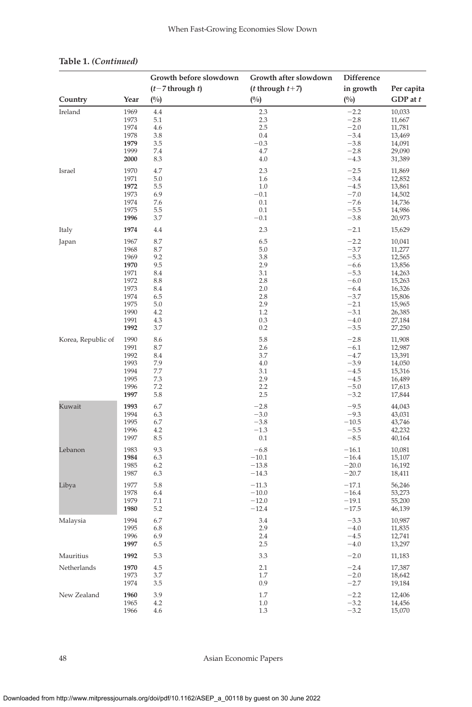|                    |              | Growth before slowdown | Growth after slowdown      | <b>Difference</b> |                  |
|--------------------|--------------|------------------------|----------------------------|-------------------|------------------|
|                    |              | $(t-7)$ through t)     | ( <i>t</i> through $t+7$ ) | in growth         | Per capita       |
| Country            | Year         | (0/0)                  | (0/0)                      | (0/0)             | GDP at t         |
| Ireland            | 1969         | 4.4                    | 2.3                        | $-2.2$            | 10,033           |
|                    | 1973         | 5.1                    | 2.3                        | $-2.8$            | 11,667           |
|                    | 1974         | 4.6                    | 2.5                        | $-2.0$            | 11,781           |
|                    | 1978         | 3.8                    | 0.4                        | $-3.4$            | 13,469           |
|                    | 1979         | 3.5                    | $-0.3$                     | $-3.8$            | 14,091           |
|                    | 1999         | 7.4                    | 4.7                        | $-2.8$            | 29,090           |
|                    | 2000         | 8.3                    | 4.0                        | $-4.3$            | 31,389           |
| Israel             | 1970         | 4.7                    | 2.3                        | $-2.5$            | 11,869           |
|                    | 1971         | 5.0                    | 1.6                        | $-3.4$            | 12,852           |
|                    | 1972         | 5.5                    | 1.0                        | $-4.5$            | 13,861           |
|                    | 1973         | 6.9                    | $-0.1$                     | $-7.0$            | 14,502           |
|                    | 1974         | 7.6                    | 0.1                        | $-7.6$            | 14,736           |
|                    | 1975         | 5.5                    | 0.1                        | $-5.5$            | 14,986           |
|                    | 1996         | 3.7                    | $-0.1$                     | $-3.8$            | 20,973           |
| Italy              | 1974         | 4.4                    | 2.3                        | $-2.1$            | 15,629           |
| Japan              | 1967         | 8.7                    | 6.5                        | $-2.2$            | 10,041           |
|                    | 1968         | 8.7                    | 5.0                        | $-3.7$            | 11,277           |
|                    | 1969         | 9.2                    | 3.8                        | $-5.3$            | 12,565           |
|                    | 1970         | 9.5                    | 2.9                        | $-6.6$            | 13,856           |
|                    | 1971         | 8.4                    | 3.1                        | $-5.3$            | 14,263           |
|                    | 1972         | 8.8                    | 2.8                        | $-6.0$            | 15,263           |
|                    | 1973         | 8.4                    | 2.0                        | $-6.4$            | 16,326           |
|                    | 1974         | 6.5                    | 2.8                        | $-3.7$            | 15,806           |
|                    | 1975         | 5.0                    | 2.9                        | $-2.1$            | 15,965           |
|                    | 1990         | 4.2                    | 1.2                        | $-3.1$            | 26,385           |
|                    | 1991<br>1992 | 4.3<br>3.7             | 0.3<br>0.2                 | $-4.0$<br>$-3.5$  | 27,184<br>27,250 |
|                    |              |                        |                            |                   |                  |
| Korea, Republic of | 1990<br>1991 | 8.6<br>8.7             | 5.8<br>2.6                 | $-2.8$<br>$-6.1$  | 11,908           |
|                    |              |                        |                            |                   | 12,987           |
|                    | 1992         | 8.4<br>7.9             | 3.7                        | $-4.7$<br>$-3.9$  | 13,391           |
|                    | 1993<br>1994 | 7.7                    | 4.0<br>3.1                 | $-4.5$            | 14,050           |
|                    | 1995         | 7.3                    | 2.9                        | $-4.5$            | 15,316<br>16,489 |
|                    | 1996         | 7.2                    | 2.2                        | $-5.0$            | 17,613           |
|                    | 1997         | 5.8                    | 2.5                        | $-3.2$            | 17,844           |
| Kuwait             | 1993         | 6.7                    | $-2.8$                     | $-9.5$            | 44,043           |
|                    | 1994         | 6.3                    | $-3.0$                     | $-9.3$            | 43,031           |
|                    | 1995         | 6.7                    | $-3.8$                     | $-10.5$           | 43,746           |
|                    | 1996         | 4.2                    | $-1.3$                     | $-5.5$            | 42,232           |
|                    | 1997         | 8.5                    | 0.1                        | $-8.5$            | 40,164           |
| Lebanon            | 1983         | 9.3                    | $-6.8$                     | $-16.1$           | 10,081           |
|                    | 1984         | 6.3                    | $-10.1$                    | $-16.4$           | 15,107           |
|                    | 1985         | 6.2                    | $-13.8$                    | $-20.0$           | 16,192           |
|                    | 1987         | 6.3                    | $-14.3$                    | $-20.7$           | 18,411           |
| Libya              | 1977         | 5.8                    | $-11.3$                    | $-17.1$           | 56,246           |
|                    | 1978         | 6.4                    | $-10.0$                    | $-16.4$           | 53,273           |
|                    | 1979         | 7.1                    | $-12.0$                    | $-19.1$           | 55,200           |
|                    | 1980         | 5.2                    | $-12.4$                    | $-17.5$           | 46,139           |
| Malaysia           | 1994         | 6.7                    | 3.4                        | $-3.3$            | 10,987           |
|                    | 1995         | 6.8                    | 2.9                        | $-4.0$            | 11,835           |
|                    | 1996         | 6.9                    | 2.4                        | $-4.5$            | 12,741           |
|                    | 1997         | 6.5                    | 2.5                        | $-4.0$            | 13,297           |
| Mauritius          | 1992         | 5.3                    | 3.3                        | $-2.0$            | 11,183           |
| Netherlands        | 1970         | 4.5                    | 2.1                        | $-2.4$            | 17,387           |
|                    | 1973         | 3.7                    | 1.7                        | $-2.0$            | 18,642           |
|                    | 1974         | 3.5                    | 0.9                        | $-2.7$            | 19,184           |
| New Zealand        | 1960         | 3.9                    | 1.7                        | $-2.2$            | 12,406           |
|                    | 1965         | 4.2                    | 1.0                        | $-3.2$            | 14,456           |
|                    | 1966         | 4.6                    | 1.3                        | $-3.2$            | 15,070           |

### **Table 1.** *(Continued)*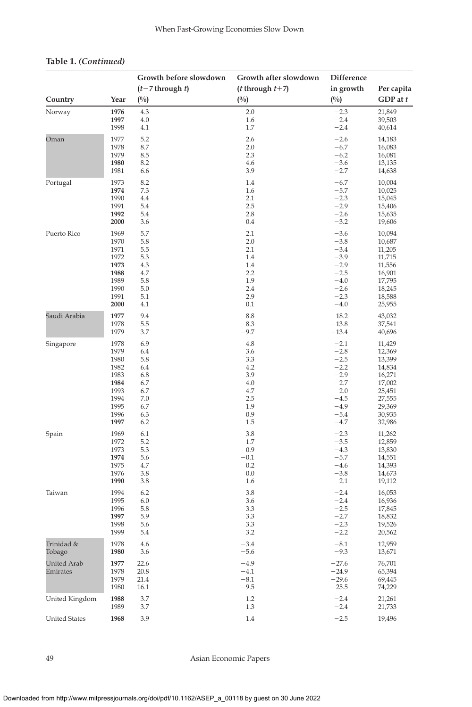## **Table 1.** *(Continued)*

|                      |              | Growth before slowdown | Growth after slowdown      | Difference       |                  |
|----------------------|--------------|------------------------|----------------------------|------------------|------------------|
|                      |              | $(t-7)$ through t)     | ( <i>t</i> through $t+7$ ) | in growth        | Per capita       |
| Country              | Year         | (0/0)                  | (0/0)                      | (0/0)            | GDP at t         |
| Norway               | 1976         | 4.3                    | 2.0                        | $-2.3$           | 21,849           |
|                      | 1997         | 4.0                    | 1.6                        | $-2.4$           | 39,503           |
|                      | 1998         | 4.1                    | 1.7                        | $-2.4$           | 40,614           |
| Oman                 | 1977         | 5.2                    | 2.6                        | $-2.6$           | 14,183           |
|                      | 1978         | 8.7                    | 2.0                        | $-6.7$           | 16,083           |
|                      | 1979         | 8.5                    | 2.3                        | $-6.2$           | 16,081           |
|                      | 1980         | 8.2                    | 4.6                        | $-3.6$           | 13,135           |
|                      | 1981         | 6.6                    | 3.9                        | $-2.7$           | 14,638           |
| Portugal             | 1973         | 8.2                    | 1.4                        | $-6.7$           | 10,004           |
|                      | 1974         | 7.3                    | 1.6                        | $-5.7$           | 10,025           |
|                      | 1990         | 4.4                    | 2.1                        | $-2.3$           | 15,045           |
|                      | 1991         | 5.4                    | 2.5                        | $-2.9$           | 15,406           |
|                      | 1992         | 5.4<br>3.6             | 2.8<br>0.4                 | $-2.6$           | 15,635           |
|                      | 2000         |                        |                            | $-3.2$           | 19,606           |
| Puerto Rico          | 1969         | 5.7                    | 2.1                        | $-3.6$           | 10,094           |
|                      | 1970         | 5.8                    | 2.0                        | $-3.8$           | 10,687           |
|                      | 1971         | 5.5                    | 2.1                        | $-3.4$           | 11,205           |
|                      | 1972<br>1973 | 5.3<br>4.3             | 1.4<br>1.4                 | $-3.9$<br>$-2.9$ | 11,715           |
|                      | 1988         | 4.7                    | 2.2                        | $-2.5$           | 11,556<br>16,901 |
|                      | 1989         | 5.8                    | 1.9                        | $-4.0$           | 17,795           |
|                      | 1990         | 5.0                    | 2.4                        | $-2.6$           | 18,245           |
|                      | 1991         | 5.1                    | 2.9                        | $-2.3$           | 18,588           |
|                      | 2000         | 4.1                    | 0.1                        | $-4.0$           | 25,955           |
| Saudi Arabia         | 1977         | 9.4                    | $-8.8$                     | $-18.2$          | 43,032           |
|                      | 1978         | 5.5                    | $-8.3$                     | $-13.8$          | 37,541           |
|                      | 1979         | 3.7                    | $-9.7$                     | $-13.4$          | 40,696           |
| Singapore            | 1978         | 6.9                    | 4.8                        | $-2.1$           | 11,429           |
|                      | 1979         | 6.4                    | 3.6                        | $-2.8$           | 12,369           |
|                      | 1980         | 5.8                    | 3.3                        | $-2.5$           | 13,399           |
|                      | 1982         | 6.4                    | 4.2                        | $-2.2$           | 14,834           |
|                      | 1983         | 6.8                    | 3.9                        | $-2.9$           | 16,271           |
|                      | 1984<br>1993 | 6.7<br>6.7             | 4.0<br>4.7                 | $-2.7$<br>$-2.0$ | 17,002<br>25,451 |
|                      | 1994         | 7.0                    | 2.5                        | $-4.5$           | 27,555           |
|                      | 1995         | 6.7                    | 1.9                        | $-4.9$           | 29,369           |
|                      | 1996         | 6.3                    | 0.9                        | $-5.4$           | 30,935           |
|                      | 1997         | 6.2                    | 1.5                        | $-4.7$           | 32,986           |
| Spain                | 1969         | 6.1                    | 3.8                        | $-2.3$           | 11,262           |
|                      | 1972         | 5.2                    | 1.7                        | $-3.5$           | 12,859           |
|                      | 1973         | 5.3                    | 0.9                        | $-4.3$           | 13,830           |
|                      | 1974         | 5.6                    | $-0.1$                     | $-5.7$           | 14,551           |
|                      | 1975         | 4.7                    | 0.2                        | $-4.6$           | 14,393           |
|                      | 1976         | 3.8                    | 0.0                        | $-3.8$           | 14,673           |
|                      | 1990         | 3.8                    | 1.6                        | $-2.1$           | 19,112           |
| Taiwan               | 1994         | 6.2                    | 3.8                        | $-2.4$           | 16,053           |
|                      | 1995         | 6.0                    | 3.6                        | $-2.4$           | 16,936           |
|                      | 1996         | 5.8                    | 3.3                        | $-2.5$           | 17,845           |
|                      | 1997<br>1998 | 5.9<br>5.6             | 3.3<br>3.3                 | $-2.7$<br>$-2.3$ | 18,832<br>19,526 |
|                      | 1999         | 5.4                    | 3.2                        | $-2.2$           | 20,562           |
|                      |              |                        | $-3.4$                     | $-8.1$           |                  |
| Trinidad &<br>Tobago | 1978<br>1980 | 4.6<br>3.6             | $-5.6$                     | $-9.3$           | 12,959<br>13,671 |
| <b>United Arab</b>   | 1977         | 22.6                   | $-4.9$                     | $-27.6$          | 76,701           |
| Emirates             | 1978         | 20.8                   | $-4.1$                     | $-24.9$          | 65,394           |
|                      | 1979         | 21.4                   | $-8.1$                     | $-29.6$          | 69,445           |
|                      | 1980         | 16.1                   | $-9.5$                     | $-25.5$          | 74,229           |
| United Kingdom       | 1988         | 3.7                    | 1.2                        | $-2.4$           | 21,261           |
|                      | 1989         | 3.7                    | 1.3                        | $-2.4$           | 21,733           |
| <b>United States</b> | 1968         | 3.9                    | 1.4                        | $-2.5$           | 19,496           |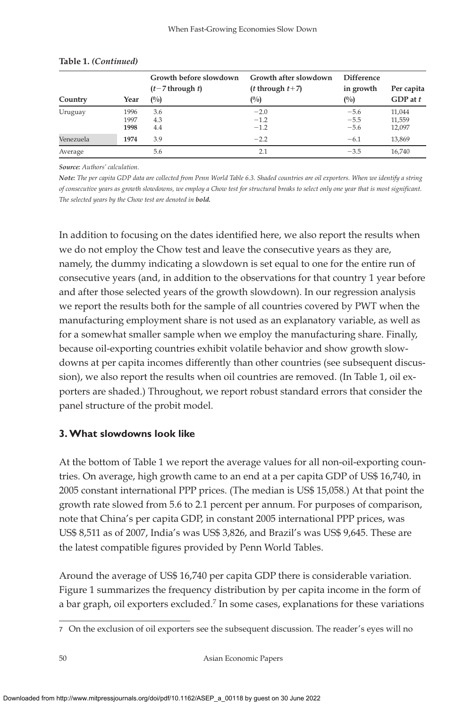|           |      | Growth before slowdown | Growth after slowdown      | <b>Difference</b> |              |
|-----------|------|------------------------|----------------------------|-------------------|--------------|
|           |      | $(t-7)$ through t)     | ( <i>t</i> through $t+7$ ) | in growth         | Per capita   |
| Country   | Year | (0/0)                  | (0/0)                      | (0/0)             | $GDP$ at $t$ |
| Uruguay   | 1996 | 3.6                    | $-2.0$                     | $-5.6$            | 11,044       |
|           | 1997 | 4.3                    | $-1.2$                     | $-5.5$            | 11,559       |
|           | 1998 | 4.4                    | $-1.2$                     | $-5.6$            | 12,097       |
| Venezuela | 1974 | 3.9                    | $-2.2$                     | $-6.1$            | 13,869       |
| Average   |      | 5.6                    | 2.1                        | $-3.5$            | 16.740       |

#### **Table 1.** *(Continued)*

*Source: Authors' calculation.*

*Note: The per capita GDP data are collected from Penn World Table 6.3. Shaded countries are oil exporters. When we identify a string of consecutive years as growth slowdowns, we employ a Chow test for structural breaks to select only one year that is most significant. The selected years by the Chow test are denoted in bold.*

In addition to focusing on the dates identified here, we also report the results when we do not employ the Chow test and leave the consecutive years as they are, namely, the dummy indicating a slowdown is set equal to one for the entire run of consecutive years (and, in addition to the observations for that country 1 year before and after those selected years of the growth slowdown). In our regression analysis we report the results both for the sample of all countries covered by PWT when the manufacturing employment share is not used as an explanatory variable, as well as for a somewhat smaller sample when we employ the manufacturing share. Finally, because oil-exporting countries exhibit volatile behavior and show growth slowdowns at per capita incomes differently than other countries (see subsequent discussion), we also report the results when oil countries are removed. (In Table 1, oil exporters are shaded.) Throughout, we report robust standard errors that consider the panel structure of the probit model.

### **3.What slowdowns look like**

At the bottom of Table 1 we report the average values for all non-oil-exporting countries. On average, high growth came to an end at a per capita GDP of US\$ 16,740, in 2005 constant international PPP prices. (The median is US\$ 15,058.) At that point the growth rate slowed from 5.6 to 2.1 percent per annum. For purposes of comparison, note that China's per capita GDP, in constant 2005 international PPP prices, was US\$ 8,511 as of 2007, India's was US\$ 3,826, and Brazil's was US\$ 9,645. These are the latest compatible figures provided by Penn World Tables.

Around the average of US\$ 16,740 per capita GDP there is considerable variation. Figure 1 summarizes the frequency distribution by per capita income in the form of a bar graph, oil exporters excluded.<sup>7</sup> In some cases, explanations for these variations

<sup>7</sup> On the exclusion of oil exporters see the subsequent discussion. The reader's eyes will no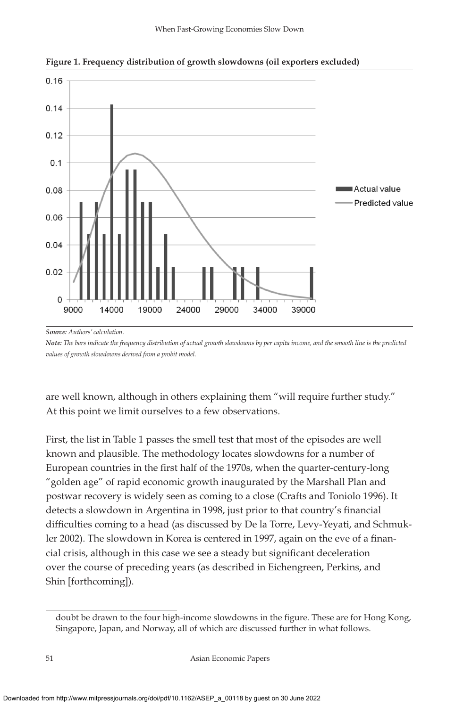

**Figure 1. Frequency distribution of growth slowdowns (oil exporters excluded)**

*Source: Authors' calculation.*

*Note: The bars indicate the frequency distribution of actual growth slowdowns by per capita income, and the smooth line is the predicted values of growth slowdowns derived from a probit model.*

are well known, although in others explaining them "will require further study." At this point we limit ourselves to a few observations.

First, the list in Table 1 passes the smell test that most of the episodes are well known and plausible. The methodology locates slowdowns for a number of European countries in the first half of the 1970s, when the quarter-century-long "golden age" of rapid economic growth inaugurated by the Marshall Plan and postwar recovery is widely seen as coming to a close (Crafts and Toniolo 1996). It detects a slowdown in Argentina in 1998, just prior to that country's financial difficulties coming to a head (as discussed by De la Torre, Levy-Yeyati, and Schmukler 2002). The slowdown in Korea is centered in 1997, again on the eve of a financial crisis, although in this case we see a steady but significant deceleration over the course of preceding years (as described in Eichengreen, Perkins, and Shin [forthcoming]).

doubt be drawn to the four high-income slowdowns in the figure. These are for Hong Kong, Singapore, Japan, and Norway, all of which are discussed further in what follows.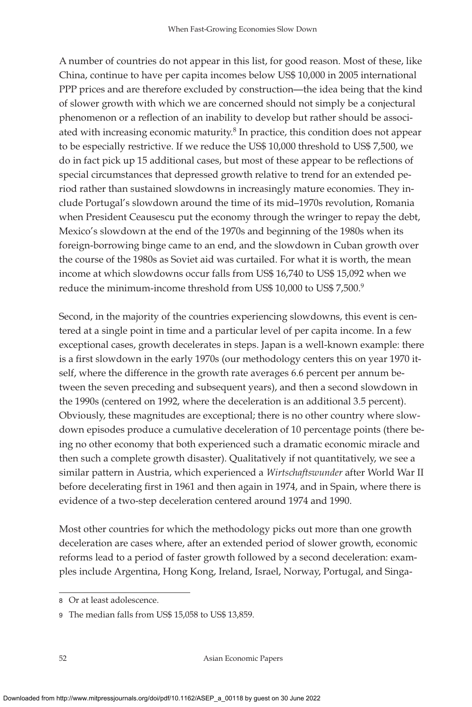A number of countries do not appear in this list, for good reason. Most of these, like China, continue to have per capita incomes below US\$ 10,000 in 2005 international PPP prices and are therefore excluded by construction—the idea being that the kind of slower growth with which we are concerned should not simply be a conjectural phenomenon or a reflection of an inability to develop but rather should be associated with increasing economic maturity. $8$  In practice, this condition does not appear to be especially restrictive. If we reduce the US\$ 10,000 threshold to US\$ 7,500, we do in fact pick up 15 additional cases, but most of these appear to be reflections of special circumstances that depressed growth relative to trend for an extended period rather than sustained slowdowns in increasingly mature economies. They include Portugal's slowdown around the time of its mid–1970s revolution, Romania when President Ceausescu put the economy through the wringer to repay the debt, Mexico's slowdown at the end of the 1970s and beginning of the 1980s when its foreign-borrowing binge came to an end, and the slowdown in Cuban growth over the course of the 1980s as Soviet aid was curtailed. For what it is worth, the mean income at which slowdowns occur falls from US\$ 16,740 to US\$ 15,092 when we reduce the minimum-income threshold from US\$ 10,000 to US\$ 7,500.9

Second, in the majority of the countries experiencing slowdowns, this event is centered at a single point in time and a particular level of per capita income. In a few exceptional cases, growth decelerates in steps. Japan is a well-known example: there is a first slowdown in the early 1970s (our methodology centers this on year 1970 itself, where the difference in the growth rate averages 6.6 percent per annum between the seven preceding and subsequent years), and then a second slowdown in the 1990s (centered on 1992, where the deceleration is an additional 3.5 percent). Obviously, these magnitudes are exceptional; there is no other country where slowdown episodes produce a cumulative deceleration of 10 percentage points (there being no other economy that both experienced such a dramatic economic miracle and then such a complete growth disaster). Qualitatively if not quantitatively, we see a similar pattern in Austria, which experienced a *Wirtschaftswunder* after World War II before decelerating first in 1961 and then again in 1974, and in Spain, where there is evidence of a two-step deceleration centered around 1974 and 1990.

Most other countries for which the methodology picks out more than one growth deceleration are cases where, after an extended period of slower growth, economic reforms lead to a period of faster growth followed by a second deceleration: examples include Argentina, Hong Kong, Ireland, Israel, Norway, Portugal, and Singa-

<sup>8</sup> Or at least adolescence.

<sup>9</sup> The median falls from US\$ 15,058 to US\$ 13,859.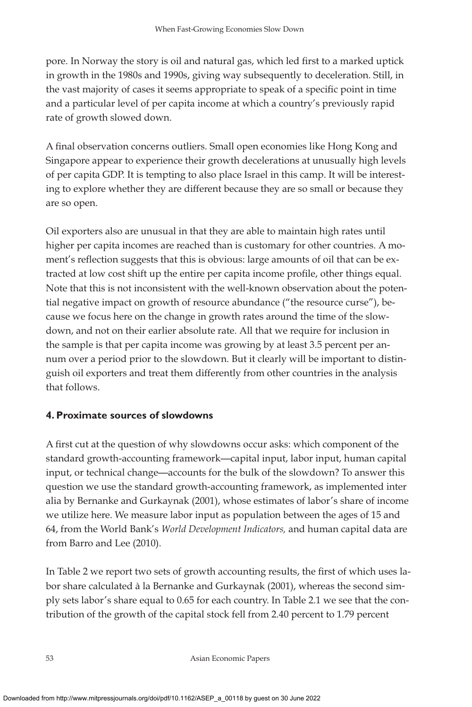pore. In Norway the story is oil and natural gas, which led first to a marked uptick in growth in the 1980s and 1990s, giving way subsequently to deceleration. Still, in the vast majority of cases it seems appropriate to speak of a specific point in time and a particular level of per capita income at which a country's previously rapid rate of growth slowed down.

A final observation concerns outliers. Small open economies like Hong Kong and Singapore appear to experience their growth decelerations at unusually high levels of per capita GDP. It is tempting to also place Israel in this camp. It will be interesting to explore whether they are different because they are so small or because they are so open.

Oil exporters also are unusual in that they are able to maintain high rates until higher per capita incomes are reached than is customary for other countries. A moment's reflection suggests that this is obvious: large amounts of oil that can be extracted at low cost shift up the entire per capita income profile, other things equal. Note that this is not inconsistent with the well-known observation about the potential negative impact on growth of resource abundance ("the resource curse"), because we focus here on the change in growth rates around the time of the slowdown, and not on their earlier absolute rate. All that we require for inclusion in the sample is that per capita income was growing by at least 3.5 percent per annum over a period prior to the slowdown. But it clearly will be important to distinguish oil exporters and treat them differently from other countries in the analysis that follows.

### **4. Proximate sources of slowdowns**

A first cut at the question of why slowdowns occur asks: which component of the standard growth-accounting framework—capital input, labor input, human capital input, or technical change—accounts for the bulk of the slowdown? To answer this question we use the standard growth-accounting framework, as implemented inter alia by Bernanke and Gurkaynak (2001), whose estimates of labor's share of income we utilize here. We measure labor input as population between the ages of 15 and 64, from the World Bank's *World Development Indicators,* and human capital data are from Barro and Lee (2010).

In Table 2 we report two sets of growth accounting results, the first of which uses labor share calculated à la Bernanke and Gurkaynak (2001), whereas the second simply sets labor's share equal to 0.65 for each country. In Table 2.1 we see that the contribution of the growth of the capital stock fell from 2.40 percent to 1.79 percent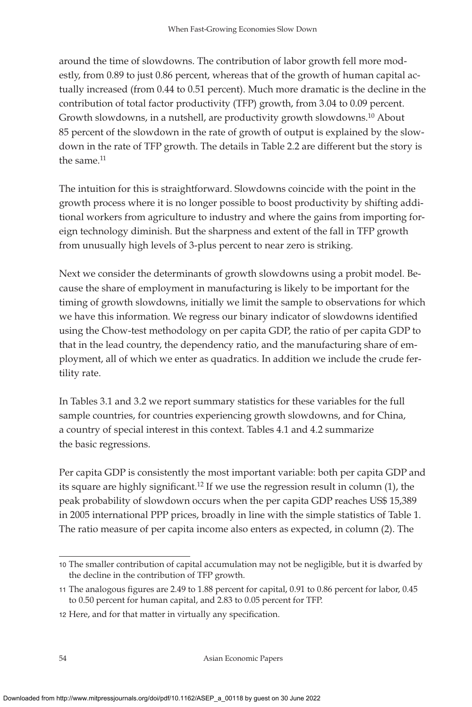around the time of slowdowns. The contribution of labor growth fell more modestly, from 0.89 to just 0.86 percent, whereas that of the growth of human capital actually increased (from 0.44 to 0.51 percent). Much more dramatic is the decline in the contribution of total factor productivity (TFP) growth, from 3.04 to 0.09 percent. Growth slowdowns, in a nutshell, are productivity growth slowdowns.10 About 85 percent of the slowdown in the rate of growth of output is explained by the slowdown in the rate of TFP growth. The details in Table 2.2 are different but the story is the same.<sup>11</sup>

The intuition for this is straightforward. Slowdowns coincide with the point in the growth process where it is no longer possible to boost productivity by shifting additional workers from agriculture to industry and where the gains from importing foreign technology diminish. But the sharpness and extent of the fall in TFP growth from unusually high levels of 3-plus percent to near zero is striking.

Next we consider the determinants of growth slowdowns using a probit model. Because the share of employment in manufacturing is likely to be important for the timing of growth slowdowns, initially we limit the sample to observations for which we have this information. We regress our binary indicator of slowdowns identified using the Chow-test methodology on per capita GDP, the ratio of per capita GDP to that in the lead country, the dependency ratio, and the manufacturing share of employment, all of which we enter as quadratics. In addition we include the crude fertility rate.

In Tables 3.1 and 3.2 we report summary statistics for these variables for the full sample countries, for countries experiencing growth slowdowns, and for China, a country of special interest in this context. Tables 4.1 and 4.2 summarize the basic regressions.

Per capita GDP is consistently the most important variable: both per capita GDP and its square are highly significant.<sup>12</sup> If we use the regression result in column (1), the peak probability of slowdown occurs when the per capita GDP reaches US\$ 15,389 in 2005 international PPP prices, broadly in line with the simple statistics of Table 1. The ratio measure of per capita income also enters as expected, in column (2). The

<sup>10</sup> The smaller contribution of capital accumulation may not be negligible, but it is dwarfed by the decline in the contribution of TFP growth.

<sup>11</sup> The analogous figures are 2.49 to 1.88 percent for capital, 0.91 to 0.86 percent for labor, 0.45 to 0.50 percent for human capital, and 2.83 to 0.05 percent for TFP.

<sup>12</sup> Here, and for that matter in virtually any specification.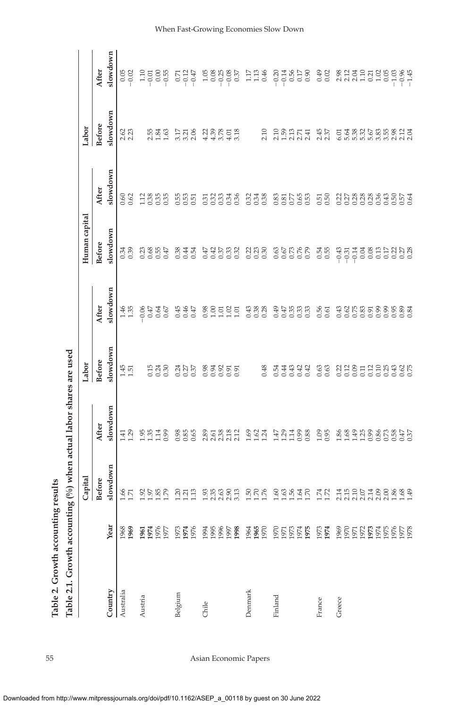|           |                               | Capital                    |                         | Labor                      |                          | Human capital                                         |                    | Labor                                                                       |                                   |
|-----------|-------------------------------|----------------------------|-------------------------|----------------------------|--------------------------|-------------------------------------------------------|--------------------|-----------------------------------------------------------------------------|-----------------------------------|
|           |                               | <b>Before</b>              | After                   | <b>Before</b>              | After                    | <b>Before</b>                                         | After              | <b>Before</b>                                                               | After                             |
| Country   | Year                          | slowdown                   | slowdown                | slowdown                   | slowdown                 | slowdown                                              | slowdown           | slowdown                                                                    | slowdown                          |
| Australia | 1968<br>1969                  | $1.66$<br>$1.71$           | $1.41$<br>$1.29$        | 1.51                       | 1.35                     | 0.34                                                  | 0.60<br>0.62       | $2.62$<br>$2.23$                                                            | 0.05                              |
| Austria   | <b>1955<br/>1956</b><br>1951  | 2588                       | $\frac{95}{13}$<br>1.14 | 538<br>0.38                | 047<br>067<br>060        |                                                       | 113855             | 2.348                                                                       |                                   |
| Belgium   | 1973<br>1974<br>1976          | 20212                      | 8856                    | 0.24<br>0.27<br>0.37       | 0.45<br>$0.46$<br>$0.47$ | 8345                                                  | 55<br>0.53<br>0.51 | 3.778                                                                       | $-0.12$<br>$-0.47$                |
| Chile     | 1996<br>1997<br>1994<br>1998  | s s s s s s<br>S s s s s s |                         | 888555                     |                          | 요 하 있 없음<br>한국 이 있 이                                  | 533336<br>000336   | 238858                                                                      | $1.08888$<br>$-0.0888$<br>$-0.37$ |
| Denmark   | 1964<br>1965<br>1970          | 3888                       | 3824                    | 0.48                       | 0.38<br>0.43             | $\begin{array}{c}\n 27 \\  27 \\  0\n \end{array}$    | $0.34$<br>0.34     | 2.10                                                                        | $1.17$<br>$1.13$<br>$0.46$        |
| Finland   | 1970<br><b>22525</b><br>22551 | $68888$ R                  | H21188                  | 333<br>333<br>0.54<br>0.44 | 0.49<br>45<br>933<br>93  | 85888                                                 | 885598             | $28274$<br>$22727$                                                          | $23.7858$<br>$-2.5858$            |
| France    | 1973<br>1974                  | $1.74$<br>$1.72$           | 1.09                    | 0.63                       | 0.56<br>0.61             | 0.54                                                  | $0.51$<br>$0.50$   | $2.45$<br>$2.37$                                                            | $0.49$<br>$0.02$                  |
| Greece    | <b>88585568686</b><br>1959    | THODTOOS 34                | 889888895               |                            | 43585995934              | 엮 appa 겸 겸 영 임 님 임 임 영<br>- - - - - - - - - - - - - - | 2228888995554      | ธ ชี ลี ลี ลี นี นิ นิ นิ นิ นิ นิ นิ<br>ธ นิ นิ นิ นิ นิ นิ นิ นิ นิ นิ นิ |                                   |

Table 2. Growth accounting results **Table 2. Growth accounting results**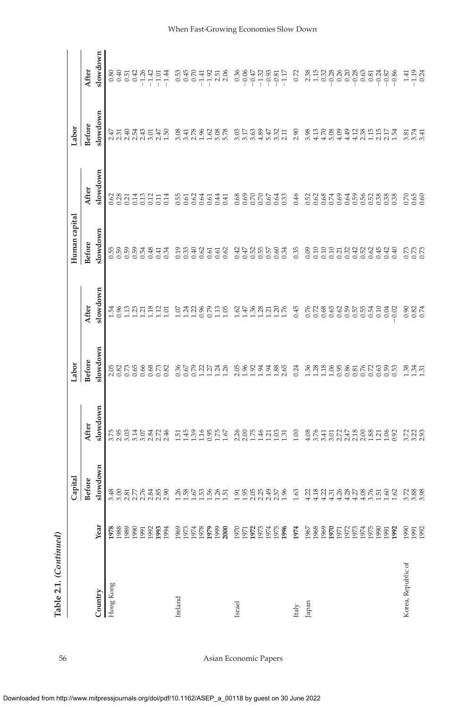| Table 2.1. (Continued) |                      |                                          |                                                    |                            |                            |                                                          |                           |                        |                                                                                                                                                                                                                                                                                                                                                 |
|------------------------|----------------------|------------------------------------------|----------------------------------------------------|----------------------------|----------------------------|----------------------------------------------------------|---------------------------|------------------------|-------------------------------------------------------------------------------------------------------------------------------------------------------------------------------------------------------------------------------------------------------------------------------------------------------------------------------------------------|
|                        |                      | Capital                                  |                                                    | Labor                      |                            | Human capital                                            |                           | Labor                  |                                                                                                                                                                                                                                                                                                                                                 |
|                        |                      | <b>Before</b>                            | After                                              | <b>Before</b>              | After                      | <b>Before</b>                                            | After                     | <b>Before</b>          | After                                                                                                                                                                                                                                                                                                                                           |
| Country                | Year                 | slowdown                                 | slowdown                                           | slowdown                   | slowdown                   | slowdown                                                 | slowdown                  | slowdown               | slowdown                                                                                                                                                                                                                                                                                                                                        |
| Hong Kong              |                      |                                          |                                                    |                            |                            |                                                          |                           |                        |                                                                                                                                                                                                                                                                                                                                                 |
|                        | 1978                 |                                          | 3.75<br>2.95<br>3.03                               | 2.82<br>0.82<br>0.73       | 1.54                       | $\begin{array}{c} 568883 \\ 0000 \\ 0000 \\ \end{array}$ | 0.62<br>0.28<br>0.21      | 2.47<br>2.31           | 88<br>0.05<br>0.0                                                                                                                                                                                                                                                                                                                               |
|                        | 1989                 |                                          |                                                    |                            | $\frac{13}{2}$             |                                                          |                           |                        |                                                                                                                                                                                                                                                                                                                                                 |
|                        |                      |                                          | 3.14                                               | 0.65                       | $\frac{23}{121}$           |                                                          | 0.14                      |                        |                                                                                                                                                                                                                                                                                                                                                 |
|                        | 1991<br>1991         |                                          |                                                    |                            |                            |                                                          | 0.13                      |                        | $-1.26$                                                                                                                                                                                                                                                                                                                                         |
|                        |                      |                                          |                                                    |                            |                            |                                                          |                           |                        |                                                                                                                                                                                                                                                                                                                                                 |
|                        | 1983<br>1983         | ទីទីនីកក្នុងនិទ្ធិ<br>ត្តូត្តីក្តីនិទ្ធិ | 2.84<br>2.746                                      | 8<br>0.52                  | $\frac{28}{115}$           | अ स लू<br>०००                                            | $211$<br>$0.11$<br>$0.14$ |                        | $777$<br>$-177$                                                                                                                                                                                                                                                                                                                                 |
|                        |                      |                                          |                                                    |                            |                            |                                                          |                           |                        |                                                                                                                                                                                                                                                                                                                                                 |
| Ireland                |                      |                                          | $\frac{5148}{143}$                                 |                            |                            | 0.19                                                     | 0.55<br>0.61              |                        |                                                                                                                                                                                                                                                                                                                                                 |
|                        |                      |                                          |                                                    |                            |                            |                                                          |                           |                        |                                                                                                                                                                                                                                                                                                                                                 |
|                        | <b>36558</b>         |                                          |                                                    | sessinas                   | 27128                      | 33885<br>33855                                           |                           | 3.31<br>3.318<br>3.215 | 38<br>0.45<br>0.0                                                                                                                                                                                                                                                                                                                               |
|                        |                      |                                          | 116                                                |                            |                            |                                                          | 0.64                      |                        |                                                                                                                                                                                                                                                                                                                                                 |
|                        | 1979                 |                                          | 0.95                                               |                            | 0.79                       |                                                          | 0.61                      |                        |                                                                                                                                                                                                                                                                                                                                                 |
|                        | 1999                 |                                          | 1.57                                               |                            | $1.13$<br>$1.05$           |                                                          | 0.44                      | $1.62$ 8.78            | 표정<br>보기<br>국가 역                                                                                                                                                                                                                                                                                                                                |
|                        | 2000                 |                                          |                                                    |                            |                            | 0.62                                                     | 0.41                      |                        |                                                                                                                                                                                                                                                                                                                                                 |
| Israel                 | 1970                 |                                          |                                                    |                            |                            |                                                          |                           |                        | $\begin{array}{c} 36 \\ 0.36 \\ -0.47 \\ -0.32 \\ -0.81 \\ -0.81 \\ -0.81 \\ -0.81 \\ -0.81 \\ -0.81 \\ -0.81 \\ -0.81 \\ -0.81 \\ -0.81 \\ -0.81 \\ -0.81 \\ -0.81 \\ -0.81 \\ -0.81 \\ -0.81 \\ -0.81 \\ -0.81 \\ -0.81 \\ -0.81 \\ -0.81 \\ -0.81 \\ -0.81 \\ -0.81 \\ -0.81 \\ -0.81 \\ -0.81 \\ -0.81 \\ -0.81 \\ -0.81 \\ -0.81 \\ -0.81$ |
|                        |                      |                                          | 2.26<br>2.07<br>2.175                              | $2.96$<br>$1.92$<br>$1.92$ | $1.62$<br>$1.47$<br>$1.36$ |                                                          | 88<br>0.69<br>0.70        | 3.55<br>3.58           |                                                                                                                                                                                                                                                                                                                                                 |
|                        |                      |                                          |                                                    |                            |                            |                                                          |                           |                        |                                                                                                                                                                                                                                                                                                                                                 |
|                        | <b>222222</b>        | s s s s s s s s<br>E s s s s s s s       | 1.46                                               | 1.94                       | 1.28                       | 역할법법법<br>영학 이 대학                                         | 0.70                      | 4.89                   |                                                                                                                                                                                                                                                                                                                                                 |
|                        |                      |                                          | $\frac{718}{13}$                                   | $1.94$<br>$1.86$<br>$2.65$ | $\frac{27}{120}$           |                                                          | 0.67<br>0.64<br>0.33      |                        |                                                                                                                                                                                                                                                                                                                                                 |
|                        |                      |                                          |                                                    |                            |                            |                                                          |                           |                        |                                                                                                                                                                                                                                                                                                                                                 |
|                        | 1996                 |                                          |                                                    |                            |                            |                                                          |                           | 5.47<br>3.32<br>2.11   |                                                                                                                                                                                                                                                                                                                                                 |
| $_{\rm Italy}$         | 1974                 | 1.63                                     | 1.00                                               | 0.24                       | 0.45                       | 0.35                                                     | 0.46                      | 2.90                   | 0.72                                                                                                                                                                                                                                                                                                                                            |
| Japan                  | 1967                 | 4.22                                     | 4.08                                               | 1.36                       | 0.76                       | 0.09                                                     | 0.52                      | 3.98                   | $\begin{array}{l} 89.41 & 89.41 & 89.43 & 89.43 & 89.43 & 89.43 & 89.43 & 89.43 & 89.43 & 89.43 & 89.43 & 89.43 & 89.43 & 89.43 & 89.43 & 89.43 & 89.43 & 89.43 & 89.43 & 89.43 & 89.43 & 89.43 & 89.43 & 89.43 & 89.43 & 89.43 & 89.43 & 89.43 & 89.43 & 89.43 & 89$                                                                           |
|                        |                      |                                          |                                                    |                            | 0.72                       |                                                          |                           |                        |                                                                                                                                                                                                                                                                                                                                                 |
|                        | 1968<br>1969<br>1970 |                                          |                                                    |                            |                            |                                                          | 0.62<br>0.68<br>0.74      |                        |                                                                                                                                                                                                                                                                                                                                                 |
|                        |                      | 2827788788                               |                                                    | 23.288888                  | 8882555<br>000000          |                                                          |                           | $13880$<br>$4404$      |                                                                                                                                                                                                                                                                                                                                                 |
|                        |                      |                                          |                                                    |                            |                            |                                                          |                           |                        |                                                                                                                                                                                                                                                                                                                                                 |
|                        | <b>22222</b>         |                                          |                                                    |                            |                            |                                                          |                           | 4.49                   |                                                                                                                                                                                                                                                                                                                                                 |
|                        |                      |                                          |                                                    |                            |                            |                                                          |                           | 4.12<br>2.38           |                                                                                                                                                                                                                                                                                                                                                 |
|                        |                      |                                          |                                                    |                            |                            |                                                          |                           |                        |                                                                                                                                                                                                                                                                                                                                                 |
|                        | 1975<br>1990         |                                          |                                                    |                            | 0.54                       |                                                          |                           |                        |                                                                                                                                                                                                                                                                                                                                                 |
|                        |                      | $3.500$<br>$1.500$<br>$1.62$             | $K = 5K + 258$<br>$K = 5K + 258$<br>$K = 5K + 258$ | 2888                       | 0.10                       | 8888888888                                               | $9958888$<br>$0000000$    | 11517                  |                                                                                                                                                                                                                                                                                                                                                 |
|                        | 1991                 |                                          |                                                    |                            | 0.04                       |                                                          |                           |                        |                                                                                                                                                                                                                                                                                                                                                 |
|                        | 1992                 |                                          |                                                    |                            | 0.02                       |                                                          | 0.38                      |                        |                                                                                                                                                                                                                                                                                                                                                 |
| Korea, Republic of     | 8882                 | 7,88,8                                   | 228<br>239                                         | 1.38                       | 0.90                       |                                                          | 286<br>286                | 55<br>354              | 1.41                                                                                                                                                                                                                                                                                                                                            |
|                        |                      |                                          |                                                    | $1.34$<br>$1.31$           |                            |                                                          |                           |                        |                                                                                                                                                                                                                                                                                                                                                 |
|                        |                      |                                          |                                                    |                            | 0.82                       |                                                          |                           |                        | $-1.19$<br>0.24                                                                                                                                                                                                                                                                                                                                 |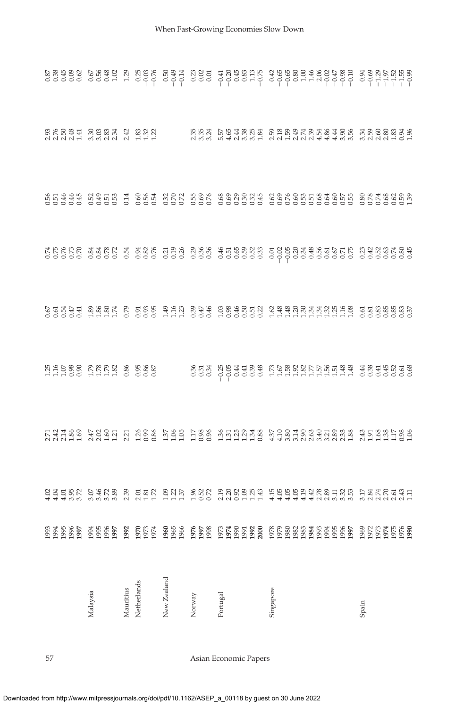|             |                                                                                                                   |                                                                                                                                 | 111088 RRR2 8 9888                                                                                                                                                                                                               |                                                                                                                                                                                                                                  |                                                                                                                                                                         |                                                                                                                                                                                                                  |  |
|-------------|-------------------------------------------------------------------------------------------------------------------|---------------------------------------------------------------------------------------------------------------------------------|----------------------------------------------------------------------------------------------------------------------------------------------------------------------------------------------------------------------------------|----------------------------------------------------------------------------------------------------------------------------------------------------------------------------------------------------------------------------------|-------------------------------------------------------------------------------------------------------------------------------------------------------------------------|------------------------------------------------------------------------------------------------------------------------------------------------------------------------------------------------------------------|--|
| Malaysia    |                                                                                                                   |                                                                                                                                 |                                                                                                                                                                                                                                  |                                                                                                                                                                                                                                  |                                                                                                                                                                         |                                                                                                                                                                                                                  |  |
| Mauritius   |                                                                                                                   |                                                                                                                                 |                                                                                                                                                                                                                                  |                                                                                                                                                                                                                                  |                                                                                                                                                                         |                                                                                                                                                                                                                  |  |
| Netherlands |                                                                                                                   |                                                                                                                                 |                                                                                                                                                                                                                                  |                                                                                                                                                                                                                                  |                                                                                                                                                                         |                                                                                                                                                                                                                  |  |
| New Zealand |                                                                                                                   |                                                                                                                                 |                                                                                                                                                                                                                                  |                                                                                                                                                                                                                                  |                                                                                                                                                                         |                                                                                                                                                                                                                  |  |
| Norway      |                                                                                                                   |                                                                                                                                 |                                                                                                                                                                                                                                  |                                                                                                                                                                                                                                  |                                                                                                                                                                         |                                                                                                                                                                                                                  |  |
| Portugal    |                                                                                                                   |                                                                                                                                 |                                                                                                                                                                                                                                  |                                                                                                                                                                                                                                  |                                                                                                                                                                         |                                                                                                                                                                                                                  |  |
| Singapore   | STERY PART & P ERY SUR SUR POOLET FEBORAR SERG PARTEGE.<br>STERY PART & P ERY SUR SUR POOLET FEBORAR SERG PARTEGE | rates describi de controlado de campo de controlada de control.<br>Estado de controlado de controlado de controlada de controla | ses de de la capa de la capa de la capa de la capa de la capa de la capa de la capa de la capa de la capa de l<br>Regna de la capa de la capa de la capa de la capa de la capa de la capa de la capa de la capa de la capa de la | residence a subsidence de la designa de la designa de la della della della della della della della della della<br>La della della della della della della della della della della della della della della della della della della | OUQUO USUO I CON UCU DO COOCOO OCOOCOOCOOCOO COOCOOL<br>MUA44 MAND I CUM MNN MON OCNOMA CONCONDO CON DINO CONMO<br>MUAGE DO CO I COO COO COO COOCOO COOCOOCOOCOO COOCOO | e e de de control de control de controla de control de control.<br>Control de control de control de control de control de control de control.<br>Control de control de control de control de control de control. |  |
| Spain       |                                                                                                                   |                                                                                                                                 |                                                                                                                                                                                                                                  |                                                                                                                                                                                                                                  |                                                                                                                                                                         |                                                                                                                                                                                                                  |  |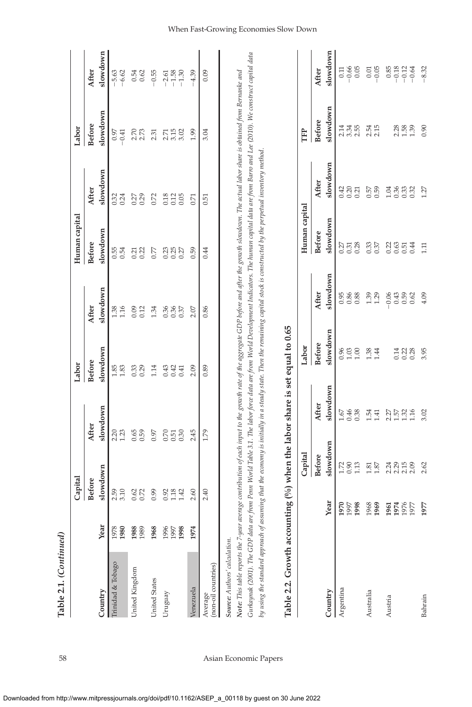| <b>THEFT EIL: COMMUNICAT</b>                                                 |                      |                                                             |                              |                          |                                 |                        |                                  |                          |                               |
|------------------------------------------------------------------------------|----------------------|-------------------------------------------------------------|------------------------------|--------------------------|---------------------------------|------------------------|----------------------------------|--------------------------|-------------------------------|
|                                                                              |                      | Capital                                                     |                              | Labor                    |                                 | Human capital          |                                  | Labor                    |                               |
|                                                                              |                      | <b>Before</b>                                               | After                        | <b>Before</b>            | After                           | <b>Before</b>          | After                            | <b>Before</b>            | After                         |
| Country                                                                      | Year                 | slowdown                                                    | slowdown                     | slowdown                 | slowdown                        | slowdown               | slowdown                         | slowdown                 | slowdown                      |
| Trinidad & Tobago                                                            | 1978<br>1980         | 3.10<br>2.59                                                | $2.20$<br>$1.23$             | $\frac{18}{1.83}$        | 1.38<br>1.16                    | 0.54<br>0.54           | $0.32$<br>$0.24$                 | $-0.41$<br>0.97          | $-5.63$<br>$-6.62$            |
| United Kingdom                                                               | 1988<br>1989         | $0.62$<br>$0.72$                                            | $0.65$<br>0.59               | 0.33                     | 0.09<br>0.12                    | 0.21                   | 0.27                             | $2.70$<br>$2.73$         | 0.54<br>0.62                  |
| United States                                                                | 1968                 | 0.99                                                        | 0.97                         | 1.14                     | 1.34                            | 0.77                   | 0.72                             | 2.31                     | $-0.55$                       |
| Uruguay                                                                      | 1996<br>1997<br>1998 | 0.92<br>1.18<br>1.42                                        | 0.70<br>$0.51$<br>$0.30$     | 0.43<br>0.42<br>0.41     | 0.36<br>0.36<br>0.37            | ន្ទន្ទន្ទ្រ            | 0.18<br>0.12<br>0.05             | $3.15$<br>$3.02$<br>2.71 | $-1.58$<br>$-2.61$<br>$-1.30$ |
| Venezuela                                                                    | 1974                 | 2.60                                                        | 2.45                         | 2.09                     | 2.07                            | 0.59                   | 0.71                             | 1.99                     | $-4.39$                       |
| Average<br>(non-oil countries)                                               |                      | 2.40                                                        | 1.79                         | 0.89                     | 0.86                            | 0.44                   | 0.51                             | 3.04                     | 0.09                          |
| Table 2.2. Growth accounting $(%)$ when the labor share is set equal to 0.65 |                      | Capital                                                     |                              | Labor                    |                                 | Human capital          |                                  | È                        |                               |
|                                                                              |                      | <b>Before</b>                                               | After                        | <b>Before</b>            | After                           | <b>Before</b>          | After                            | <b>Before</b>            | After                         |
| Country                                                                      |                      | slowdown<br>Year                                            | slowdown                     | slowdown                 | slowdown                        | slowdown               | slowdown                         | slowdown                 | slowdown                      |
| Argentina                                                                    |                      | 0.90<br>1.13<br>1.72<br>1970<br>1997<br>1998                | 0.46<br>0.38<br>1.67         | 0.96<br>$1.03$<br>$1.00$ | 0.86<br>0.95                    | 0.28<br>$0.27$<br>0.31 | 0.42<br>0.20<br>0.21             | 2.14<br>$3.34$<br>$2.55$ | $-0.66$<br>0.05<br>0.11       |
| Australia                                                                    |                      | $\begin{array}{c} 1.81 \\ 1.87 \end{array}$<br>1969<br>1968 | 1.54<br>1.41                 | $1.38$<br>$1.44$         | $1.39$<br>$1.29$                | 0.37                   | $0.57$<br>$0.59$                 | $2.54$<br>$2.15$         | $-0.05$<br>$0.01\,$           |
| Austria                                                                      |                      | 2.24<br>2.15<br>2.09<br>1974<br>1976<br>1961<br>1977        | 2.57<br>1.57<br>1.52<br>1.16 |                          | $-0.06$<br>0.43<br>0.59<br>0.62 | 385<br>0.44            | $0.36$<br>$0.33$<br>1.04<br>0.32 | $2.88$<br>$1.39$         | $-0.85$<br>$-0.12$<br>$-0.64$ |
| Bahrain                                                                      |                      | 2.62<br>1977                                                | 3.02                         | 3.95                     | 4.09                            | 111                    | 1.27                             | 0.90                     | $-8.32$                       |

Table 2.1. (Continued) **Table 2.1.** *(Continued)*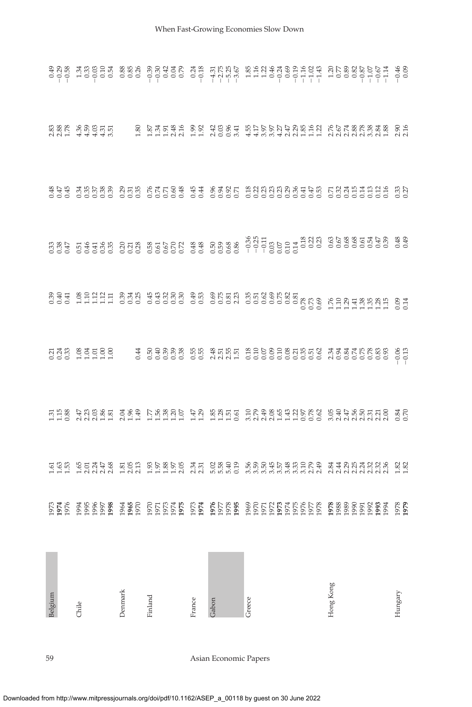Downloaded from http://www.mitpressjournals.org/doi/pdf/10.1162/ASEP\_a\_00118 by guest on 30 June 2022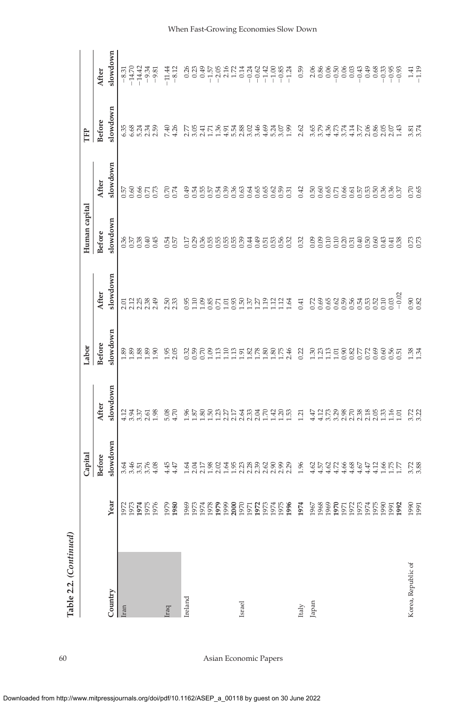|                    |                      | Capital                                                                            |                      | Labor             |                                   | Human capital                                       |                                                                 | È                           |                                                                                                                                                                                                                                                                                                                                    |
|--------------------|----------------------|------------------------------------------------------------------------------------|----------------------|-------------------|-----------------------------------|-----------------------------------------------------|-----------------------------------------------------------------|-----------------------------|------------------------------------------------------------------------------------------------------------------------------------------------------------------------------------------------------------------------------------------------------------------------------------------------------------------------------------|
|                    |                      |                                                                                    |                      |                   |                                   |                                                     |                                                                 |                             |                                                                                                                                                                                                                                                                                                                                    |
|                    |                      | <b>Before</b>                                                                      | After                | <b>Before</b>     | After                             | <b>Before</b>                                       | After                                                           | <b>Before</b>               | After                                                                                                                                                                                                                                                                                                                              |
| Country            | Year                 | slowdown                                                                           | slowdown             | slowdown          | slowdown                          | slowdown                                            | slowdown                                                        | slowdown                    | slowdown                                                                                                                                                                                                                                                                                                                           |
| Iran               |                      |                                                                                    |                      | $\frac{89}{1.89}$ |                                   | 0.36                                                |                                                                 | 6.35<br>6.68                |                                                                                                                                                                                                                                                                                                                                    |
|                    | 1973<br>1974<br>1975 | 4455<br>3355                                                                       | $135,58$<br>$155,58$ |                   | 012889<br>012889                  |                                                     | 53855<br>53855                                                  |                             |                                                                                                                                                                                                                                                                                                                                    |
|                    |                      |                                                                                    |                      | 88                |                                   | $0.38$<br>$0.40$                                    |                                                                 | ನೆ ನೆ ದಿ<br>ರವಿ ನ           |                                                                                                                                                                                                                                                                                                                                    |
|                    |                      |                                                                                    |                      | $\frac{8}{2}$     |                                   |                                                     |                                                                 |                             |                                                                                                                                                                                                                                                                                                                                    |
|                    | 1976                 | 4.08                                                                               |                      | 001.5             |                                   | 0.45                                                |                                                                 |                             |                                                                                                                                                                                                                                                                                                                                    |
| raq                | 1979                 |                                                                                    |                      |                   |                                   |                                                     |                                                                 |                             |                                                                                                                                                                                                                                                                                                                                    |
|                    | 1980                 | $4.45$<br>$4.47$                                                                   | 5.08                 | $1.95$<br>$2.05$  | $2.50$<br>$2.33$                  | 0.54<br>0.57                                        | 0.74                                                            | 7.40<br>4.26                | $-11.44$<br>$-8.12$                                                                                                                                                                                                                                                                                                                |
| Ireland            | 1969                 |                                                                                    |                      |                   | 0.95                              | 0.17                                                |                                                                 |                             |                                                                                                                                                                                                                                                                                                                                    |
|                    |                      | ははい 80 2 5 6 6 7 8 9 9 0 9 9 9 0<br>ここころ 2 9 9 9 9 9 9 9 9 9 9 9 9<br>ここここここここここここ |                      | 3888              |                                   |                                                     |                                                                 | n<br>Sain<br>Zai            | $0.26$<br>0.23                                                                                                                                                                                                                                                                                                                     |
|                    |                      |                                                                                    |                      |                   | 1.10<br>1.09                      |                                                     |                                                                 |                             |                                                                                                                                                                                                                                                                                                                                    |
|                    | 1973<br>1974<br>1978 |                                                                                    |                      |                   |                                   |                                                     |                                                                 |                             |                                                                                                                                                                                                                                                                                                                                    |
|                    |                      |                                                                                    |                      | nenskaare         | 8558855                           | 38655553                                            |                                                                 | $35788$<br>$1400$<br>$1400$ |                                                                                                                                                                                                                                                                                                                                    |
|                    |                      |                                                                                    |                      |                   |                                   |                                                     |                                                                 |                             |                                                                                                                                                                                                                                                                                                                                    |
|                    |                      |                                                                                    |                      |                   |                                   |                                                     |                                                                 |                             |                                                                                                                                                                                                                                                                                                                                    |
| Israel             |                      |                                                                                    |                      |                   |                                   |                                                     |                                                                 |                             |                                                                                                                                                                                                                                                                                                                                    |
|                    |                      |                                                                                    |                      |                   |                                   |                                                     |                                                                 |                             |                                                                                                                                                                                                                                                                                                                                    |
|                    |                      |                                                                                    |                      |                   |                                   | $\begin{array}{c}\n 495666 \\  69566\n \end{array}$ |                                                                 |                             | $\begin{array}{c}\n 11.41 \\  13.41 \\  14.41 \\  15.41 \\  16.41 \\  17.41 \\  18.41 \\  19.41 \\  19.41 \\  19.41 \\  19.41 \\  19.41 \\  19.41 \\  19.41 \\  19.41 \\  19.41 \\  19.41 \\  19.41 \\  19.41 \\  19.41 \\  19.41 \\  19.41 \\  19.41 \\  19.41 \\  19.41 \\  19.41 \\  19.41 \\  19.41 \\  19.41 \\  19.42 \\  1$ |
|                    |                      |                                                                                    |                      |                   | 1.19                              |                                                     |                                                                 |                             |                                                                                                                                                                                                                                                                                                                                    |
|                    |                      |                                                                                    |                      |                   | $\frac{12}{2}$                    |                                                     |                                                                 |                             |                                                                                                                                                                                                                                                                                                                                    |
|                    |                      |                                                                                    |                      |                   | 112                               |                                                     |                                                                 |                             |                                                                                                                                                                                                                                                                                                                                    |
|                    |                      |                                                                                    |                      |                   | 1.64                              |                                                     |                                                                 |                             |                                                                                                                                                                                                                                                                                                                                    |
| Italy              | 1974                 | 1.96                                                                               | 1.21                 | 0.22              | 0.41                              | 0.32                                                | 0.42                                                            | 2.62                        | 0.59                                                                                                                                                                                                                                                                                                                               |
| Japan              | 1967                 | $4.62$<br>$4.57$                                                                   | 4.47                 |                   | 0.72                              | 60.09                                               | $0.50$<br>$0.60$                                                | 3.55                        | $\begin{array}{c} 2.06 \\ 0.86 \end{array}$                                                                                                                                                                                                                                                                                        |
|                    | 1968                 |                                                                                    |                      |                   | 0.69                              |                                                     |                                                                 |                             |                                                                                                                                                                                                                                                                                                                                    |
|                    |                      |                                                                                    |                      |                   | 0.65                              |                                                     |                                                                 |                             |                                                                                                                                                                                                                                                                                                                                    |
|                    | 1969<br>1970         |                                                                                    |                      |                   |                                   |                                                     |                                                                 | 4.3574                      |                                                                                                                                                                                                                                                                                                                                    |
|                    |                      |                                                                                    |                      |                   |                                   |                                                     |                                                                 |                             |                                                                                                                                                                                                                                                                                                                                    |
|                    |                      |                                                                                    |                      |                   |                                   |                                                     |                                                                 |                             |                                                                                                                                                                                                                                                                                                                                    |
|                    | 52<br>1958<br>1974   |                                                                                    |                      | 3.88852           |                                   | 338345                                              |                                                                 | $\frac{114}{3.70}$ 8        | 668899                                                                                                                                                                                                                                                                                                                             |
|                    |                      |                                                                                    |                      |                   | $0.58530$<br>$0.5530$<br>$0.5050$ |                                                     |                                                                 |                             |                                                                                                                                                                                                                                                                                                                                    |
|                    | 1975                 | 4.12                                                                               |                      |                   |                                   | 0.60                                                |                                                                 |                             |                                                                                                                                                                                                                                                                                                                                    |
|                    | 1990                 |                                                                                    |                      |                   | 0.10                              | 0.43                                                |                                                                 |                             |                                                                                                                                                                                                                                                                                                                                    |
|                    | 1992<br>1991         | 1.55<br>1.77                                                                       | $\frac{1.16}{1.01}$  | 8885              | $-0.02$                           | 0.38<br>0.41                                        | $\begin{array}{l} 654664 \\ 6566666 \\ 65666666 \\ \end{array}$ | 88533                       |                                                                                                                                                                                                                                                                                                                                    |
| Korea, Republic of | 1991                 | 3.72                                                                               | $3.72$<br>$3.22$     | $\frac{38}{1.34}$ | 0.82                              | 0.73                                                | $0.70$<br>$0.65$                                                | 3.81<br>3.74                | $1.41$<br>$-1.19$                                                                                                                                                                                                                                                                                                                  |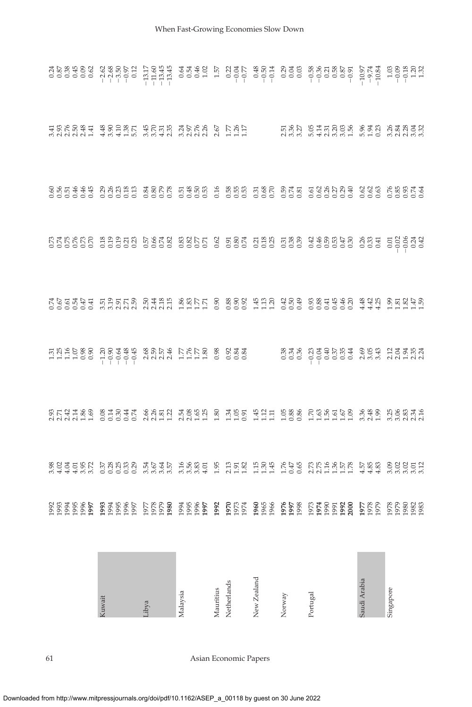| kuwait | ibya | Malaysia | Mauritius | Netherlands | New Zealand | Norway | Portugal                                                                                                                                                                                                                       | Saudi Arabia | Singapore |
|--------|------|----------|-----------|-------------|-------------|--------|--------------------------------------------------------------------------------------------------------------------------------------------------------------------------------------------------------------------------------|--------------|-----------|
|        |      |          |           |             |             |        |                                                                                                                                                                                                                                |              |           |
|        |      |          |           |             |             |        |                                                                                                                                                                                                                                |              |           |
|        |      |          |           |             |             |        | viduriti ooooo qurii udiif i iilo fiif foo fiifiifi waa waayda<br>2014 As Sigar Samul waa a shee fiif foo fiifiifi waa waadd                                                                                                   |              |           |
|        |      |          |           |             |             |        | siana siana di Seria Salangan<br>Raja Seria Seria Salangan<br>Raja Seria Seria Salangan                                                                                                                                        |              |           |
|        |      |          |           |             |             |        | סססססס מטטטט טטטט לליר ס ססס לול ססס סססססס אלל לילול.<br>היסטטע הפטולה הלילול מטולה של הוא הוא המוסיס המלוול המטולה.<br>תרלולה הטברט סלמה שמרב ס מסט ההס מסט מטולים מטולים.                                                   |              |           |
|        |      |          |           |             |             |        |                                                                                                                                                                                                                                |              |           |
|        |      |          |           |             |             |        | ବ୍ଲ୍ୟୁକ୍କ ଅସ୍ଥିବାରି କୁଷ୍ଟା ଅକ୍ଟିଅ କୁ ଅଧିକ ଅନୁସାର୍କ ପୁର୍ଯ୍ୟ କୁଷ୍ଟା ସେ କୁଷ୍ଟା କୁଷ୍ଟା କୁଷ୍ଟା କୁ<br>ବ୍ରାପ୍ତ ବ୍ରାପ୍ତ ବ୍ରାପ୍ତ ବ୍ରାପ୍ତ ବ୍ରାପ୍ତ ବ୍ରାପ୍ତ ବ୍ରାପ୍ତ ବ୍ରାପ୍ତ ବ୍ରାପ୍ତ ବ୍ରାପ୍ତ ବ୍ରାପ୍ତ ବ୍ରାପ୍ତ କୁଷ୍ଟା କୁଷ୍ଟା                  |              |           |
|        |      |          |           |             |             |        | e a skesa a sedare a skesa de sedare de la paradora de seda santo e de la paradora de la paradora de la parado<br>1988 de la seda de la paradora de la paradora de la paradora de la paradora de la paradora de la paradora de |              |           |
|        |      |          |           |             |             |        |                                                                                                                                                                                                                                |              |           |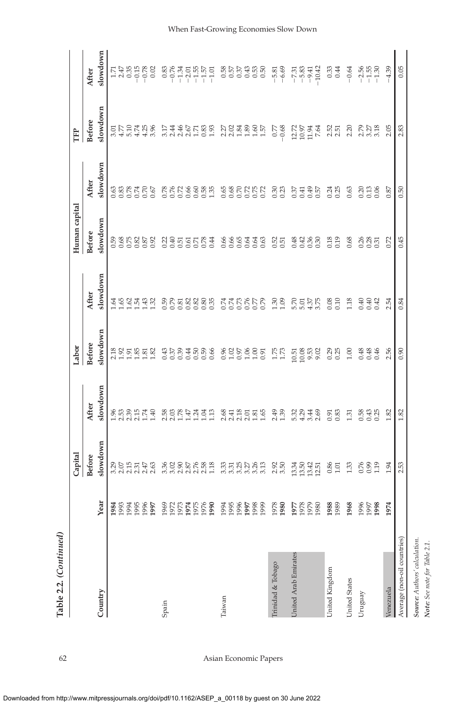|                               |                                                      | Capital                                      |                                                                | Labor                                                         |                                                                                                                              | Human capital                                |                              | È                                          |                                                                                                                                                                                                                                                                                                                                     |
|-------------------------------|------------------------------------------------------|----------------------------------------------|----------------------------------------------------------------|---------------------------------------------------------------|------------------------------------------------------------------------------------------------------------------------------|----------------------------------------------|------------------------------|--------------------------------------------|-------------------------------------------------------------------------------------------------------------------------------------------------------------------------------------------------------------------------------------------------------------------------------------------------------------------------------------|
|                               |                                                      | <b>Before</b>                                | After                                                          | <b>Before</b>                                                 | After                                                                                                                        | <b>Before</b>                                | After                        | <b>Before</b>                              | After                                                                                                                                                                                                                                                                                                                               |
| Country                       | Year                                                 | slowdown                                     | slowdown                                                       | slowdown                                                      | slowdown                                                                                                                     | slowdown                                     | slowdown                     | slowdown                                   | slowdown                                                                                                                                                                                                                                                                                                                            |
|                               | 1995<br>1996<br>1984<br>1994                         | 3.29<br>2.07<br>2.15<br>2.31<br>2.45<br>2.63 | $1.96$<br>$2.53$<br>$2.39$<br>$2.15$<br>$1.74$                 | 23522232                                                      | 53343<br>1.64                                                                                                                | 0.58<br>0.68<br>0.75<br>0.87<br>0.87<br>0.92 | 388355                       | $3.50$<br>$4.70$<br>$4.74$<br>$4.25$       |                                                                                                                                                                                                                                                                                                                                     |
| Spain                         | 1969<br>1972<br>1973<br>1974<br>1975<br>1976<br>1997 |                                              | 1.40<br>2<br>2022<br>2024<br>1.24                              | $\begin{array}{c} 42984888 \\ 23994888 \end{array}$           | <b>B</b> <sub>2</sub><br><b>B</b> <sub>2</sub><br>B<br>B<br>B<br>B<br>B<br>B<br>B<br>B<br>B<br>B<br>B<br>B<br>B<br>B<br>1.32 | 0.21<br>0.40<br>0.51<br>55<br>558#           | <b>ESSESSES</b>              | $46788$<br>$27288$<br>3.96<br>3.17<br>2.44 | $\begin{array}{cccccc} \n\text{I.} & \text{I.} & \text{I.} & \text{I.} & \text{I.} \\ \n\text{I.} & \text{I.} & \text{I.} & \text{I.} & \text{I.} \\ \n\text{I.} & \text{I.} & \text{I.} & \text{I.} \\ \n\text{I.} & \text{I.} & \text{I.} & \text{I.} \\ \n\text{I.} & \text{I.} & \text{I.} & \text{I.} \\ \n\text{I.} & \text{$ |
| Taiwan                        | 1995<br>1996<br>1998<br>1999<br>1990<br>1994<br>1997 | 335358<br>335358<br>3.13                     | $2.68$<br>$2.41$<br>$2.30$<br>$2.01$<br>$1.81$<br>1.65<br>1.13 | 8888885                                                       |                                                                                                                              | 86634<br>00000<br>0.63                       | <b>888888</b>                | 72888<br>1.57                              | <b>ESPERE</b><br>RESPERE                                                                                                                                                                                                                                                                                                            |
| Trinidad & Tobago             | 1978<br>1980                                         | 2.92                                         | 2.49                                                           | 1.75                                                          | 1.30                                                                                                                         | 0.52                                         | 0.30<br>0.23                 | $-0.68$<br>0.77                            | $-5.81$<br>$-6.69$                                                                                                                                                                                                                                                                                                                  |
| <b>Jnited Arab Emirates</b>   | 1978<br>1979<br>1980<br>1977                         | $13.34$<br>$13.50$<br>13.42<br>12.51         | 5.32<br>4.29<br>$3.44$<br>$2.69$                               | $\begin{array}{c} 10.51 \\ 10.08 \end{array}$<br>9.53<br>9.02 | 5.5575<br>5.575                                                                                                              | 84288<br>036<br>036                          | 0.49<br>0.37<br>0.41         | 12.72<br>10.97<br>11.94<br>7.64            | $\begin{array}{cccc}\n7.31 \\ 7.52 \\ - & 9.42 \\ - & 9.4\n\end{array}$                                                                                                                                                                                                                                                             |
| United Kingdom                | 1988<br>1989                                         | 0.86<br>1.01                                 | 0.91<br>0.83                                                   | 0.29<br>0.25                                                  | 0.10<br>0.08                                                                                                                 | 0.18                                         | 0.24<br>0.25                 | 2.52<br>2.51                               | 0.33                                                                                                                                                                                                                                                                                                                                |
| United States<br>Uruguay      | 1968<br>1996<br>1997<br>1998                         | 0.76<br>1.33<br>1.19                         | 0.43<br>1.31<br>0.58<br>0.25                                   | 00.1<br>0.48<br>0.46                                          | 1.18<br>0.40<br>0.40<br>0.42                                                                                                 | 0.68<br>28<br>28<br>25                       | 0.63<br>0.13<br>0.20<br>0.06 | 2.20<br>2.57.33<br>2.57.33                 | $-0.64$<br>56<br>255<br>255                                                                                                                                                                                                                                                                                                         |
| Venezuela                     | 1974                                                 | 1.94                                         | 1.82                                                           | 2.56                                                          | 2.54                                                                                                                         | 0.72                                         | 0.87                         | 2.05                                       | $-4.39$                                                                                                                                                                                                                                                                                                                             |
| Average (non-oil countries)   |                                                      | 2.53                                         | 1.82                                                           | 0.90                                                          | 0.84                                                                                                                         | 0.45                                         | 0.50                         | 2.83                                       | 0.05                                                                                                                                                                                                                                                                                                                                |
| Source: Authors' calculation. |                                                      |                                              |                                                                |                                                               |                                                                                                                              |                                              |                              |                                            |                                                                                                                                                                                                                                                                                                                                     |

Table 2.2. (Continued) **Table 2.2.** *(Continued)*

62 Asian Economic Papers

*Note: See note for Table 2.1.*

Note: See note for Table 2.1.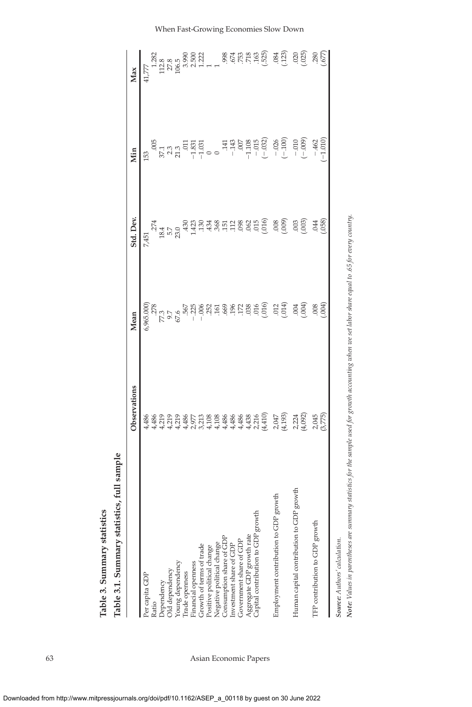Table 3.1. Summary statistics, full sample **Table 3.1. Summary statistics, full sample** Table 3. Summary statistics **Table 3. Summary statistics**

|                                                                                                                                                                              | Observations                                                                                                                                                                                                                        | Mean       | Std. Dev.                                                                                                                                                                                                                                                                                                                                                                                                                                       | Min | Max                                                                                                                                                                                                                                                                                                                          |
|------------------------------------------------------------------------------------------------------------------------------------------------------------------------------|-------------------------------------------------------------------------------------------------------------------------------------------------------------------------------------------------------------------------------------|------------|-------------------------------------------------------------------------------------------------------------------------------------------------------------------------------------------------------------------------------------------------------------------------------------------------------------------------------------------------------------------------------------------------------------------------------------------------|-----|------------------------------------------------------------------------------------------------------------------------------------------------------------------------------------------------------------------------------------------------------------------------------------------------------------------------------|
| Per capita GDP<br>Ratio                                                                                                                                                      | के केटा दा के दिया थे के के के के बाद पर 19 हो है।<br>के केटा दा के दिन में के के के के की दिन के दिन है। यह मैं की दिन के सुरक्षित के दिन के लिए से दिन के लिए से<br>के के दो दा हो के दिन मैं के के के के के सुरक्ष के लिए से सुर |            | 7,451                                                                                                                                                                                                                                                                                                                                                                                                                                           | 153 | $41,\!777$                                                                                                                                                                                                                                                                                                                   |
|                                                                                                                                                                              |                                                                                                                                                                                                                                     |            |                                                                                                                                                                                                                                                                                                                                                                                                                                                 |     |                                                                                                                                                                                                                                                                                                                              |
| Dependency<br>Old dependency<br>Young dependency<br>Trade openness<br>Financial openness                                                                                     |                                                                                                                                                                                                                                     |            |                                                                                                                                                                                                                                                                                                                                                                                                                                                 |     |                                                                                                                                                                                                                                                                                                                              |
|                                                                                                                                                                              |                                                                                                                                                                                                                                     |            |                                                                                                                                                                                                                                                                                                                                                                                                                                                 |     |                                                                                                                                                                                                                                                                                                                              |
|                                                                                                                                                                              |                                                                                                                                                                                                                                     |            |                                                                                                                                                                                                                                                                                                                                                                                                                                                 |     |                                                                                                                                                                                                                                                                                                                              |
|                                                                                                                                                                              |                                                                                                                                                                                                                                     |            |                                                                                                                                                                                                                                                                                                                                                                                                                                                 |     |                                                                                                                                                                                                                                                                                                                              |
|                                                                                                                                                                              |                                                                                                                                                                                                                                     |            |                                                                                                                                                                                                                                                                                                                                                                                                                                                 |     |                                                                                                                                                                                                                                                                                                                              |
|                                                                                                                                                                              |                                                                                                                                                                                                                                     |            |                                                                                                                                                                                                                                                                                                                                                                                                                                                 |     |                                                                                                                                                                                                                                                                                                                              |
|                                                                                                                                                                              |                                                                                                                                                                                                                                     |            |                                                                                                                                                                                                                                                                                                                                                                                                                                                 |     |                                                                                                                                                                                                                                                                                                                              |
| Growth of terms of trade<br>Positive political change<br>Positive political change<br>Clegative political change<br>Clear to the control function<br>Investment share of GDP |                                                                                                                                                                                                                                     |            |                                                                                                                                                                                                                                                                                                                                                                                                                                                 |     |                                                                                                                                                                                                                                                                                                                              |
|                                                                                                                                                                              |                                                                                                                                                                                                                                     |            |                                                                                                                                                                                                                                                                                                                                                                                                                                                 |     |                                                                                                                                                                                                                                                                                                                              |
| Government share of GDP                                                                                                                                                      |                                                                                                                                                                                                                                     |            |                                                                                                                                                                                                                                                                                                                                                                                                                                                 |     |                                                                                                                                                                                                                                                                                                                              |
|                                                                                                                                                                              |                                                                                                                                                                                                                                     |            |                                                                                                                                                                                                                                                                                                                                                                                                                                                 |     |                                                                                                                                                                                                                                                                                                                              |
| growth<br>Aggregate GDP growth rate<br>Capital contribution to GDP                                                                                                           |                                                                                                                                                                                                                                     |            |                                                                                                                                                                                                                                                                                                                                                                                                                                                 |     |                                                                                                                                                                                                                                                                                                                              |
|                                                                                                                                                                              |                                                                                                                                                                                                                                     |            | $\begin{array}{l} \mathbf{a}^{\mathbf{a}} \\ \mathbf{a}^{\mathbf{a}} \\ \mathbf{b}^{\mathbf{a}} \\ \mathbf{c}^{\mathbf{a}} \\ \mathbf{d}^{\mathbf{b}} \\ \mathbf{c}^{\mathbf{c}} \\ \mathbf{c}^{\mathbf{c}} \\ \mathbf{c}^{\mathbf{c}} \\ \mathbf{c}^{\mathbf{c}} \\ \mathbf{c}^{\mathbf{c}} \\ \mathbf{c}^{\mathbf{c}} \\ \mathbf{c}^{\mathbf{c}} \\ \mathbf{c}^{\mathbf{c}} \\ \mathbf{c}^{\mathbf{c}} \\ \mathbf{c}^{\mathbf{c}} \\ \mathbf$ |     | $\begin{array}{rll} 1 & 0 & 0 & 0 & 0 \\ 0 & 0 & 0 & 0 & 0 \\ 0 & 0 & 0 & 0 & 0 \\ 0 & 0 & 0 & 0 & 0 \\ 0 & 0 & 0 & 0 & 0 \\ 0 & 0 & 0 & 0 & 0 \\ 0 & 0 & 0 & 0 & 0 \\ 0 & 0 & 0 & 0 & 0 \\ 0 & 0 & 0 & 0 & 0 \\ 0 & 0 & 0 & 0 & 0 \\ 0 & 0 & 0 & 0 & 0 \\ 0 & 0 & 0 & 0 & 0 \\ 0 & 0 & 0 & 0 & 0 \\ 0 & 0 & 0 & 0 & 0 \\ 0$ |
| GDP growth<br>Employment contribution to                                                                                                                                     |                                                                                                                                                                                                                                     |            |                                                                                                                                                                                                                                                                                                                                                                                                                                                 |     |                                                                                                                                                                                                                                                                                                                              |
|                                                                                                                                                                              |                                                                                                                                                                                                                                     |            |                                                                                                                                                                                                                                                                                                                                                                                                                                                 |     |                                                                                                                                                                                                                                                                                                                              |
| to GDP growth<br>Human capital contribution                                                                                                                                  |                                                                                                                                                                                                                                     |            |                                                                                                                                                                                                                                                                                                                                                                                                                                                 |     |                                                                                                                                                                                                                                                                                                                              |
|                                                                                                                                                                              |                                                                                                                                                                                                                                     | (000, 000) | (000)                                                                                                                                                                                                                                                                                                                                                                                                                                           |     |                                                                                                                                                                                                                                                                                                                              |
| IFP contribution to GDP growth                                                                                                                                               |                                                                                                                                                                                                                                     |            |                                                                                                                                                                                                                                                                                                                                                                                                                                                 |     |                                                                                                                                                                                                                                                                                                                              |
|                                                                                                                                                                              |                                                                                                                                                                                                                                     | (400)      | 0.058                                                                                                                                                                                                                                                                                                                                                                                                                                           |     |                                                                                                                                                                                                                                                                                                                              |

Source: Authors' calculation. *Source: Authors' calculation.*

Note: Values in parentheses are summary statistics for the sample used for growth accounting when we set labor share equal to .65 for every country. **Note:** Values in parentheses are summary statistics for the sample used for growth accounting when we set labor share equal to .65 for every country.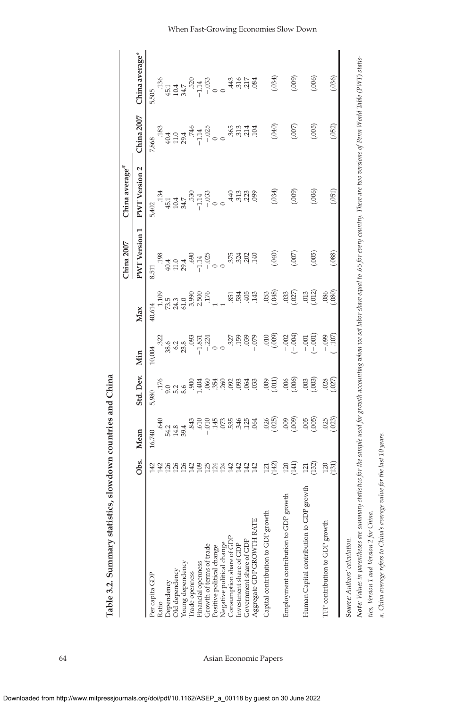|                                                                                                                                                                                                                     |                 |                                                                                                                                                                                                                                                                                                                                                                                                                                            |                     |                                                                                                     |                                                                                                        | China 2007                                                                                         | China average <sup>u</sup>                                          |                                                                                                                     |                                                             |
|---------------------------------------------------------------------------------------------------------------------------------------------------------------------------------------------------------------------|-----------------|--------------------------------------------------------------------------------------------------------------------------------------------------------------------------------------------------------------------------------------------------------------------------------------------------------------------------------------------------------------------------------------------------------------------------------------------|---------------------|-----------------------------------------------------------------------------------------------------|--------------------------------------------------------------------------------------------------------|----------------------------------------------------------------------------------------------------|---------------------------------------------------------------------|---------------------------------------------------------------------------------------------------------------------|-------------------------------------------------------------|
|                                                                                                                                                                                                                     | Obs.            | Mean                                                                                                                                                                                                                                                                                                                                                                                                                                       | Std. Dev.           | Min                                                                                                 | Max                                                                                                    | <b>PWT</b> Version 1                                                                               | <b>PWT</b> Version <sub>2</sub>                                     | China 2007                                                                                                          | China average*                                              |
| Per capita GDF                                                                                                                                                                                                      | 142             | 16,740                                                                                                                                                                                                                                                                                                                                                                                                                                     | 5,980               | 10,004                                                                                              | 40,614                                                                                                 | 8,511                                                                                              | 5,402                                                               | 7,868                                                                                                               | 5,505                                                       |
| Ratio                                                                                                                                                                                                               |                 |                                                                                                                                                                                                                                                                                                                                                                                                                                            |                     |                                                                                                     |                                                                                                        |                                                                                                    |                                                                     |                                                                                                                     |                                                             |
|                                                                                                                                                                                                                     |                 |                                                                                                                                                                                                                                                                                                                                                                                                                                            |                     |                                                                                                     |                                                                                                        |                                                                                                    |                                                                     |                                                                                                                     |                                                             |
|                                                                                                                                                                                                                     | 288822          |                                                                                                                                                                                                                                                                                                                                                                                                                                            | $\frac{176}{90000}$ |                                                                                                     |                                                                                                        |                                                                                                    |                                                                     |                                                                                                                     |                                                             |
|                                                                                                                                                                                                                     |                 |                                                                                                                                                                                                                                                                                                                                                                                                                                            |                     |                                                                                                     |                                                                                                        |                                                                                                    |                                                                     |                                                                                                                     |                                                             |
|                                                                                                                                                                                                                     |                 |                                                                                                                                                                                                                                                                                                                                                                                                                                            | 900                 |                                                                                                     |                                                                                                        |                                                                                                    |                                                                     |                                                                                                                     |                                                             |
| Dependency<br>Old dependency<br>Young dependency<br>Trade openness<br>Financial openness                                                                                                                            |                 | $\begin{array}{cccc}\n\mathfrak{A} & \mathfrak{A} & \mathfrak{A} & \mathfrak{A} & \mathfrak{A} & \mathfrak{A} \\ \mathfrak{A} & \mathfrak{A} & \mathfrak{A} & \mathfrak{A} & \mathfrak{A} & \mathfrak{A} \\ \mathfrak{A} & \mathfrak{A} & \mathfrak{A} & \mathfrak{A} & \mathfrak{A} & \mathfrak{A} \\ \mathfrak{A} & \mathfrak{A} & \mathfrak{A} & \mathfrak{A} & \mathfrak{A} & \mathfrak{A} \\ \mathfrak{A} & \mathfrak{A} & \mathfrak$ | 488488              | $\begin{array}{c} 322 \\ 38.6 \\ 87.8 \\ 23.8 \\ 10.9 \\ 33.7 \\ 1.831 \\ -1.0 \\ 0 \\ \end{array}$ | $105$<br>$15.5$<br>$17.3$ $15.5$<br>$15.5$<br>$15.5$<br>$15.5$<br>$15.5$<br>$15.5$<br>$15.5$<br>$15.5$ | $\begin{array}{c} 1.98 \\ 40.4 \\ 40.4 \\ 29.4 \\ 690 \\ -1.14 \\ 0.25 \\ -1.025 \\ 0 \end{array}$ | $134$<br>$43.7$<br>$45.7$<br>$45.7$<br>$-1.33$<br>$-1.33$<br>$-1.0$ | $\begin{array}{cccc}\n 183 \\  & 40.4 \\  & 59.4 \\  & 74.4 \\  & 74.4 \\  & 11.4 \\  & 11.4 \\  & 0\n \end{array}$ | $36$ $4514$ $570$ $570$ $570$ $570$ $570$ $570$ $570$ $570$ |
| Growth of terms of trade<br>Positive political change                                                                                                                                                               | $\frac{25}{25}$ |                                                                                                                                                                                                                                                                                                                                                                                                                                            |                     |                                                                                                     |                                                                                                        |                                                                                                    |                                                                     |                                                                                                                     |                                                             |
|                                                                                                                                                                                                                     | 124             |                                                                                                                                                                                                                                                                                                                                                                                                                                            |                     |                                                                                                     |                                                                                                        |                                                                                                    |                                                                     |                                                                                                                     |                                                             |
|                                                                                                                                                                                                                     | 124             |                                                                                                                                                                                                                                                                                                                                                                                                                                            |                     |                                                                                                     |                                                                                                        |                                                                                                    |                                                                     |                                                                                                                     |                                                             |
| Negative political change<br>Consumption share of GDI                                                                                                                                                               | 142             |                                                                                                                                                                                                                                                                                                                                                                                                                                            |                     |                                                                                                     |                                                                                                        |                                                                                                    | $\overline{40}$                                                     |                                                                                                                     |                                                             |
| Investment share of GDP                                                                                                                                                                                             | 142<br>142      |                                                                                                                                                                                                                                                                                                                                                                                                                                            | 003                 |                                                                                                     |                                                                                                        |                                                                                                    |                                                                     |                                                                                                                     | 43,517                                                      |
|                                                                                                                                                                                                                     |                 | .125                                                                                                                                                                                                                                                                                                                                                                                                                                       |                     | 327<br>159<br>159                                                                                   | 55 35 4 4                                                                                              | <b>និងខ្ល</b> ីម                                                                                   | 313                                                                 | 365<br>313<br>314                                                                                                   |                                                             |
| RATE<br>$\begin{array}{ll} \text{Government share of GDP} \\ \text{Aggregate GDP} \text{GPOWTH} \end{array}$                                                                                                        | 142             | .064                                                                                                                                                                                                                                                                                                                                                                                                                                       | 033                 | $-.079$                                                                                             |                                                                                                        |                                                                                                    | .099                                                                | .104                                                                                                                | .084                                                        |
| growth<br>Capital contribution to GDP                                                                                                                                                                               | 121             | 026                                                                                                                                                                                                                                                                                                                                                                                                                                        | 600                 | 010                                                                                                 | .053                                                                                                   |                                                                                                    |                                                                     |                                                                                                                     |                                                             |
|                                                                                                                                                                                                                     | (142)           | (.025)                                                                                                                                                                                                                                                                                                                                                                                                                                     | (011)               | (600)                                                                                               | (.048)                                                                                                 | (040)                                                                                              | (0.034)                                                             | (040)                                                                                                               | (160)                                                       |
| Employment contribution to GDP growth                                                                                                                                                                               | 120             | 600                                                                                                                                                                                                                                                                                                                                                                                                                                        | (006)               | $-.002$                                                                                             | .033                                                                                                   |                                                                                                    |                                                                     |                                                                                                                     |                                                             |
|                                                                                                                                                                                                                     |                 | (600)                                                                                                                                                                                                                                                                                                                                                                                                                                      |                     | $(-004)$                                                                                            | (.027)                                                                                                 | (007)                                                                                              | (000)                                                               | (007)                                                                                                               | (000)                                                       |
| Human Capital contribution to GDP growth                                                                                                                                                                            | 132)<br>121     | (005)                                                                                                                                                                                                                                                                                                                                                                                                                                      | (600, 000)          | $(-001)$<br>$-.001$                                                                                 | (.012)<br>013                                                                                          | (005)                                                                                              | (006)                                                               | (005)                                                                                                               | (006)                                                       |
| TFP contribution to GDP growth                                                                                                                                                                                      | 120             |                                                                                                                                                                                                                                                                                                                                                                                                                                            |                     | $-0.999$                                                                                            | 86                                                                                                     |                                                                                                    |                                                                     |                                                                                                                     |                                                             |
|                                                                                                                                                                                                                     | 131             | $025$<br>$023$                                                                                                                                                                                                                                                                                                                                                                                                                             | $028$<br>$027$      | $-107$                                                                                              | 080                                                                                                    | .088                                                                                               | (051)                                                               | .052)                                                                                                               | .036)                                                       |
| Source: Authors' calculation.                                                                                                                                                                                       |                 |                                                                                                                                                                                                                                                                                                                                                                                                                                            |                     |                                                                                                     |                                                                                                        |                                                                                                    |                                                                     |                                                                                                                     |                                                             |
|                                                                                                                                                                                                                     |                 |                                                                                                                                                                                                                                                                                                                                                                                                                                            |                     |                                                                                                     |                                                                                                        |                                                                                                    |                                                                     |                                                                                                                     |                                                             |
| <b>Note:</b> Values in parentheses are summary statistics for the sample used for growth accounting when we sel abor share equal to .65 for every country. There are two versions of Penn World Table (PWT) statis- |                 |                                                                                                                                                                                                                                                                                                                                                                                                                                            |                     |                                                                                                     |                                                                                                        |                                                                                                    |                                                                     |                                                                                                                     |                                                             |

Table 3.2. Summary statistics, slowdown countries and China **Table 3.2. Summary statistics, slowdown countries and China**

64 Asian Economic Papers

*tics, Version 1 and Version 2 for China.*

tics, Version 1 and Version 2 for China.

a. China average refers to China's average value for the last 10 years.

a. China average refers to China's average value for the last 10 years.

When Fast-Growing Economies Slow Down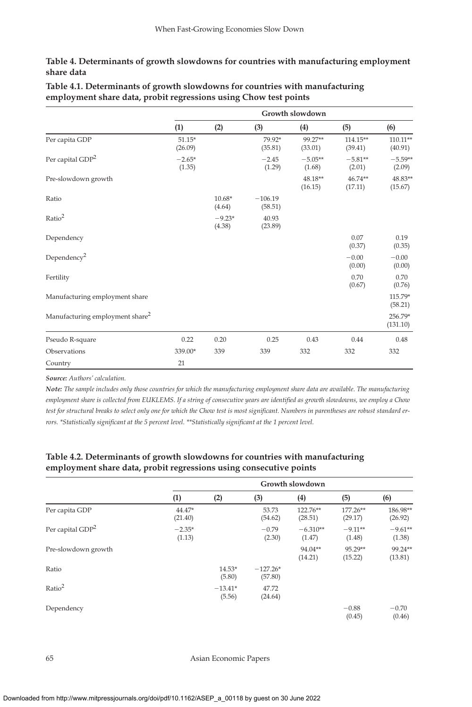#### **Table 4. Determinants of growth slowdowns for countries with manufacturing employment share data**

|                                             |                     |                    |                      | Growth slowdown     |                       |                       |
|---------------------------------------------|---------------------|--------------------|----------------------|---------------------|-----------------------|-----------------------|
|                                             | (1)                 | (2)                | (3)                  | (4)                 | (5)                   | (6)                   |
| Per capita GDP                              | $51.15*$<br>(26.09) |                    | 79.92*<br>(35.81)    | 99.27**<br>(33.01)  | $114.15**$<br>(39.41) | $110.11**$<br>(40.91) |
| Per capital GDP <sup>2</sup>                | $-2.65*$<br>(1.35)  |                    | $-2.45$<br>(1.29)    | $-5.05**$<br>(1.68) | $-5.81**$<br>(2.01)   | $-5.59**$<br>(2.09)   |
| Pre-slowdown growth                         |                     |                    |                      | 48.18**<br>(16.15)  | $46.74**$<br>(17.11)  | 48.83**<br>(15.67)    |
| Ratio                                       |                     | $10.68*$<br>(4.64) | $-106.19$<br>(58.51) |                     |                       |                       |
| Ratio <sup>2</sup>                          |                     | $-9.23*$<br>(4.38) | 40.93<br>(23.89)     |                     |                       |                       |
| Dependency                                  |                     |                    |                      |                     | 0.07<br>(0.37)        | 0.19<br>(0.35)        |
| Dependency <sup>2</sup>                     |                     |                    |                      |                     | $-0.00$<br>(0.00)     | $-0.00$<br>(0.00)     |
| Fertility                                   |                     |                    |                      |                     | 0.70<br>(0.67)        | 0.70<br>(0.76)        |
| Manufacturing employment share              |                     |                    |                      |                     |                       | 115.79*<br>(58.21)    |
| Manufacturing employment share <sup>2</sup> |                     |                    |                      |                     |                       | 256.79*<br>(131.10)   |
| Pseudo R-square                             | 0.22                | 0.20               | 0.25                 | 0.43                | 0.44                  | 0.48                  |
| Observations                                | 339.00*             | 339                | 339                  | 332                 | 332                   | 332                   |
| Country                                     | 21                  |                    |                      |                     |                       |                       |

**Table 4.1. Determinants of growth slowdowns for countries with manufacturing employment share data, probit regressions using Chow test points**

*Source: Authors' calculation.*

*Note: The sample includes only those countries for which the manufacturing employment share data are available. The manufacturing* employment share is collected from EUKLEMS. If a string of consecutive years are identified as growth slowdowns, we employ a Chow test for structural breaks to select only one for which the Chow test is most significant. Numbers in parentheses are robust standard errors. \*Statistically significant at the 5 percent level. \*\*Statistically significant at the 1 percent level.

#### **Table 4.2. Determinants of growth slowdowns for countries with manufacturing employment share data, probit regressions using consecutive points**

|                              |                    |                     |                       | Growth slowdown      |                     |                     |
|------------------------------|--------------------|---------------------|-----------------------|----------------------|---------------------|---------------------|
|                              | (1)                | (2)                 | (3)                   | (4)                  | (5)                 | (6)                 |
| Per capita GDP               | 44.47*<br>(21.40)  |                     | 53.73<br>(54.62)      | 122.76**<br>(28.51)  | 177.26**<br>(29.17) | 186.98**<br>(26.92) |
| Per capital GDP <sup>2</sup> | $-2.35*$<br>(1.13) |                     | $-0.79$<br>(2.30)     | $-6.310**$<br>(1.47) | $-9.11**$<br>(1.48) | $-9.61**$<br>(1.38) |
| Pre-slowdown growth          |                    |                     |                       | 94.04**<br>(14.21)   | 95.29**<br>(15.22)  | 99.24**<br>(13.81)  |
| Ratio                        |                    | $14.53*$<br>(5.80)  | $-127.26*$<br>(57.80) |                      |                     |                     |
| Ratio <sup>2</sup>           |                    | $-13.41*$<br>(5.56) | 47.72<br>(24.64)      |                      |                     |                     |
| Dependency                   |                    |                     |                       |                      | $-0.88$<br>(0.45)   | $-0.70$<br>(0.46)   |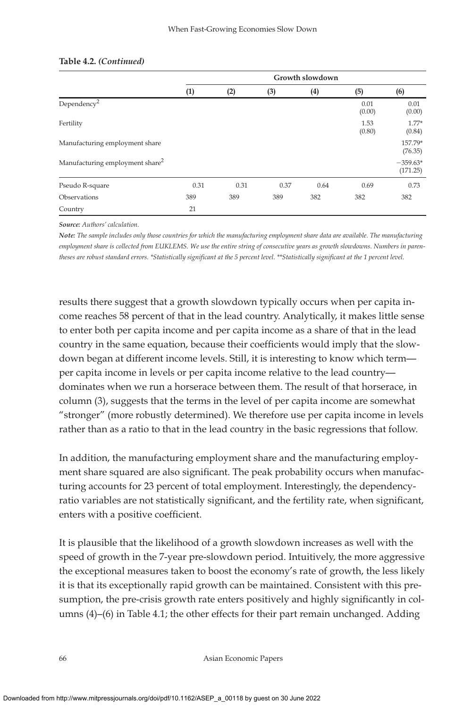|                                             |      |      |      | Growth slowdown |                |                        |
|---------------------------------------------|------|------|------|-----------------|----------------|------------------------|
|                                             | (1)  | (2)  | (3)  | (4)             | (5)            | (6)                    |
| Dependency <sup>2</sup>                     |      |      |      |                 | 0.01<br>(0.00) | 0.01<br>(0.00)         |
| Fertility                                   |      |      |      |                 | 1.53<br>(0.80) | $1.77*$<br>(0.84)      |
| Manufacturing employment share              |      |      |      |                 |                | 157.79*<br>(76.35)     |
| Manufacturing employment share <sup>2</sup> |      |      |      |                 |                | $-359.63*$<br>(171.25) |
| Pseudo R-square                             | 0.31 | 0.31 | 0.37 | 0.64            | 0.69           | 0.73                   |
| Observations                                | 389  | 389  | 389  | 382             | 382            | 382                    |
| Country                                     | 21   |      |      |                 |                |                        |

#### **Table 4.2.** *(Continued)*

*Source: Authors' calculation.*

*Note: The sample includes only those countries for which the manufacturing employment share data are available. The manufacturing employment share is collected from EUKLEMS. We use the entire string of consecutive years as growth slowdowns. Numbers in parentheses are robust standard errors. \*Statistically significant at the 5 percent level. \*\*Statistically significant at the 1 percent level.* 

results there suggest that a growth slowdown typically occurs when per capita income reaches 58 percent of that in the lead country. Analytically, it makes little sense to enter both per capita income and per capita income as a share of that in the lead country in the same equation, because their coefficients would imply that the slowdown began at different income levels. Still, it is interesting to know which term per capita income in levels or per capita income relative to the lead country dominates when we run a horserace between them. The result of that horserace, in column (3), suggests that the terms in the level of per capita income are somewhat "stronger" (more robustly determined). We therefore use per capita income in levels rather than as a ratio to that in the lead country in the basic regressions that follow.

In addition, the manufacturing employment share and the manufacturing employment share squared are also significant. The peak probability occurs when manufacturing accounts for 23 percent of total employment. Interestingly, the dependencyratio variables are not statistically significant, and the fertility rate, when significant, enters with a positive coefficient.

It is plausible that the likelihood of a growth slowdown increases as well with the speed of growth in the 7-year pre-slowdown period. Intuitively, the more aggressive the exceptional measures taken to boost the economy's rate of growth, the less likely it is that its exceptionally rapid growth can be maintained. Consistent with this presumption, the pre-crisis growth rate enters positively and highly significantly in columns (4)–(6) in Table 4.1; the other effects for their part remain unchanged. Adding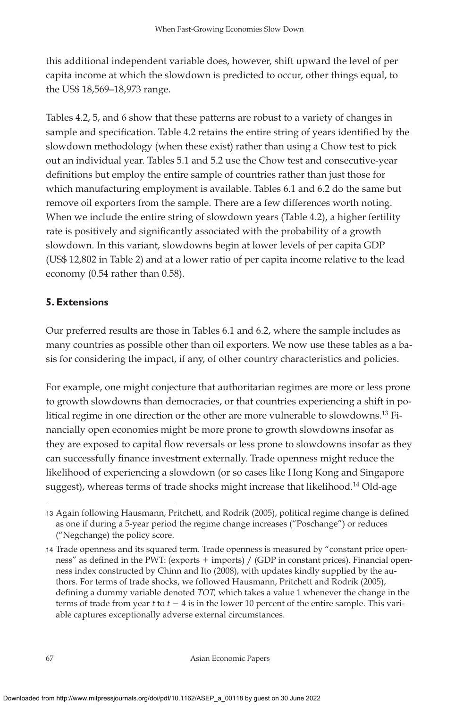this additional independent variable does, however, shift upward the level of per capita income at which the slowdown is predicted to occur, other things equal, to the US\$ 18,569–18,973 range.

Tables 4.2, 5, and 6 show that these patterns are robust to a variety of changes in sample and specification. Table 4.2 retains the entire string of years identified by the slowdown methodology (when these exist) rather than using a Chow test to pick out an individual year. Tables 5.1 and 5.2 use the Chow test and consecutive-year definitions but employ the entire sample of countries rather than just those for which manufacturing employment is available. Tables 6.1 and 6.2 do the same but remove oil exporters from the sample. There are a few differences worth noting. When we include the entire string of slowdown years (Table 4.2), a higher fertility rate is positively and significantly associated with the probability of a growth slowdown. In this variant, slowdowns begin at lower levels of per capita GDP (US\$ 12,802 in Table 2) and at a lower ratio of per capita income relative to the lead economy (0.54 rather than 0.58).

### **5. Extensions**

Our preferred results are those in Tables 6.1 and 6.2, where the sample includes as many countries as possible other than oil exporters. We now use these tables as a basis for considering the impact, if any, of other country characteristics and policies.

For example, one might conjecture that authoritarian regimes are more or less prone to growth slowdowns than democracies, or that countries experiencing a shift in political regime in one direction or the other are more vulnerable to slowdowns.<sup>13</sup> Financially open economies might be more prone to growth slowdowns insofar as they are exposed to capital flow reversals or less prone to slowdowns insofar as they can successfully finance investment externally. Trade openness might reduce the likelihood of experiencing a slowdown (or so cases like Hong Kong and Singapore suggest), whereas terms of trade shocks might increase that likelihood.<sup>14</sup> Old-age

<sup>13</sup> Again following Hausmann, Pritchett, and Rodrik (2005), political regime change is defined as one if during a 5-year period the regime change increases ("Poschange") or reduces ("Negchange) the policy score.

<sup>14</sup> Trade openness and its squared term. Trade openness is measured by "constant price openness" as defined in the PWT: (exports  $+$  imports) / (GDP in constant prices). Financial openness index constructed by Chinn and Ito (2008), with updates kindly supplied by the authors. For terms of trade shocks, we followed Hausmann, Pritchett and Rodrik (2005), defining a dummy variable denoted *TOT*, which takes a value 1 whenever the change in the terms of trade from year  $t$  to  $t - 4$  is in the lower 10 percent of the entire sample. This variable captures exceptionally adverse external circumstances.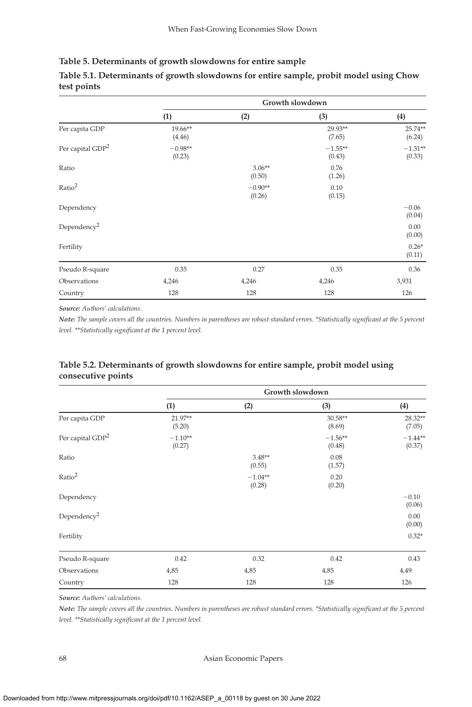#### **Table 5. Determinants of growth slowdowns for entire sample**

|                              |                     |                     | Growth slowdown     |                     |
|------------------------------|---------------------|---------------------|---------------------|---------------------|
|                              | (1)                 | (2)                 | (3)                 | (4)                 |
| Per capita GDP               | 19.66**<br>(4.46)   |                     | 29.93**<br>(7.65)   | $25.74**$<br>(6.24) |
| Per capital GDP <sup>2</sup> | $-0.98**$<br>(0.23) |                     | $-1.55**$<br>(0.43) | $-1.31**$<br>(0.33) |
| Ratio                        |                     | $3.06**$<br>(0.50)  | 0.76<br>(1.26)      |                     |
| Ratio <sup>2</sup>           |                     | $-0.90**$<br>(0.26) | 0.10<br>(0.15)      |                     |
| Dependency                   |                     |                     |                     | $-0.06$<br>(0.04)   |
| Dependency <sup>2</sup>      |                     |                     |                     | 0.00<br>(0.00)      |
| Fertility                    |                     |                     |                     | $0.26*$<br>(0.11)   |
| Pseudo R-square              | 0.35                | 0.27                | 0.35                | 0.36                |
| Observations                 | 4,246               | 4,246               | 4,246               | 3,931               |
| Country                      | 128                 | 128                 | 128                 | 126                 |

### **Table 5.1. Determinants of growth slowdowns for entire sample, probit model using Chow test points**

*Source: Authors' calculations.*

*Note: The sample covers all the countries. Numbers in parentheses are robust standard errors. \*Statistically significant at the 5 percent level.* \*\*Statistically significant at the 1 percent level.

#### **Table 5.2. Determinants of growth slowdowns for entire sample, probit model using consecutive points**

|                              |                     |                     | Growth slowdown     |                     |
|------------------------------|---------------------|---------------------|---------------------|---------------------|
|                              | (1)                 | (2)                 | (3)                 | (4)                 |
| Per capita GDP               | 21.97**<br>(5.20)   |                     | 30.58**<br>(8.69)   | 28.32**<br>(7.05)   |
| Per capital GDP <sup>2</sup> | $-1.10**$<br>(0.27) |                     | $-1.56**$<br>(0.48) | $-1.44**$<br>(0.37) |
| Ratio                        |                     | $3.48**$<br>(0.55)  | 0.08<br>(1.57)      |                     |
| Ratio <sup>2</sup>           |                     | $-1.04**$<br>(0.28) | 0.20<br>(0.20)      |                     |
| Dependency                   |                     |                     |                     | $-0.10$<br>(0.06)   |
| Dependency <sup>2</sup>      |                     |                     |                     | 0.00<br>(0.00)      |
| Fertility                    |                     |                     |                     | $0.32*$             |
| Pseudo R-square              | 0.42                | 0.32                | 0.42                | 0.43                |
| Observations                 | 4,85                | 4,85                | 4,85                | 4,49                |
| Country                      | 128                 | 128                 | 128                 | 126                 |

*Source: Authors' calculations.*

*Note: The sample covers all the countries. Numbers in parentheses are robust standard errors. \*Statistically significant at the 5 percent level.* \*\*Statistically significant at the 1 percent level.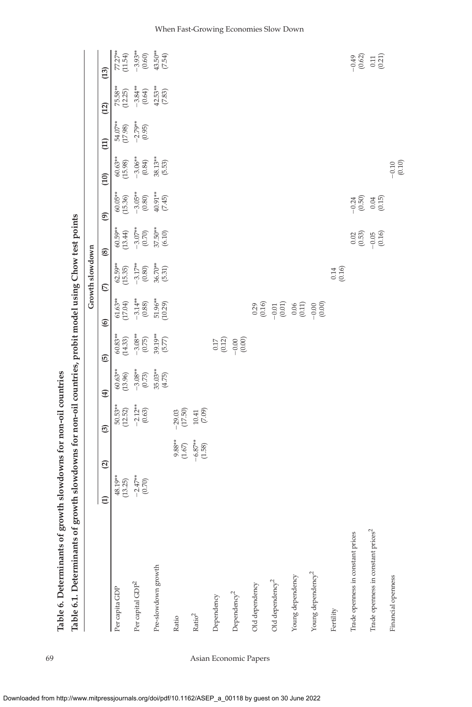| Table 6.1. Determinants of growth slowdowns for non-oil countries, probit model using Chow test points |                                                 |                                                                               |                                                                     |                                                                          |                                                              |                                                 |                                                                          |                                                                                                                |                                                                          |                                                |                                                 |                                                 |                                                   |
|--------------------------------------------------------------------------------------------------------|-------------------------------------------------|-------------------------------------------------------------------------------|---------------------------------------------------------------------|--------------------------------------------------------------------------|--------------------------------------------------------------|-------------------------------------------------|--------------------------------------------------------------------------|----------------------------------------------------------------------------------------------------------------|--------------------------------------------------------------------------|------------------------------------------------|-------------------------------------------------|-------------------------------------------------|---------------------------------------------------|
|                                                                                                        |                                                 |                                                                               |                                                                     |                                                                          |                                                              |                                                 | Growth slowdown                                                          |                                                                                                                |                                                                          |                                                |                                                 |                                                 |                                                   |
|                                                                                                        | $\boldsymbol{\widehat{\Xi}}$                    | $\mathbf{Q}$                                                                  | ම                                                                   | $\bigoplus$                                                              | $\overline{6}$                                               | $\circledcirc$                                  | $\mathfrak{S}$                                                           | $\circledast$                                                                                                  | $\circledcirc$                                                           | (10)                                           | $\Xi$                                           | (12)                                            | (13)                                              |
| Per capita GDP                                                                                         |                                                 |                                                                               | $50.53**$<br>(12.52)                                                |                                                                          | $60.83**$<br>(14.33)                                         | $61.63**$<br>(17.04)                            |                                                                          |                                                                                                                |                                                                          | $60.63**$<br>(15.98)                           |                                                 |                                                 |                                                   |
| Per capital GDP <sup>2</sup>                                                                           | $48.19**$<br>$(13.25)$<br>$-2.47**$<br>$(0.70)$ |                                                                               | $-2.12**$<br>(0.63)                                                 | $60.63**$<br>$(13.96)$<br>$-3.08**$<br>$(0.73)$<br>$35.03**$<br>$(4.75)$ |                                                              |                                                 | $62.59**$<br>$(15.35)$<br>$-3.17**$<br>$(0.80)$<br>$36.70**$<br>$(5.31)$ | $\begin{array}{l} 60.59^{**} \\ (13.44) \\ -3.07^{**} \\ (0.70) \\ 37.50^{**} \\ (6.10) \\ (6.10) \end{array}$ | $60.05**$<br>$(15.36)$<br>$-3.05**$<br>$(0.80)$<br>$40.91**$<br>$(7.45)$ |                                                | $54.07**$<br>$(17.98)$<br>$-2.79**$<br>$(0.95)$ | $75.58**$<br>$(12.25)$<br>$-3.84**$<br>$(0.64)$ | 77.27**<br>(11.54)<br>-3.93**<br>(0.60)<br>(1.54) |
| Pre-slowdown growth                                                                                    |                                                 |                                                                               |                                                                     |                                                                          | $-3.08**$<br>(0.75)<br>39.19**<br>(5.77)                     | $-3.14**$<br>$(0.88)$<br>$51.96**$<br>$(10.29)$ |                                                                          |                                                                                                                |                                                                          | $-3.06**$<br>$(0.84)$<br>$38.13**$<br>$(5.53)$ |                                                 | $42.53**$<br>$(7.83)$                           |                                                   |
| Ratio                                                                                                  |                                                 |                                                                               |                                                                     |                                                                          |                                                              |                                                 |                                                                          |                                                                                                                |                                                                          |                                                |                                                 |                                                 |                                                   |
| $\mathrm{Ratio}^2$                                                                                     |                                                 | $\begin{array}{l} 9.88^{**} \\ (1.67) \\ -6.87^{**} \\ (1.58) \\ \end{array}$ | $\begin{array}{c} -29.03 \\ (17.50) \\ 10.41 \\ (7.09) \end{array}$ |                                                                          |                                                              |                                                 |                                                                          |                                                                                                                |                                                                          |                                                |                                                 |                                                 |                                                   |
| Dependency                                                                                             |                                                 |                                                                               |                                                                     |                                                                          |                                                              |                                                 |                                                                          |                                                                                                                |                                                                          |                                                |                                                 |                                                 |                                                   |
| Dependency <sup>2</sup>                                                                                |                                                 |                                                                               |                                                                     |                                                                          | $\begin{array}{c} 0.17 \\ 0.12 \\ -0.00 \\ 0.00 \end{array}$ |                                                 |                                                                          |                                                                                                                |                                                                          |                                                |                                                 |                                                 |                                                   |
| Old dependency                                                                                         |                                                 |                                                                               |                                                                     |                                                                          |                                                              |                                                 |                                                                          |                                                                                                                |                                                                          |                                                |                                                 |                                                 |                                                   |
| Old dependency <sup>2</sup>                                                                            |                                                 |                                                                               |                                                                     |                                                                          |                                                              |                                                 |                                                                          |                                                                                                                |                                                                          |                                                |                                                 |                                                 |                                                   |
| Young dependency                                                                                       |                                                 |                                                                               |                                                                     |                                                                          |                                                              |                                                 |                                                                          |                                                                                                                |                                                                          |                                                |                                                 |                                                 |                                                   |
| Young dependency <sup>2</sup>                                                                          |                                                 |                                                                               |                                                                     |                                                                          |                                                              |                                                 |                                                                          |                                                                                                                |                                                                          |                                                |                                                 |                                                 |                                                   |
| Fertility                                                                                              |                                                 |                                                                               |                                                                     |                                                                          |                                                              |                                                 | $0.14$<br>$(0.16)$                                                       |                                                                                                                |                                                                          |                                                |                                                 |                                                 |                                                   |
| Trade openness in constant prices                                                                      |                                                 |                                                                               |                                                                     |                                                                          |                                                              |                                                 |                                                                          |                                                                                                                |                                                                          |                                                |                                                 |                                                 |                                                   |
| Trade openness in constant prices <sup>2</sup>                                                         |                                                 |                                                                               |                                                                     |                                                                          |                                                              |                                                 |                                                                          | $\begin{array}{c} 0.02 \\ 0.03 \\ -0.04 \\ 0.16 \end{array}$                                                   | $-0.50$<br>$-0.50$<br>$0.04$<br>$-0.15$                                  |                                                |                                                 |                                                 | $9.62$<br>$9.62$<br>$0.71$<br>$0.71$              |
| Financial openness                                                                                     |                                                 |                                                                               |                                                                     |                                                                          |                                                              |                                                 |                                                                          |                                                                                                                |                                                                          | $-0.10$<br>(0.10)                              |                                                 |                                                 |                                                   |

j j, Table 6. Determinants of growth slowdowns for non-oil countries<br>
Table 6. Determinants of growth alone and for non-oil countries **Table 6. Determinants of growth slowdowns for non-oil countries**

69 Asian Economic Papers

When Fast-Growing Economies Slow Down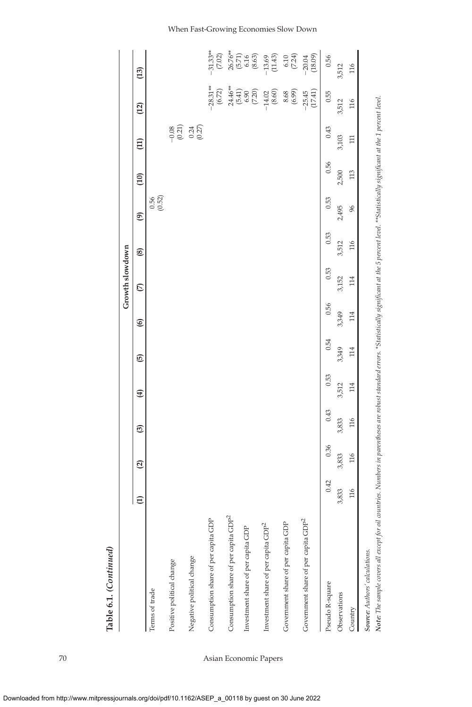|                                                                                                                                                                                                                 |               |              |       |       |       |                | Growth slowdown |       |                    |                 |                     |                                                                   |                                                                                                                  |
|-----------------------------------------------------------------------------------------------------------------------------------------------------------------------------------------------------------------|---------------|--------------|-------|-------|-------|----------------|-----------------|-------|--------------------|-----------------|---------------------|-------------------------------------------------------------------|------------------------------------------------------------------------------------------------------------------|
|                                                                                                                                                                                                                 | $\widehat{E}$ | $\mathbf{Q}$ | ම     | Ð     | 6     | $\circledcirc$ | $\mathcal{L}$   | ⊛     | $\circledcirc$     | $\overline{10}$ | $\Xi$               | (12)                                                              | (13)                                                                                                             |
| Terms of trade                                                                                                                                                                                                  |               |              |       |       |       |                |                 |       | $0.56$<br>$(0.52)$ |                 |                     |                                                                   |                                                                                                                  |
| Positive political change                                                                                                                                                                                       |               |              |       |       |       |                |                 |       |                    |                 | $-0.08$<br>$(0.21)$ |                                                                   |                                                                                                                  |
| Negative political change                                                                                                                                                                                       |               |              |       |       |       |                |                 |       |                    |                 | $0.24$<br>$(0.27)$  |                                                                   |                                                                                                                  |
| a GDP<br>Consumption share of per capita                                                                                                                                                                        |               |              |       |       |       |                |                 |       |                    |                 |                     | $-28.31**$<br>(6.72)                                              | $-31.33**$<br>(7.02)                                                                                             |
| a GDP <sup>2</sup><br>Consumption share of per capita                                                                                                                                                           |               |              |       |       |       |                |                 |       |                    |                 |                     |                                                                   |                                                                                                                  |
| Investment share of per capita GDP                                                                                                                                                                              |               |              |       |       |       |                |                 |       |                    |                 |                     | $\begin{array}{c} 24.46**\\ (5.41)\\ (5.90)\\ (7.20) \end{array}$ |                                                                                                                  |
| Investment share of per capita ${\rm GDP}^2$                                                                                                                                                                    |               |              |       |       |       |                |                 |       |                    |                 |                     | $-14.02$<br>(8.60)                                                | $\begin{array}{l} 26.76** \\ (5.71) \\ (5.4) \\ (8.63) \\ (9.63) \\ (11.43) \\ (11.42) \\ (7.24) \\ \end{array}$ |
| Government share of per capita GDP                                                                                                                                                                              |               |              |       |       |       |                |                 |       |                    |                 |                     | (6.99)<br>8.68                                                    |                                                                                                                  |
| Government share of per capita GDP <sup>2</sup>                                                                                                                                                                 |               |              |       |       |       |                |                 |       |                    |                 |                     | $-25.45$<br>(17.41)                                               | $-20.04$<br>(18.09)                                                                                              |
| Pseudo R-square                                                                                                                                                                                                 | 0.42          | 0.36         | 0.43  | 0.53  | 0.54  | 0.56           | 0.53            | 0.53  | 0.53               | 0.56            | 0.43                | 0.55                                                              | 0.56                                                                                                             |
| Observations                                                                                                                                                                                                    | 3,833         | 3,833        | 3,833 | 3,512 | 3,349 | 3,349          | 3,152           | 3,512 | 2,495              | 2,500           | 3,103               | 3,512                                                             | 3,512                                                                                                            |
| Country                                                                                                                                                                                                         | 116           | 116          | 116   | 114   | 114   | 114            | 114             | 116   | 96                 | 113             | Ξ                   | 116                                                               | 116                                                                                                              |
| Source: Authors' calculations.                                                                                                                                                                                  |               |              |       |       |       |                |                 |       |                    |                 |                     |                                                                   |                                                                                                                  |
| Note: The sample covers all except for oil countries. Numbers in parentheses are robust standard errors. *Statistically significant at the 5 percent level. **Statistically significant at the 1 percent level. |               |              |       |       |       |                |                 |       |                    |                 |                     |                                                                   |                                                                                                                  |

70 Asian Economic Papers

#### When Fast-Growing Economies Slow Down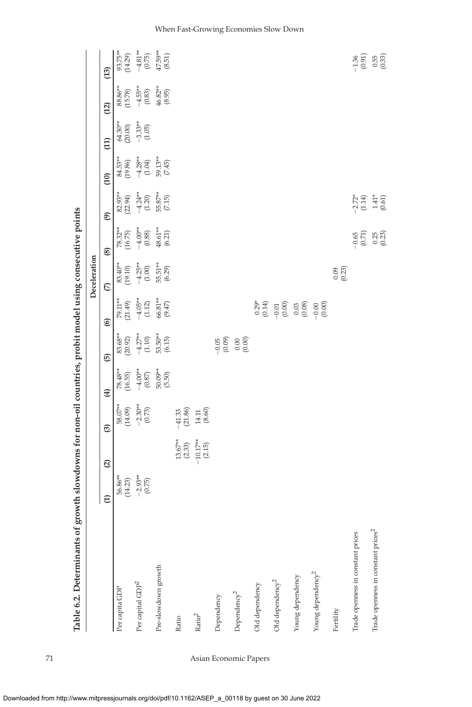| ,<br>b                                         |                                                 |                                                                             |                                                                     |                                                              |                                                                                                                                                                                                                                                                            |                                                                                                                                                                                                                                                                                                                                                                                                                                                                                                                                                   | Deceleration<br>p<br>P                                                            |                                                            |                                                       |                                                                          |                                                 |                                                                                               |                                                    |
|------------------------------------------------|-------------------------------------------------|-----------------------------------------------------------------------------|---------------------------------------------------------------------|--------------------------------------------------------------|----------------------------------------------------------------------------------------------------------------------------------------------------------------------------------------------------------------------------------------------------------------------------|---------------------------------------------------------------------------------------------------------------------------------------------------------------------------------------------------------------------------------------------------------------------------------------------------------------------------------------------------------------------------------------------------------------------------------------------------------------------------------------------------------------------------------------------------|-----------------------------------------------------------------------------------|------------------------------------------------------------|-------------------------------------------------------|--------------------------------------------------------------------------|-------------------------------------------------|-----------------------------------------------------------------------------------------------|----------------------------------------------------|
|                                                | $\widehat{E}$                                   | $\mathbf{Q}$                                                                | $\circledcirc$                                                      | $\bigoplus$                                                  | $\overline{6}$                                                                                                                                                                                                                                                             | $\circledcirc$                                                                                                                                                                                                                                                                                                                                                                                                                                                                                                                                    | $\mathcal{L}$                                                                     | $\circledast$                                              | $\widehat{e}$                                         | $\overline{c}$                                                           | $\Xi$                                           | (12)                                                                                          | (13)                                               |
| Per capita GDP                                 |                                                 |                                                                             |                                                                     |                                                              |                                                                                                                                                                                                                                                                            |                                                                                                                                                                                                                                                                                                                                                                                                                                                                                                                                                   |                                                                                   |                                                            |                                                       |                                                                          |                                                 |                                                                                               |                                                    |
| Per capital GDP <sup>2</sup>                   | $56.86**$<br>$(14.23)$<br>$-2.93**$<br>$(0.75)$ |                                                                             | $58.07**$<br>$(14.09)$<br>$-2.30**$<br>$(0.73)$                     | $78.43**$<br>$(16.55)$<br>$-4.00**$<br>$(0.87)$<br>$50.09**$ |                                                                                                                                                                                                                                                                            | 79.11**<br>(21.49)<br>$-4.05$ **<br>(1.12)<br>66.81**<br>(9.47)                                                                                                                                                                                                                                                                                                                                                                                                                                                                                   | $83.40^{**}$<br>$(19.10)$<br>$-4.25^{**}$<br>$(1.00)$<br>$55.51^{**}$<br>$(6.29)$ |                                                            | 82.93**<br>(22.94)<br>$-4.24$ **<br>(1.20)<br>55.87** | $84.53**$<br>$(19.86)$<br>$-4.28**$<br>$(1.04)$<br>$59.13**$<br>$(7.45)$ | $64.30**$<br>$(20.00)$<br>$-3.33**$<br>$(1.05)$ | $\begin{array}{l} 88.86^{**} \\ (15.78) \\ -4.55^{**} \\ (0.83) \\ 46.82^{**} \\ \end{array}$ | 93.75**<br>(14.29)<br>-4.81**<br>(0.75)<br>47.59** |
| Pre-slowdown growth                            |                                                 |                                                                             |                                                                     |                                                              | $\begin{array}{l} 83.68^{**} \\ (20.92) \\ -4.27^{**} \\ (1.10) \\ 53.50^{**} \\ (6.15) \end{array}$                                                                                                                                                                       |                                                                                                                                                                                                                                                                                                                                                                                                                                                                                                                                                   |                                                                                   | 78.32**<br>(16.75)<br>-4.00**<br>(0.88)<br>48.61**         |                                                       |                                                                          |                                                 |                                                                                               |                                                    |
| Ratio                                          |                                                 |                                                                             |                                                                     |                                                              |                                                                                                                                                                                                                                                                            |                                                                                                                                                                                                                                                                                                                                                                                                                                                                                                                                                   |                                                                                   |                                                            |                                                       |                                                                          |                                                 |                                                                                               |                                                    |
| $\mathrm{Ratio}^2$                             |                                                 | $\begin{array}{c} 13.67^{**} \\ (2.33) \\ 10.17^{**} \\ (2.15) \end{array}$ | $\begin{array}{c} -41.33 \\ (21.86) \\ 14.11 \\ (8.60) \end{array}$ |                                                              |                                                                                                                                                                                                                                                                            |                                                                                                                                                                                                                                                                                                                                                                                                                                                                                                                                                   |                                                                                   |                                                            |                                                       |                                                                          |                                                 |                                                                                               |                                                    |
| Dependency                                     |                                                 |                                                                             |                                                                     |                                                              |                                                                                                                                                                                                                                                                            |                                                                                                                                                                                                                                                                                                                                                                                                                                                                                                                                                   |                                                                                   |                                                            |                                                       |                                                                          |                                                 |                                                                                               |                                                    |
| Dependency <sup>2</sup>                        |                                                 |                                                                             |                                                                     |                                                              | $\begin{bmatrix} 0.05 & 0.00 & 0.00 & 0.00 & 0.00 & 0.00 & 0.00 & 0.00 & 0.00 & 0.00 & 0.00 & 0.00 & 0.00 & 0.00 & 0.00 & 0.00 & 0.00 & 0.00 & 0.00 & 0.00 & 0.00 & 0.00 & 0.00 & 0.00 & 0.00 & 0.00 & 0.00 & 0.00 & 0.00 & 0.00 & 0.00 & 0.00 & 0.00 & 0.00 & 0.00 & 0.0$ |                                                                                                                                                                                                                                                                                                                                                                                                                                                                                                                                                   |                                                                                   |                                                            |                                                       |                                                                          |                                                 |                                                                                               |                                                    |
| Old dependency                                 |                                                 |                                                                             |                                                                     |                                                              |                                                                                                                                                                                                                                                                            |                                                                                                                                                                                                                                                                                                                                                                                                                                                                                                                                                   |                                                                                   |                                                            |                                                       |                                                                          |                                                 |                                                                                               |                                                    |
| Old dependency <sup>2</sup>                    |                                                 |                                                                             |                                                                     |                                                              |                                                                                                                                                                                                                                                                            | $\begin{array}{c} 0.29* \\ 0.14 \end{array} \rightarrow \begin{array}{c} 0.30 \end{array} \rightarrow \begin{array}{c} 0.30 \end{array} \rightarrow \begin{array}{c} 0.30 \end{array} \rightarrow \begin{array}{c} 0.30 \end{array} \rightarrow \begin{array}{c} 0.30 \end{array} \rightarrow \begin{array}{c} 0.30 \end{array} \rightarrow \begin{array}{c} 0.30 \end{array} \rightarrow \begin{array}{c} 0.30 \end{array} \rightarrow \begin{array}{c} 0.30 \end{array} \rightarrow \begin{array}{c} 0.30 \end{array} \rightarrow \begin{array$ |                                                                                   |                                                            |                                                       |                                                                          |                                                 |                                                                                               |                                                    |
| Young dependency                               |                                                 |                                                                             |                                                                     |                                                              |                                                                                                                                                                                                                                                                            |                                                                                                                                                                                                                                                                                                                                                                                                                                                                                                                                                   |                                                                                   |                                                            |                                                       |                                                                          |                                                 |                                                                                               |                                                    |
| Young dependency <sup>2</sup>                  |                                                 |                                                                             |                                                                     |                                                              |                                                                                                                                                                                                                                                                            |                                                                                                                                                                                                                                                                                                                                                                                                                                                                                                                                                   |                                                                                   |                                                            |                                                       |                                                                          |                                                 |                                                                                               |                                                    |
| Fertility                                      |                                                 |                                                                             |                                                                     |                                                              |                                                                                                                                                                                                                                                                            |                                                                                                                                                                                                                                                                                                                                                                                                                                                                                                                                                   | $0.09$<br>$(0.23)$                                                                |                                                            |                                                       |                                                                          |                                                 |                                                                                               |                                                    |
| Trade openness in constant prices              |                                                 |                                                                             |                                                                     |                                                              |                                                                                                                                                                                                                                                                            |                                                                                                                                                                                                                                                                                                                                                                                                                                                                                                                                                   |                                                                                   |                                                            |                                                       |                                                                          |                                                 |                                                                                               |                                                    |
| Trade openness in constant prices <sup>2</sup> |                                                 |                                                                             |                                                                     |                                                              |                                                                                                                                                                                                                                                                            |                                                                                                                                                                                                                                                                                                                                                                                                                                                                                                                                                   |                                                                                   | $\begin{bmatrix} 65 \\ 0.71 \\ 0.23 \\ 0.23 \end{bmatrix}$ | $-2.72^*$<br>$(1.14)^*$<br>$(1.41)^*$<br>$(0.61)$     |                                                                          |                                                 |                                                                                               | $7.86$<br>$-1.86$<br>$-1.86$<br>$-1.86$            |

Table 6.2. Determinants of growth slowdowns for non-oil countries, probit model using consecutive points Table 6.2. Determinants of growth slowdowns for non-oil countries, probit model using consecutive points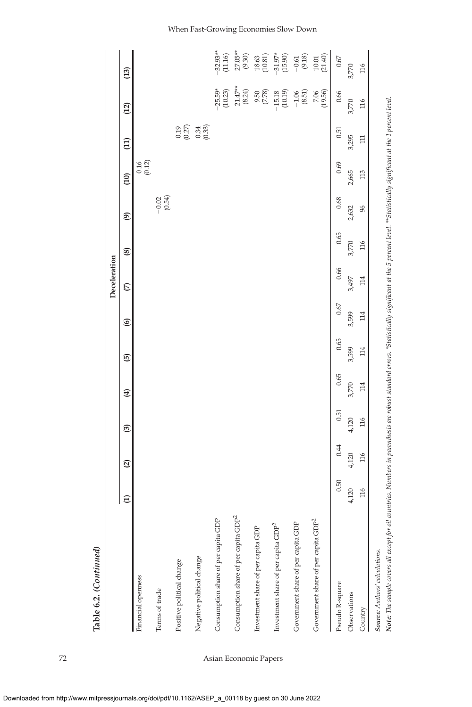|                                                                                                                                                                                                                                                   |               |              |       |             |       |                | Deceleration  |       |                   |                   |        |                      |                                                 |
|---------------------------------------------------------------------------------------------------------------------------------------------------------------------------------------------------------------------------------------------------|---------------|--------------|-------|-------------|-------|----------------|---------------|-------|-------------------|-------------------|--------|----------------------|-------------------------------------------------|
|                                                                                                                                                                                                                                                   | $\widehat{E}$ | $\mathbf{Q}$ | ම     | $\bigoplus$ | 0     | $\circledcirc$ | $\mathcal{L}$ | ⊛     | $\circledcirc$    | $\overline{10}$   | (11)   | (12)                 | (13)                                            |
| Financial openness                                                                                                                                                                                                                                |               |              |       |             |       |                |               |       |                   | (0.12)<br>$-0.16$ |        |                      |                                                 |
| Terms of trade                                                                                                                                                                                                                                    |               |              |       |             |       |                |               |       | $-0.02$<br>(0.54) |                   |        |                      |                                                 |
| Positive political change                                                                                                                                                                                                                         |               |              |       |             |       |                |               |       |                   |                   | (0.27) |                      |                                                 |
| Negative political change                                                                                                                                                                                                                         |               |              |       |             |       |                |               |       |                   |                   | (0.33) |                      |                                                 |
| <b>GDP</b><br>Consumption share of per capita                                                                                                                                                                                                     |               |              |       |             |       |                |               |       |                   |                   |        | $-25.59*$<br>(10.23) | $-32.93**$<br>(11.16)                           |
| Consumption share of per capita GDP <sup>2</sup>                                                                                                                                                                                                  |               |              |       |             |       |                |               |       |                   |                   |        | $21.47**$<br>(8.24)  | $27.05**$<br>$(9.30)$                           |
| Investment share of per capita GDP                                                                                                                                                                                                                |               |              |       |             |       |                |               |       |                   |                   |        | (7.78)<br>9.50       | $\begin{array}{c} 18.63 \\ (10.81) \end{array}$ |
| Investment share of per capita GDP <sup>2</sup>                                                                                                                                                                                                   |               |              |       |             |       |                |               |       |                   |                   |        | $-15.18$<br>(10.19)  | $-31.97*$<br>(15.90)                            |
| Government share of per capita GDP                                                                                                                                                                                                                |               |              |       |             |       |                |               |       |                   |                   |        | $-1.06$<br>(8.51)    | $-0.61$<br>(9.18)                               |
| GDP <sup>2</sup><br>Government share of per capita                                                                                                                                                                                                |               |              |       |             |       |                |               |       |                   |                   |        | (19.56)<br>$-7.06$   | $-10.01$<br>(21.40)                             |
| Pseudo R-square                                                                                                                                                                                                                                   | 0.50          | 0.44         | 0.51  | 0.65        | 0.65  | 0.67           | 0.66          | 0.65  | 0.68              | 0.69              | 0.51   | 0.66                 | $0.67\,$                                        |
| Observations                                                                                                                                                                                                                                      | 4,120         | 4,120        | 4,120 | 3,770       | 3,599 | 3,599          | 3,497         | 3,770 | 2,632             | 2,665             | 3,295  | 3,770                | 3,770                                           |
| Country                                                                                                                                                                                                                                           | 116           | 116          | 116   | 114         | 114   | 114            | 114           | 116   | 96                | 113               | $\Xi$  | 116                  | 116                                             |
| Note: The sample covers all except for oil countries. Numbers in parenthesis are robust standard errors. *Statistically significant at #16 5 percent level. **Statistically significant at the 1 percent level.<br>Source: Authors' calculations. |               |              |       |             |       |                |               |       |                   |                   |        |                      |                                                 |

**Table 6.2.** *(Continued)*

Table 6.2. (Continued)

### 72 Asian Economic Papers

#### When Fast-Growing Economies Slow Down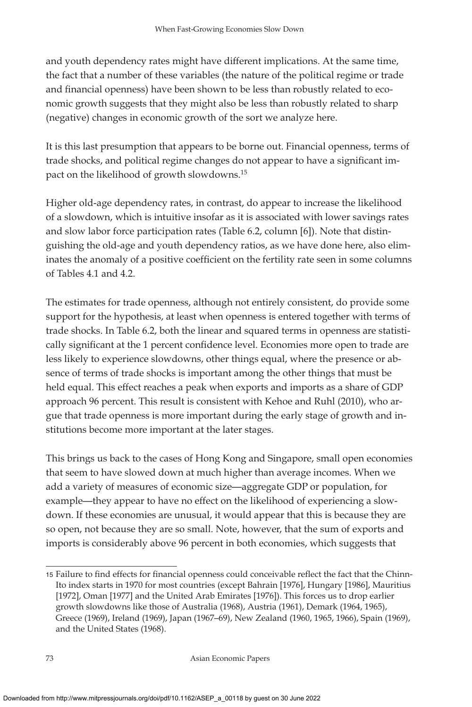and youth dependency rates might have different implications. At the same time, the fact that a number of these variables (the nature of the political regime or trade and financial openness) have been shown to be less than robustly related to economic growth suggests that they might also be less than robustly related to sharp (negative) changes in economic growth of the sort we analyze here.

It is this last presumption that appears to be borne out. Financial openness, terms of trade shocks, and political regime changes do not appear to have a significant impact on the likelihood of growth slowdowns.15

Higher old-age dependency rates, in contrast, do appear to increase the likelihood of a slowdown, which is intuitive insofar as it is associated with lower savings rates and slow labor force participation rates (Table 6.2, column [6]). Note that distinguishing the old-age and youth dependency ratios, as we have done here, also eliminates the anomaly of a positive coefficient on the fertility rate seen in some columns of Tables 4.1 and 4.2.

The estimates for trade openness, although not entirely consistent, do provide some support for the hypothesis, at least when openness is entered together with terms of trade shocks. In Table 6.2, both the linear and squared terms in openness are statistically significant at the 1 percent confidence level. Economies more open to trade are less likely to experience slowdowns, other things equal, where the presence or absence of terms of trade shocks is important among the other things that must be held equal. This effect reaches a peak when exports and imports as a share of GDP approach 96 percent. This result is consistent with Kehoe and Ruhl (2010), who argue that trade openness is more important during the early stage of growth and institutions become more important at the later stages.

This brings us back to the cases of Hong Kong and Singapore, small open economies that seem to have slowed down at much higher than average incomes. When we add a variety of measures of economic size—aggregate GDP or population, for example—they appear to have no effect on the likelihood of experiencing a slowdown. If these economies are unusual, it would appear that this is because they are so open, not because they are so small. Note, however, that the sum of exports and imports is considerably above 96 percent in both economies, which suggests that

<sup>15</sup> Failure to find effects for financial openness could conceivable reflect the fact that the Chinn-Ito index starts in 1970 for most countries (except Bahrain [1976], Hungary [1986], Mauritius [1972], Oman [1977] and the United Arab Emirates [1976]). This forces us to drop earlier growth slowdowns like those of Australia (1968), Austria (1961), Demark (1964, 1965), Greece (1969), Ireland (1969), Japan (1967–69), New Zealand (1960, 1965, 1966), Spain (1969), and the United States (1968).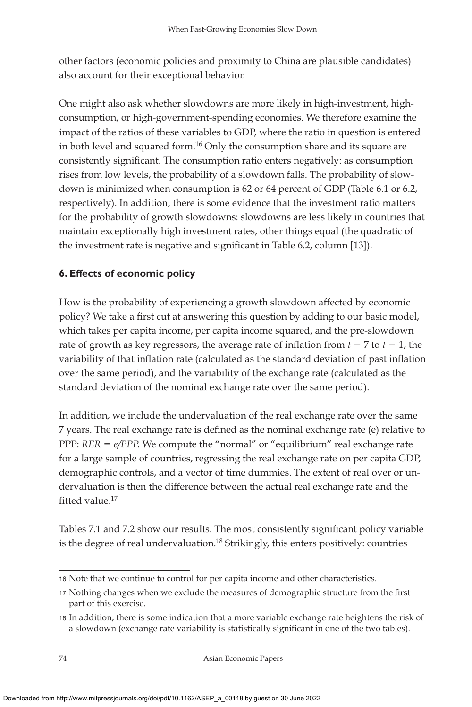other factors (economic policies and proximity to China are plausible candidates) also account for their exceptional behavior.

One might also ask whether slowdowns are more likely in high-investment, highconsumption, or high-government-spending economies. We therefore examine the impact of the ratios of these variables to GDP, where the ratio in question is entered in both level and squared form.<sup>16</sup> Only the consumption share and its square are consistently significant. The consumption ratio enters negatively: as consumption rises from low levels, the probability of a slowdown falls. The probability of slowdown is minimized when consumption is 62 or 64 percent of GDP (Table 6.1 or 6.2, respectively). In addition, there is some evidence that the investment ratio matters for the probability of growth slowdowns: slowdowns are less likely in countries that maintain exceptionally high investment rates, other things equal (the quadratic of the investment rate is negative and significant in Table 6.2, column [13]).

# **6. Effects of economic policy**

How is the probability of experiencing a growth slowdown affected by economic policy? We take a first cut at answering this question by adding to our basic model, which takes per capita income, per capita income squared, and the pre-slowdown rate of growth as key regressors, the average rate of inflation from  $t - 7$  to  $t - 1$ , the variability of that inflation rate (calculated as the standard deviation of past inflation over the same period), and the variability of the exchange rate (calculated as the standard deviation of the nominal exchange rate over the same period).

In addition, we include the undervaluation of the real exchange rate over the same 7 years. The real exchange rate is defined as the nominal exchange rate (e) relative to PPP: *RER = e/PPP*. We compute the "normal" or "equilibrium" real exchange rate for a large sample of countries, regressing the real exchange rate on per capita GDP, demographic controls, and a vector of time dummies. The extent of real over or undervaluation is then the difference between the actual real exchange rate and the fitted value.<sup>17</sup>

Tables 7.1 and 7.2 show our results. The most consistently significant policy variable is the degree of real undervaluation.<sup>18</sup> Strikingly, this enters positively: countries

<sup>16</sup> Note that we continue to control for per capita income and other characteristics.

<sup>17</sup> Nothing changes when we exclude the measures of demographic structure from the first part of this exercise.

<sup>18</sup> In addition, there is some indication that a more variable exchange rate heightens the risk of a slowdown (exchange rate variability is statistically significant in one of the two tables).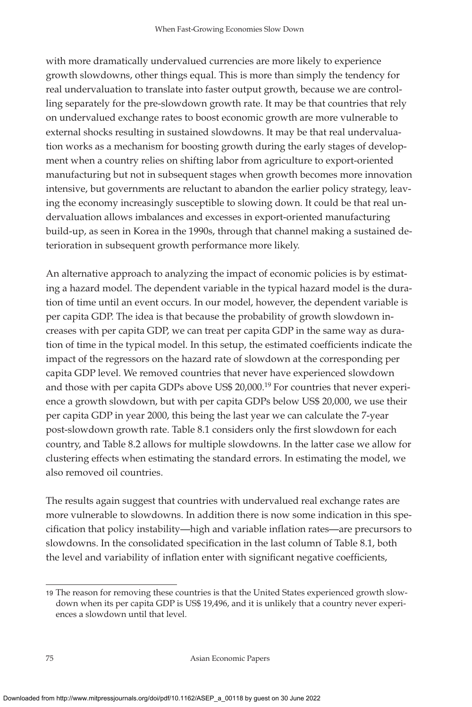with more dramatically undervalued currencies are more likely to experience growth slowdowns, other things equal. This is more than simply the tendency for real undervaluation to translate into faster output growth, because we are controlling separately for the pre-slowdown growth rate. It may be that countries that rely on undervalued exchange rates to boost economic growth are more vulnerable to external shocks resulting in sustained slowdowns. It may be that real undervaluation works as a mechanism for boosting growth during the early stages of development when a country relies on shifting labor from agriculture to export-oriented manufacturing but not in subsequent stages when growth becomes more innovation intensive, but governments are reluctant to abandon the earlier policy strategy, leaving the economy increasingly susceptible to slowing down. It could be that real undervaluation allows imbalances and excesses in export-oriented manufacturing build-up, as seen in Korea in the 1990s, through that channel making a sustained deterioration in subsequent growth performance more likely.

An alternative approach to analyzing the impact of economic policies is by estimating a hazard model. The dependent variable in the typical hazard model is the duration of time until an event occurs. In our model, however, the dependent variable is per capita GDP. The idea is that because the probability of growth slowdown increases with per capita GDP, we can treat per capita GDP in the same way as duration of time in the typical model. In this setup, the estimated coefficients indicate the impact of the regressors on the hazard rate of slowdown at the corresponding per capita GDP level. We removed countries that never have experienced slowdown and those with per capita GDPs above US\$ 20,000.19 For countries that never experience a growth slowdown, but with per capita GDPs below US\$ 20,000, we use their per capita GDP in year 2000, this being the last year we can calculate the 7-year post-slowdown growth rate. Table 8.1 considers only the first slowdown for each country, and Table 8.2 allows for multiple slowdowns. In the latter case we allow for clustering effects when estimating the standard errors. In estimating the model, we also removed oil countries.

The results again suggest that countries with undervalued real exchange rates are more vulnerable to slowdowns. In addition there is now some indication in this specification that policy instability—high and variable inflation rates—are precursors to slowdowns. In the consolidated specification in the last column of Table 8.1, both the level and variability of inflation enter with significant negative coefficients,

<sup>19</sup> The reason for removing these countries is that the United States experienced growth slowdown when its per capita GDP is US\$ 19,496, and it is unlikely that a country never experiences a slowdown until that level.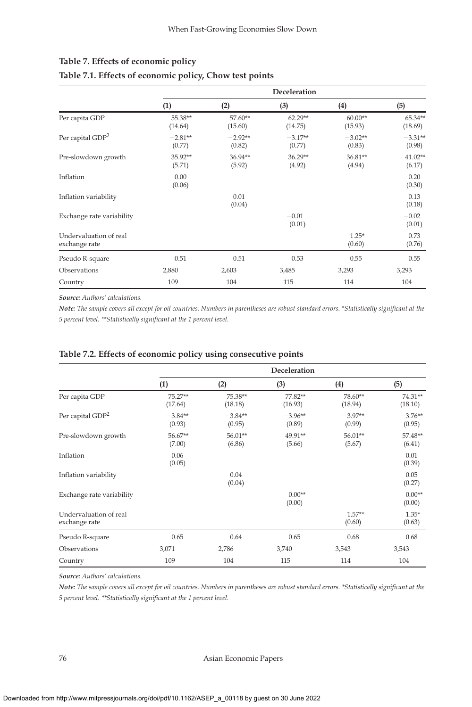|                                         |                     |                     | Deceleration         |                      |                     |
|-----------------------------------------|---------------------|---------------------|----------------------|----------------------|---------------------|
|                                         | (1)                 | (2)                 | (3)                  | (4)                  | (5)                 |
| Per capita GDP                          | 55.38**<br>(14.64)  | 57.60**<br>(15.60)  | $62.29**$<br>(14.75) | $60.00**$<br>(15.93) | 65.34**<br>(18.69)  |
| Per capital GDP <sup>2</sup>            | $-2.81**$<br>(0.77) | $-2.92**$<br>(0.82) | $-3.17**$<br>(0.77)  | $-3.02**$<br>(0.83)  | $-3.31**$<br>(0.98) |
| Pre-slowdown growth                     | 35.92**<br>(5.71)   | 36.94**<br>(5.92)   | $36.29**$<br>(4.92)  | $36.81**$<br>(4.94)  | $41.02**$<br>(6.17) |
| Inflation                               | $-0.00$<br>(0.06)   |                     |                      |                      | $-0.20$<br>(0.30)   |
| Inflation variability                   |                     | 0.01<br>(0.04)      |                      |                      | 0.13<br>(0.18)      |
| Exchange rate variability               |                     |                     | $-0.01$<br>(0.01)    |                      | $-0.02$<br>(0.01)   |
| Undervaluation of real<br>exchange rate |                     |                     |                      | $1.25*$<br>(0.60)    | 0.73<br>(0.76)      |
| Pseudo R-square                         | 0.51                | 0.51                | 0.53                 | 0.55                 | 0.55                |
| Observations                            | 2,880               | 2,603               | 3,485                | 3,293                | 3,293               |
| Country                                 | 109                 | 104                 | 115                  | 114                  | 104                 |

### **Table 7. Effects of economic policy Table 7.1. Effects of economic policy, Chow test points**

*Source: Authors' calculations.*

*Note: The sample covers all except for oil countries. Numbers in parentheses are robust standard errors. \*Statistically significant at the 5 percent level.* \*\*Statistically significant at the 1 percent level.

|                                         | Deceleration         |                     |                     |                     |                     |  |  |
|-----------------------------------------|----------------------|---------------------|---------------------|---------------------|---------------------|--|--|
|                                         | (1)                  | (2)                 | (3)                 | (4)                 | (5)                 |  |  |
| Per capita GDP                          | $75.27**$<br>(17.64) | 75.38**<br>(18.18)  | 77.82**<br>(16.93)  | 78.60**<br>(18.94)  | 74.31**<br>(18.10)  |  |  |
| Per capital GDP <sup>2</sup>            | $-3.84**$<br>(0.93)  | $-3.84**$<br>(0.95) | $-3.96**$<br>(0.89) | $-3.97**$<br>(0.99) | $-3.76**$<br>(0.95) |  |  |
| Pre-slowdown growth                     | 56.67**<br>(7.00)    | 56.01**<br>(6.86)   | 49.91**<br>(5.66)   | 56.01**<br>(5.67)   | 57.48**<br>(6.41)   |  |  |
| Inflation                               | 0.06<br>(0.05)       |                     |                     |                     | 0.01<br>(0.39)      |  |  |
| Inflation variability                   |                      | 0.04<br>(0.04)      |                     |                     | 0.05<br>(0.27)      |  |  |
| Exchange rate variability               |                      |                     | $0.00**$<br>(0.00)  |                     | $0.00**$<br>(0.00)  |  |  |
| Undervaluation of real<br>exchange rate |                      |                     |                     | $1.57**$<br>(0.60)  | $1.35*$<br>(0.63)   |  |  |
| Pseudo R-square                         | 0.65                 | 0.64                | 0.65                | 0.68                | 0.68                |  |  |
| Observations                            | 3,071                | 2,786               | 3,740               | 3,543               | 3,543               |  |  |
| Country                                 | 109                  | 104                 | 115                 | 114                 | 104                 |  |  |

#### **Table 7.2. Effects of economic policy using consecutive points**

*Source: Authors' calculations.*

*Note: The sample covers all except for oil countries. Numbers in parentheses are robust standard errors. \*Statistically significant at the 5 percent level.* \*\*Statistically significant at the 1 percent level.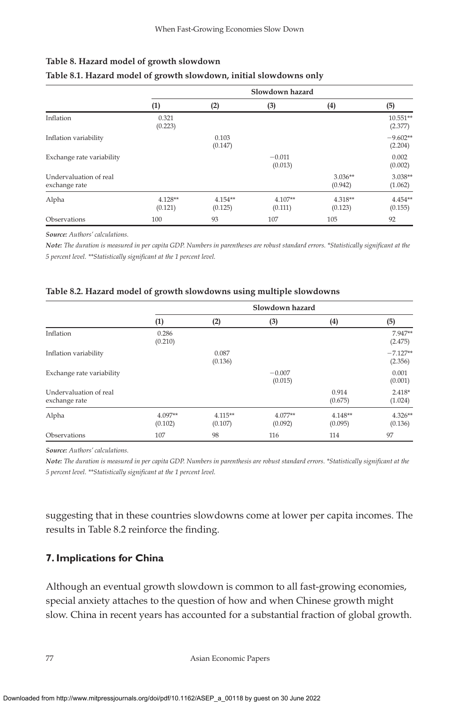### **Table 8. Hazard model of growth slowdown**

|                                         | Slowdown hazard      |                      |                      |                      |                       |  |
|-----------------------------------------|----------------------|----------------------|----------------------|----------------------|-----------------------|--|
|                                         | (1)                  | (2)                  | (3)                  | (4)                  | (5)                   |  |
| Inflation                               | 0.321<br>(0.223)     |                      |                      |                      | $10.551**$<br>(2.377) |  |
| Inflation variability                   |                      | 0.103<br>(0.147)     |                      |                      | $-9.602**$<br>(2.204) |  |
| Exchange rate variability               |                      |                      | $-0.011$<br>(0.013)  |                      | 0.002<br>(0.002)      |  |
| Undervaluation of real<br>exchange rate |                      |                      |                      | $3.036**$<br>(0.942) | $3.038**$<br>(1.062)  |  |
| Alpha                                   | $4.128**$<br>(0.121) | $4.154**$<br>(0.125) | $4.107**$<br>(0.111) | $4.318**$<br>(0.123) | $4.454**$<br>(0.155)  |  |
| Observations                            | 100                  | 93                   | 107                  | 105                  | 92                    |  |

### **Table 8.1. Hazard model of growth slowdown, initial slowdowns only**

*Source: Authors' calculations.*

*Note: The duration is measured in per capita GDP. Numbers in parentheses are robust standard errors. \*Statistically significant at the 5 percent level.* \*\*Statistically significant at the 1 percent level.

#### **Table 8.2. Hazard model of growth slowdowns using multiple slowdowns**

|                                         | Slowdown hazard    |                      |                      |                      |                       |  |
|-----------------------------------------|--------------------|----------------------|----------------------|----------------------|-----------------------|--|
|                                         | (1)                | (2)                  | (3)                  | (4)                  | (5)                   |  |
| Inflation                               | 0.286<br>(0.210)   |                      |                      |                      | $7.947**$<br>(2.475)  |  |
| Inflation variability                   |                    | 0.087<br>(0.136)     |                      |                      | $-7.127**$<br>(2.356) |  |
| Exchange rate variability               |                    |                      | $-0.007$<br>(0.015)  |                      | 0.001<br>(0.001)      |  |
| Undervaluation of real<br>exchange rate |                    |                      |                      | 0.914<br>(0.675)     | $2.418*$<br>(1.024)   |  |
| Alpha                                   | 4.097**<br>(0.102) | $4.115**$<br>(0.107) | $4.077**$<br>(0.092) | $4.148**$<br>(0.095) | $4.326**$<br>(0.136)  |  |
| Observations                            | 107                | 98                   | 116                  | 114                  | 97                    |  |

*Source: Authors' calculations.*

Note: The duration is measured in per capita GDP. Numbers in parenthesis are robust standard errors. \*Statistically significant at the *5 percent level.* \*\*Statistically significant at the 1 percent level.

suggesting that in these countries slowdowns come at lower per capita incomes. The results in Table 8.2 reinforce the finding.

# **7. Implications for China**

Although an eventual growth slowdown is common to all fast-growing economies, special anxiety attaches to the question of how and when Chinese growth might slow. China in recent years has accounted for a substantial fraction of global growth.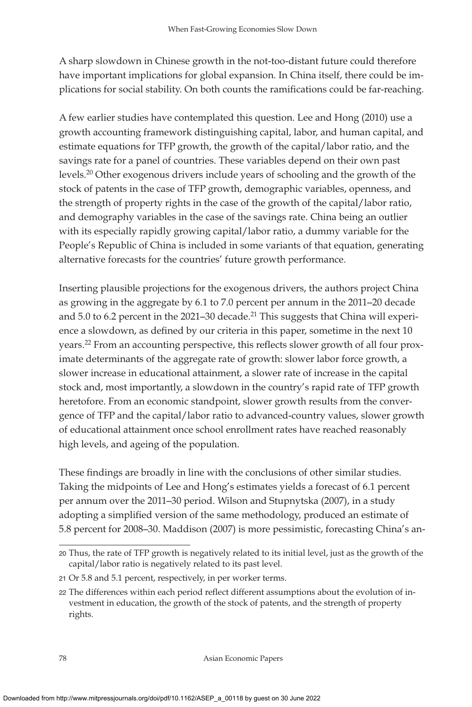A sharp slowdown in Chinese growth in the not-too-distant future could therefore have important implications for global expansion. In China itself, there could be implications for social stability. On both counts the ramifications could be far-reaching.

A few earlier studies have contemplated this question. Lee and Hong (2010) use a growth accounting framework distinguishing capital, labor, and human capital, and estimate equations for TFP growth, the growth of the capital/labor ratio, and the savings rate for a panel of countries. These variables depend on their own past levels.20 Other exogenous drivers include years of schooling and the growth of the stock of patents in the case of TFP growth, demographic variables, openness, and the strength of property rights in the case of the growth of the capital/labor ratio, and demography variables in the case of the savings rate. China being an outlier with its especially rapidly growing capital/labor ratio, a dummy variable for the People's Republic of China is included in some variants of that equation, generating alternative forecasts for the countries' future growth performance.

Inserting plausible projections for the exogenous drivers, the authors project China as growing in the aggregate by 6.1 to 7.0 percent per annum in the 2011–20 decade and 5.0 to 6.2 percent in the 2021–30 decade.<sup>21</sup> This suggests that China will experience a slowdown, as defined by our criteria in this paper, sometime in the next 10 years.<sup>22</sup> From an accounting perspective, this reflects slower growth of all four proximate determinants of the aggregate rate of growth: slower labor force growth, a slower increase in educational attainment, a slower rate of increase in the capital stock and, most importantly, a slowdown in the country's rapid rate of TFP growth heretofore. From an economic standpoint, slower growth results from the convergence of TFP and the capital/labor ratio to advanced-country values, slower growth of educational attainment once school enrollment rates have reached reasonably high levels, and ageing of the population.

These findings are broadly in line with the conclusions of other similar studies. Taking the midpoints of Lee and Hong's estimates yields a forecast of 6.1 percent per annum over the 2011–30 period. Wilson and Stupnytska (2007), in a study adopting a simplified version of the same methodology, produced an estimate of 5.8 percent for 2008–30. Maddison (2007) is more pessimistic, forecasting China's an-

<sup>20</sup> Thus, the rate of TFP growth is negatively related to its initial level, just as the growth of the capital/labor ratio is negatively related to its past level.

<sup>21</sup> Or 5.8 and 5.1 percent, respectively, in per worker terms.

<sup>22</sup> The differences within each period reflect different assumptions about the evolution of investment in education, the growth of the stock of patents, and the strength of property rights.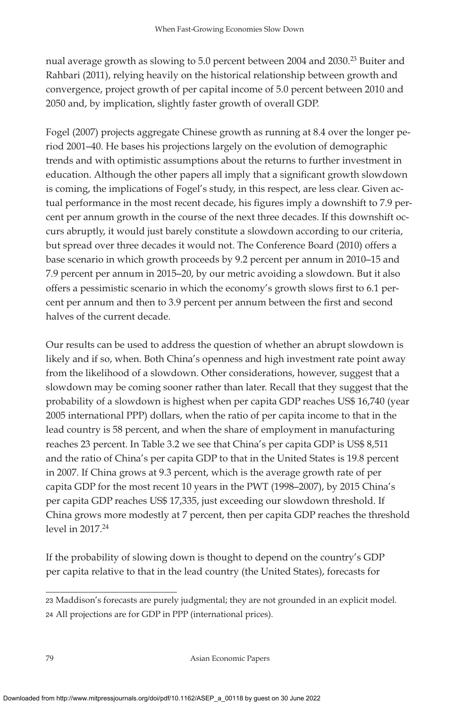nual average growth as slowing to 5.0 percent between 2004 and 2030.<sup>23</sup> Buiter and Rahbari (2011), relying heavily on the historical relationship between growth and convergence, project growth of per capital income of 5.0 percent between 2010 and 2050 and, by implication, slightly faster growth of overall GDP.

Fogel (2007) projects aggregate Chinese growth as running at 8.4 over the longer period 2001–40. He bases his projections largely on the evolution of demographic trends and with optimistic assumptions about the returns to further investment in education. Although the other papers all imply that a significant growth slowdown is coming, the implications of Fogel's study, in this respect, are less clear. Given actual performance in the most recent decade, his figures imply a downshift to 7.9 percent per annum growth in the course of the next three decades. If this downshift occurs abruptly, it would just barely constitute a slowdown according to our criteria, but spread over three decades it would not. The Conference Board (2010) offers a base scenario in which growth proceeds by 9.2 percent per annum in 2010–15 and 7.9 percent per annum in 2015–20, by our metric avoiding a slowdown. But it also offers a pessimistic scenario in which the economy's growth slows first to 6.1 percent per annum and then to 3.9 percent per annum between the first and second halves of the current decade.

Our results can be used to address the question of whether an abrupt slowdown is likely and if so, when. Both China's openness and high investment rate point away from the likelihood of a slowdown. Other considerations, however, suggest that a slowdown may be coming sooner rather than later. Recall that they suggest that the probability of a slowdown is highest when per capita GDP reaches US\$ 16,740 (year 2005 international PPP) dollars, when the ratio of per capita income to that in the lead country is 58 percent, and when the share of employment in manufacturing reaches 23 percent. In Table 3.2 we see that China's per capita GDP is US\$ 8,511 and the ratio of China's per capita GDP to that in the United States is 19.8 percent in 2007. If China grows at 9.3 percent, which is the average growth rate of per capita GDP for the most recent 10 years in the PWT (1998–2007), by 2015 China's per capita GDP reaches US\$ 17,335, just exceeding our slowdown threshold. If China grows more modestly at 7 percent, then per capita GDP reaches the threshold level in 2017.<sup>24</sup>

If the probability of slowing down is thought to depend on the country's GDP per capita relative to that in the lead country (the United States), forecasts for

<sup>23</sup> Maddison's forecasts are purely judgmental; they are not grounded in an explicit model. 24 All projections are for GDP in PPP (international prices).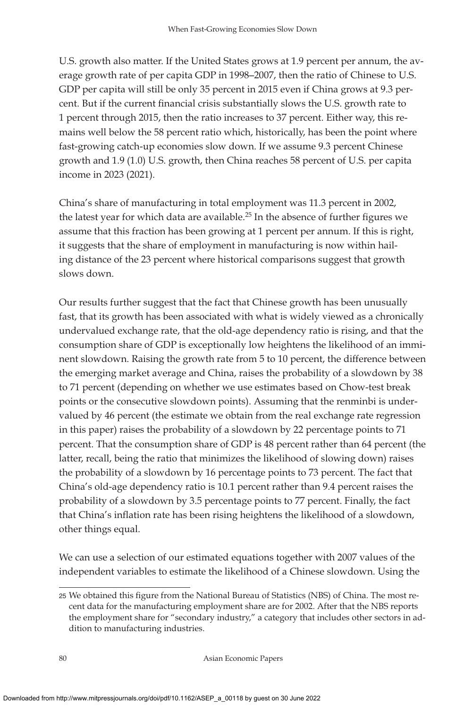U.S. growth also matter. If the United States grows at 1.9 percent per annum, the average growth rate of per capita GDP in 1998–2007, then the ratio of Chinese to U.S. GDP per capita will still be only 35 percent in 2015 even if China grows at 9.3 percent. But if the current financial crisis substantially slows the U.S. growth rate to 1 percent through 2015, then the ratio increases to 37 percent. Either way, this remains well below the 58 percent ratio which, historically, has been the point where fast-growing catch-up economies slow down. If we assume 9.3 percent Chinese growth and 1.9 (1.0) U.S. growth, then China reaches 58 percent of U.S. per capita income in 2023 (2021).

China's share of manufacturing in total employment was 11.3 percent in 2002, the latest year for which data are available.<sup>25</sup> In the absence of further figures we assume that this fraction has been growing at 1 percent per annum. If this is right, it suggests that the share of employment in manufacturing is now within hailing distance of the 23 percent where historical comparisons suggest that growth slows down.

Our results further suggest that the fact that Chinese growth has been unusually fast, that its growth has been associated with what is widely viewed as a chronically undervalued exchange rate, that the old-age dependency ratio is rising, and that the consumption share of GDP is exceptionally low heightens the likelihood of an imminent slowdown. Raising the growth rate from 5 to 10 percent, the difference between the emerging market average and China, raises the probability of a slowdown by 38 to 71 percent (depending on whether we use estimates based on Chow-test break points or the consecutive slowdown points). Assuming that the renminbi is undervalued by 46 percent (the estimate we obtain from the real exchange rate regression in this paper) raises the probability of a slowdown by 22 percentage points to 71 percent. That the consumption share of GDP is 48 percent rather than 64 percent (the latter, recall, being the ratio that minimizes the likelihood of slowing down) raises the probability of a slowdown by 16 percentage points to 73 percent. The fact that China's old-age dependency ratio is 10.1 percent rather than 9.4 percent raises the probability of a slowdown by 3.5 percentage points to 77 percent. Finally, the fact that China's inflation rate has been rising heightens the likelihood of a slowdown, other things equal.

We can use a selection of our estimated equations together with 2007 values of the independent variables to estimate the likelihood of a Chinese slowdown. Using the

<sup>25</sup> We obtained this figure from the National Bureau of Statistics (NBS) of China. The most recent data for the manufacturing employment share are for 2002. After that the NBS reports the employment share for "secondary industry," a category that includes other sectors in addition to manufacturing industries.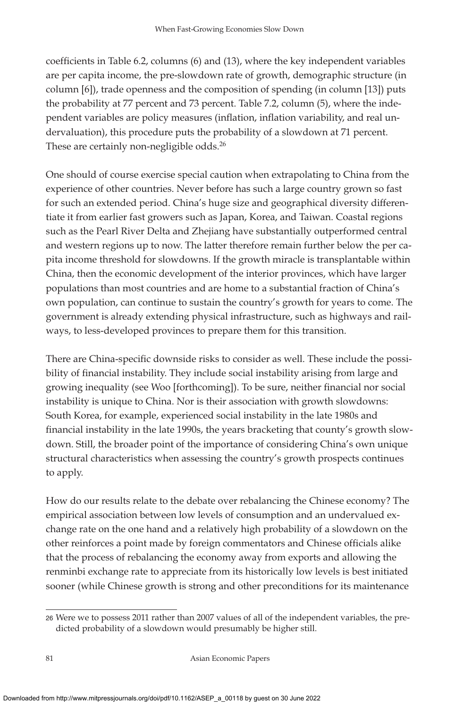coefficients in Table 6.2, columns (6) and (13), where the key independent variables are per capita income, the pre-slowdown rate of growth, demographic structure (in column [6]), trade openness and the composition of spending (in column [13]) puts the probability at 77 percent and 73 percent. Table 7.2, column (5), where the independent variables are policy measures (inflation, inflation variability, and real undervaluation), this procedure puts the probability of a slowdown at 71 percent. These are certainly non-negligible odds.<sup>26</sup>

One should of course exercise special caution when extrapolating to China from the experience of other countries. Never before has such a large country grown so fast for such an extended period. China's huge size and geographical diversity differentiate it from earlier fast growers such as Japan, Korea, and Taiwan. Coastal regions such as the Pearl River Delta and Zhejiang have substantially outperformed central and western regions up to now. The latter therefore remain further below the per capita income threshold for slowdowns. If the growth miracle is transplantable within China, then the economic development of the interior provinces, which have larger populations than most countries and are home to a substantial fraction of China's own population, can continue to sustain the country's growth for years to come. The government is already extending physical infrastructure, such as highways and railways, to less-developed provinces to prepare them for this transition.

There are China-specific downside risks to consider as well. These include the possibility of financial instability. They include social instability arising from large and growing inequality (see Woo [forthcoming]). To be sure, neither financial nor social instability is unique to China. Nor is their association with growth slowdowns: South Korea, for example, experienced social instability in the late 1980s and financial instability in the late 1990s, the years bracketing that county's growth slowdown. Still, the broader point of the importance of considering China's own unique structural characteristics when assessing the country's growth prospects continues to apply.

How do our results relate to the debate over rebalancing the Chinese economy? The empirical association between low levels of consumption and an undervalued exchange rate on the one hand and a relatively high probability of a slowdown on the other reinforces a point made by foreign commentators and Chinese officials alike that the process of rebalancing the economy away from exports and allowing the renminbi exchange rate to appreciate from its historically low levels is best initiated sooner (while Chinese growth is strong and other preconditions for its maintenance

<sup>26</sup> Were we to possess 2011 rather than 2007 values of all of the independent variables, the predicted probability of a slowdown would presumably be higher still.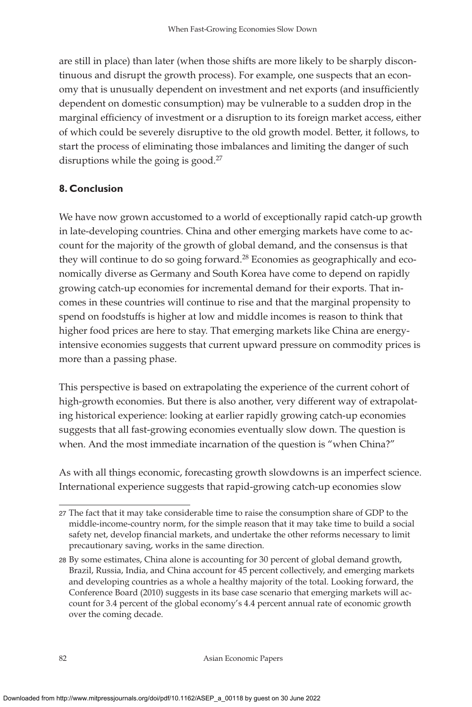are still in place) than later (when those shifts are more likely to be sharply discontinuous and disrupt the growth process). For example, one suspects that an economy that is unusually dependent on investment and net exports (and insufficiently dependent on domestic consumption) may be vulnerable to a sudden drop in the marginal efficiency of investment or a disruption to its foreign market access, either of which could be severely disruptive to the old growth model. Better, it follows, to start the process of eliminating those imbalances and limiting the danger of such disruptions while the going is good.<sup>27</sup>

# **8. Conclusion**

We have now grown accustomed to a world of exceptionally rapid catch-up growth in late-developing countries. China and other emerging markets have come to account for the majority of the growth of global demand, and the consensus is that they will continue to do so going forward.<sup>28</sup> Economies as geographically and economically diverse as Germany and South Korea have come to depend on rapidly growing catch-up economies for incremental demand for their exports. That incomes in these countries will continue to rise and that the marginal propensity to spend on foodstuffs is higher at low and middle incomes is reason to think that higher food prices are here to stay. That emerging markets like China are energyintensive economies suggests that current upward pressure on commodity prices is more than a passing phase.

This perspective is based on extrapolating the experience of the current cohort of high-growth economies. But there is also another, very different way of extrapolating historical experience: looking at earlier rapidly growing catch-up economies suggests that all fast-growing economies eventually slow down. The question is when. And the most immediate incarnation of the question is "when China?"

As with all things economic, forecasting growth slowdowns is an imperfect science. International experience suggests that rapid-growing catch-up economies slow

<sup>27</sup> The fact that it may take considerable time to raise the consumption share of GDP to the middle-income-country norm, for the simple reason that it may take time to build a social safety net, develop financial markets, and undertake the other reforms necessary to limit precautionary saving, works in the same direction.

<sup>28</sup> By some estimates, China alone is accounting for 30 percent of global demand growth, Brazil, Russia, India, and China account for 45 percent collectively, and emerging markets and developing countries as a whole a healthy majority of the total. Looking forward, the Conference Board (2010) suggests in its base case scenario that emerging markets will account for 3.4 percent of the global economy's 4.4 percent annual rate of economic growth over the coming decade.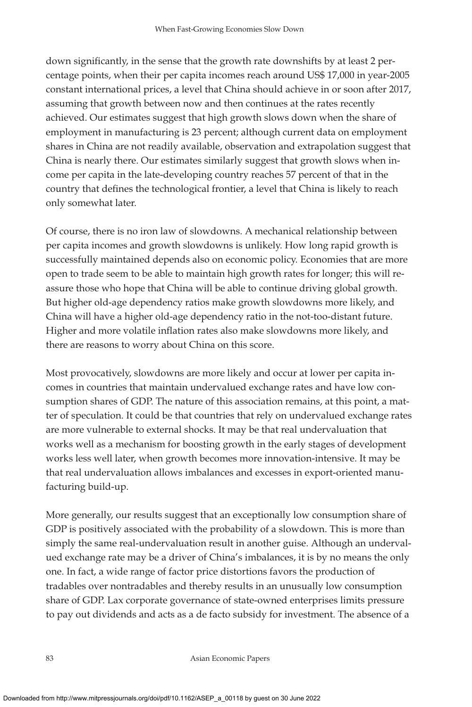down significantly, in the sense that the growth rate downshifts by at least 2 percentage points, when their per capita incomes reach around US\$ 17,000 in year-2005 constant international prices, a level that China should achieve in or soon after 2017, assuming that growth between now and then continues at the rates recently achieved. Our estimates suggest that high growth slows down when the share of employment in manufacturing is 23 percent; although current data on employment shares in China are not readily available, observation and extrapolation suggest that China is nearly there. Our estimates similarly suggest that growth slows when income per capita in the late-developing country reaches 57 percent of that in the country that defines the technological frontier, a level that China is likely to reach only somewhat later.

Of course, there is no iron law of slowdowns. A mechanical relationship between per capita incomes and growth slowdowns is unlikely. How long rapid growth is successfully maintained depends also on economic policy. Economies that are more open to trade seem to be able to maintain high growth rates for longer; this will reassure those who hope that China will be able to continue driving global growth. But higher old-age dependency ratios make growth slowdowns more likely, and China will have a higher old-age dependency ratio in the not-too-distant future. Higher and more volatile inflation rates also make slowdowns more likely, and there are reasons to worry about China on this score.

Most provocatively, slowdowns are more likely and occur at lower per capita incomes in countries that maintain undervalued exchange rates and have low consumption shares of GDP. The nature of this association remains, at this point, a matter of speculation. It could be that countries that rely on undervalued exchange rates are more vulnerable to external shocks. It may be that real undervaluation that works well as a mechanism for boosting growth in the early stages of development works less well later, when growth becomes more innovation-intensive. It may be that real undervaluation allows imbalances and excesses in export-oriented manufacturing build-up.

More generally, our results suggest that an exceptionally low consumption share of GDP is positively associated with the probability of a slowdown. This is more than simply the same real-undervaluation result in another guise. Although an undervalued exchange rate may be a driver of China's imbalances, it is by no means the only one. In fact, a wide range of factor price distortions favors the production of tradables over nontradables and thereby results in an unusually low consumption share of GDP. Lax corporate governance of state-owned enterprises limits pressure to pay out dividends and acts as a de facto subsidy for investment. The absence of a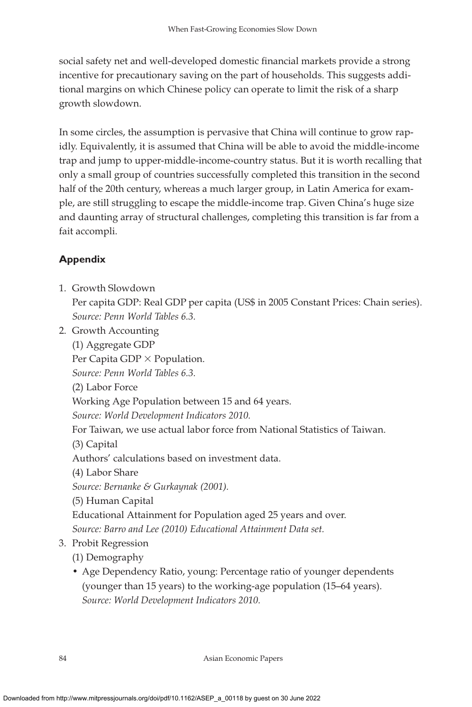social safety net and well-developed domestic financial markets provide a strong incentive for precautionary saving on the part of households. This suggests additional margins on which Chinese policy can operate to limit the risk of a sharp growth slowdown.

In some circles, the assumption is pervasive that China will continue to grow rapidly. Equivalently, it is assumed that China will be able to avoid the middle-income trap and jump to upper-middle-income-country status. But it is worth recalling that only a small group of countries successfully completed this transition in the second half of the 20th century, whereas a much larger group, in Latin America for example, are still struggling to escape the middle-income trap. Given China's huge size and daunting array of structural challenges, completing this transition is far from a fait accompli.

# **Appendix**

1. Growth Slowdown

Per capita GDP: Real GDP per capita (US\$ in 2005 Constant Prices: Chain series). *Source: Penn World Tables 6.3.*

2. Growth Accounting (1) Aggregate GDP

Per Capita GDP  $\times$  Population.

*Source: Penn World Tables 6.3.*

(2) Labor Force

Working Age Population between 15 and 64 years.

*Source: World Development Indicators 2010.*

For Taiwan, we use actual labor force from National Statistics of Taiwan.

(3) Capital

Authors' calculations based on investment data.

(4) Labor Share

*Source: Bernanke & Gurkaynak (2001).*

(5) Human Capital

Educational Attainment for Population aged 25 years and over.

*Source: Barro and Lee (2010) Educational Attainment Data set.*

# 3. Probit Regression

(1) Demography

• Age Dependency Ratio, young: Percentage ratio of younger dependents (younger than 15 years) to the working-age population (15–64 years). *Source: World Development Indicators 2010.*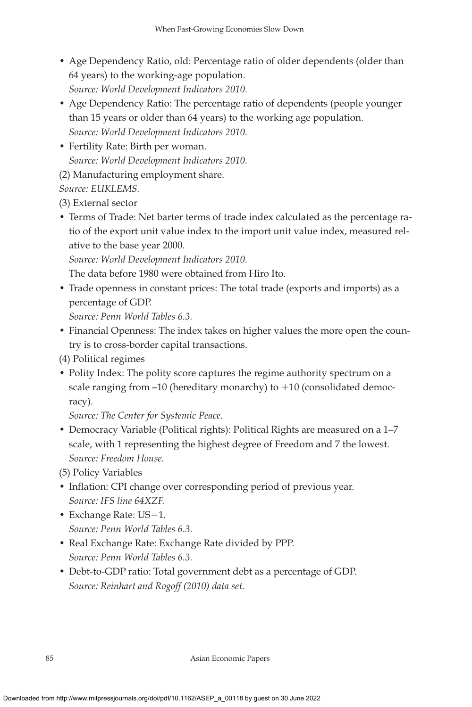- Age Dependency Ratio, old: Percentage ratio of older dependents (older than 64 years) to the working-age population. *Source: World Development Indicators 2010.*
- Age Dependency Ratio: The percentage ratio of dependents (people younger than 15 years or older than 64 years) to the working age population. *Source: World Development Indicators 2010.*
- Fertility Rate: Birth per woman. *Source: World Development Indicators 2010.*

(2) Manufacturing employment share.

# *Source: EUKLEMS.*

(3) External sector

• Terms of Trade: Net barter terms of trade index calculated as the percentage ratio of the export unit value index to the import unit value index, measured relative to the base year 2000.

*Source: World Development Indicators 2010.*

The data before 1980 were obtained from Hiro Ito.

• Trade openness in constant prices: The total trade (exports and imports) as a percentage of GDP.

*Source: Penn World Tables 6.3.*

• Financial Openness: The index takes on higher values the more open the country is to cross-border capital transactions.

(4) Political regimes

• Polity Index: The polity score captures the regime authority spectrum on a scale ranging from  $-10$  (hereditary monarchy) to  $+10$  (consolidated democracy).

*Source: The Center for Systemic Peace.*

• Democracy Variable (Political rights): Political Rights are measured on a 1–7 scale, with 1 representing the highest degree of Freedom and 7 the lowest. *Source: Freedom House.*

(5) Policy Variables

- Inflation: CPI change over corresponding period of previous year. *Source: IFS line 64XZF.*
- Exchange Rate: US=1. *Source: Penn World Tables 6.3.*
- Real Exchange Rate: Exchange Rate divided by PPP. *Source: Penn World Tables 6.3.*
- Debt-to-GDP ratio: Total government debt as a percentage of GDP. *Source: Reinhart and Rogoff (2010) data set.*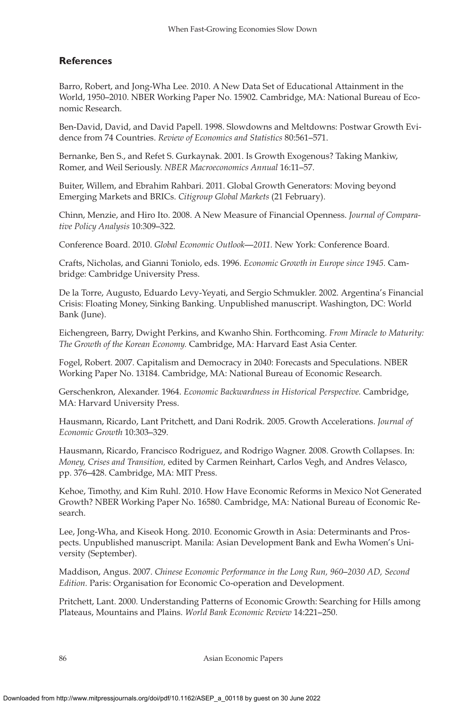## **References**

Barro, Robert, and Jong-Wha Lee. 2010. A New Data Set of Educational Attainment in the World, 1950–2010. NBER Working Paper No. 15902. Cambridge, MA: National Bureau of Economic Research.

Ben-David, David, and David Papell. 1998. Slowdowns and Meltdowns: Postwar Growth Evidence from 74 Countries. *Review of Economics and Statistics* 80:561–571.

Bernanke, Ben S., and Refet S. Gurkaynak. 2001. Is Growth Exogenous? Taking Mankiw, Romer, and Weil Seriously. *NBER Macroeconomics Annual* 16:11–57.

Buiter, Willem, and Ebrahim Rahbari. 2011. Global Growth Generators: Moving beyond Emerging Markets and BRICs. *Citigroup Global Markets* (21 February).

Chinn, Menzie, and Hiro Ito. 2008. A New Measure of Financial Openness. *Journal of Comparative Policy Analysis* 10:309–322.

Conference Board. 2010. *Global Economic Outlook—2011.* New York: Conference Board.

Crafts, Nicholas, and Gianni Toniolo, eds. 1996. *Economic Growth in Europe since 1945.* Cambridge: Cambridge University Press.

De la Torre, Augusto, Eduardo Levy-Yeyati, and Sergio Schmukler. 2002. Argentina's Financial Crisis: Floating Money, Sinking Banking. Unpublished manuscript. Washington, DC: World Bank (June).

Eichengreen, Barry, Dwight Perkins, and Kwanho Shin. Forthcoming. *From Miracle to Maturity: The Growth of the Korean Economy.* Cambridge, MA: Harvard East Asia Center.

Fogel, Robert. 2007. Capitalism and Democracy in 2040: Forecasts and Speculations. NBER Working Paper No. 13184. Cambridge, MA: National Bureau of Economic Research.

Gerschenkron, Alexander. 1964. *Economic Backwardness in Historical Perspective.* Cambridge, MA: Harvard University Press.

Hausmann, Ricardo, Lant Pritchett, and Dani Rodrik. 2005. Growth Accelerations. *Journal of Economic Growth* 10:303–329.

Hausmann, Ricardo, Francisco Rodriguez, and Rodrigo Wagner. 2008. Growth Collapses. In: *Money, Crises and Transition,* edited by Carmen Reinhart, Carlos Vegh, and Andres Velasco, pp. 376–428. Cambridge, MA: MIT Press.

Kehoe, Timothy, and Kim Ruhl. 2010. How Have Economic Reforms in Mexico Not Generated Growth? NBER Working Paper No. 16580. Cambridge, MA: National Bureau of Economic Research.

Lee, Jong-Wha, and Kiseok Hong. 2010. Economic Growth in Asia: Determinants and Prospects. Unpublished manuscript. Manila: Asian Development Bank and Ewha Women's University (September).

Maddison, Angus. 2007. *Chinese Economic Performance in the Long Run, 960–2030 AD, Second Edition.* Paris: Organisation for Economic Co-operation and Development.

Pritchett, Lant. 2000. Understanding Patterns of Economic Growth: Searching for Hills among Plateaus, Mountains and Plains. *World Bank Economic Review* 14:221–250.